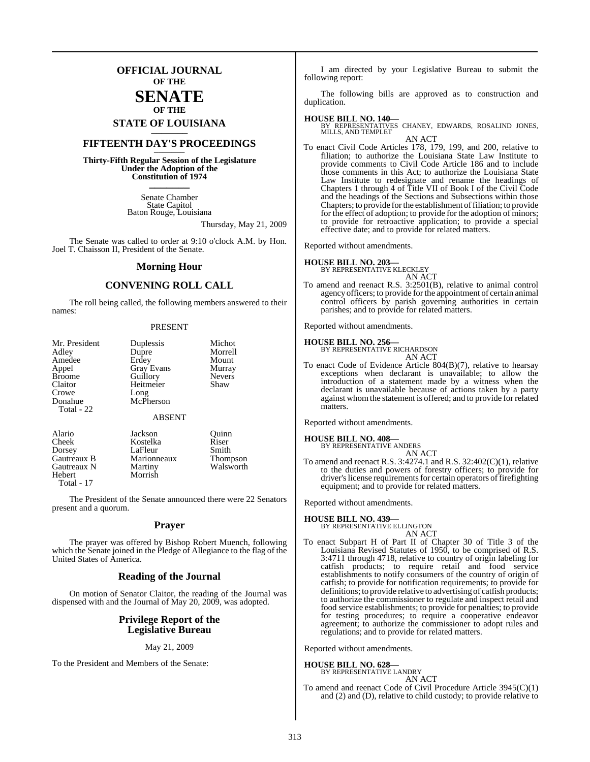### **OFFICIAL JOURNAL OF THE**

### **SENATE OF THE**

# **STATE OF LOUISIANA \_\_\_\_\_\_\_**

### **FIFTEENTH DAY'S PROCEEDINGS \_\_\_\_\_\_\_**

**Thirty-Fifth Regular Session of the Legislature Under the Adoption of the Constitution of 1974 \_\_\_\_\_\_\_**

> Senate Chamber State Capitol Baton Rouge, Louisiana

> > Thursday, May 21, 2009

The Senate was called to order at 9:10 o'clock A.M. by Hon. Joel T. Chaisson II, President of the Senate.

#### **Morning Hour**

### **CONVENING ROLL CALL**

The roll being called, the following members answered to their names:

#### PRESENT

| Mr. President | Duplessis         | Michot        |
|---------------|-------------------|---------------|
| Adley         | Dupre             | Morrell       |
| Amedee        | Erdey             | Mount         |
| Appel         | <b>Gray Evans</b> | Murray        |
| <b>Broome</b> | Guillory          | <b>Nevers</b> |
| Claitor       | Heitmeier         | Shaw          |
| Crowe         | Long              |               |
| Donahue       | McPherson         |               |
| Total - 22    |                   |               |
|               | <b>ABSENT</b>     |               |
| Alario        | Jackson           | Ouinn         |
| Cheek         | Kostelka          | Riser         |
| Dorsey        | LaFleur           | Smith         |
| Gautreaux B   | Marionneaux       | Thompson      |
| Gautreaux N   | Martiny           | Walsworth     |

Hebert Morrish Total - 17

The President of the Senate announced there were 22 Senators present and a quorum.

#### **Prayer**

The prayer was offered by Bishop Robert Muench, following which the Senate joined in the Pledge of Allegiance to the flag of the United States of America.

### **Reading of the Journal**

On motion of Senator Claitor, the reading of the Journal was dispensed with and the Journal of May 20, 2009, was adopted.

#### **Privilege Report of the Legislative Bureau**

#### May 21, 2009

To the President and Members of the Senate:

I am directed by your Legislative Bureau to submit the following report:

The following bills are approved as to construction and duplication.

#### **HOUSE BILL NO. 140—**

BY REPRESENTATIVES CHANEY, EDWARDS, ROSALIND JONES, MILLS, AND TEMPLET AN ACT

To enact Civil Code Articles 178, 179, 199, and 200, relative to filiation; to authorize the Louisiana State Law Institute to provide comments to Civil Code Article 186 and to include those comments in this Act; to authorize the Louisiana State Law Institute to redesignate and rename the headings of Chapters 1 through 4 of Title VII of Book I of the Civil Code and the headings of the Sections and Subsections within those Chapters; to provide for the establishment of filiation; to provide for the effect of adoption; to provide for the adoption of minors; to provide for retroactive application; to provide a special effective date; and to provide for related matters.

Reported without amendments.

#### **HOUSE BILL NO. 203—**

BY REPRESENTATIVE KLECKLEY AN ACT

To amend and reenact R.S. 3:2501(B), relative to animal control agency officers; to provide forthe appointment of certain animal control officers by parish governing authorities in certain parishes; and to provide for related matters.

Reported without amendments.

#### **HOUSE BILL NO. 256—**

BY REPRESENTATIVE RICHARDSON AN ACT

To enact Code of Evidence Article 804(B)(7), relative to hearsay exceptions when declarant is unavailable; to allow the introduction of a statement made by a witness when the declarant is unavailable because of actions taken by a party against whomthe statement is offered; and to provide for related matters.

Reported without amendments.

### **HOUSE BILL NO. 408—**

BY REPRESENTATIVE ANDERS AN ACT

To amend and reenact R.S. 3:4274.1 and R.S. 32:402(C)(1), relative to the duties and powers of forestry officers; to provide for driver's license requirements for certain operators of firefighting equipment; and to provide for related matters.

Reported without amendments.

**HOUSE BILL NO. 439—** BY REPRESENTATIVE ELLINGTON AN ACT

To enact Subpart H of Part II of Chapter 30 of Title 3 of the Louisiana Revised Statutes of 1950, to be comprised of R.S. 3:4711 through 4718, relative to country of origin labeling for catfish products; to require retail and food service establishments to notify consumers of the country of origin of catfish; to provide for notification requirements; to provide for definitions; to provide relative to advertising of catfish products; to authorize the commissioner to regulate and inspect retail and food service establishments; to provide for penalties; to provide for testing procedures; to require a cooperative endeavor agreement; to authorize the commissioner to adopt rules and regulations; and to provide for related matters.

Reported without amendments.

**HOUSE BILL NO. 628—** BY REPRESENTATIVE LANDRY

AN ACT

To amend and reenact Code of Civil Procedure Article 3945(C)(1) and (2) and (D), relative to child custody; to provide relative to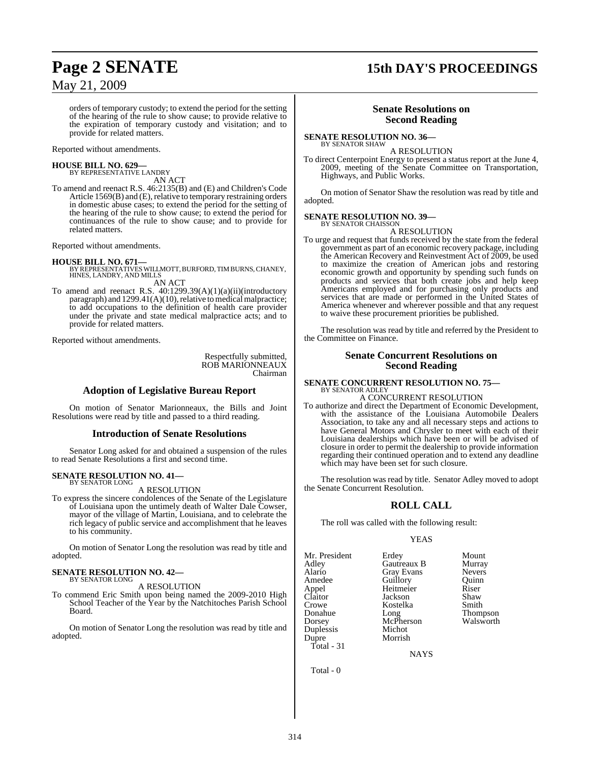# **Page 2 SENATE 15th DAY'S PROCEEDINGS**

orders of temporary custody; to extend the period for the setting of the hearing of the rule to show cause; to provide relative to the expiration of temporary custody and visitation; and to provide for related matters.

Reported without amendments.

#### **HOUSE BILL NO. 629—**

BY REPRESENTATIVE LANDRY AN ACT

To amend and reenact R.S. 46:2135(B) and (E) and Children's Code Article  $1569(B)$  and  $(E)$ , relative to temporary restraining orders in domestic abuse cases; to extend the period for the setting of the hearing of the rule to show cause; to extend the period for continuances of the rule to show cause; and to provide for related matters.

Reported without amendments.

- **HOUSE BILL NO. 671—** BY REPRESENTATIVES WILLMOTT, BURFORD, TIM BURNS, CHANEY, HINES, LANDRY, AND MILLS AN ACT
- To amend and reenact R.S. 40:1299.39(A)(1)(a)(ii)(introductory paragraph) and 1299.41(A)(10), relative to medical malpractice; to add occupations to the definition of health care provider under the private and state medical malpractice acts; and to provide for related matters.

Reported without amendments.

Respectfully submitted, ROB MARIONNEAUX Chairman

#### **Adoption of Legislative Bureau Report**

On motion of Senator Marionneaux, the Bills and Joint Resolutions were read by title and passed to a third reading.

#### **Introduction of Senate Resolutions**

Senator Long asked for and obtained a suspension of the rules to read Senate Resolutions a first and second time.

#### **SENATE RESOLUTION NO. 41—** BY SENATOR LONG

A RESOLUTION

To express the sincere condolences of the Senate of the Legislature of Louisiana upon the untimely death of Walter Dale Cowser, mayor of the village of Martin, Louisiana, and to celebrate the rich legacy of public service and accomplishment that he leaves to his community.

On motion of Senator Long the resolution was read by title and adopted.

#### **SENATE RESOLUTION NO. 42—** BY SENATOR LONG

A RESOLUTION

To commend Eric Smith upon being named the 2009-2010 High School Teacher of the Year by the Natchitoches Parish School Board.

On motion of Senator Long the resolution was read by title and adopted.

#### **Senate Resolutions on Second Reading**

**SENATE RESOLUTION NO. 36—** BY SENATOR SHAW

A RESOLUTION

To direct Centerpoint Energy to present a status report at the June 4, 2009, meeting of the Senate Committee on Transportation, Highways, and Public Works.

On motion of Senator Shaw the resolution was read by title and adopted.

# **SENATE RESOLUTION NO. 39—**<br>BY SENATOR CHAISSON

A RESOLUTION

To urge and request that funds received by the state from the federal government as part of an economic recovery package, including the American Recovery and Reinvestment Act of 2009, be used to maximize the creation of American jobs and restoring economic growth and opportunity by spending such funds on products and services that both create jobs and help keep Americans employed and for purchasing only products and services that are made or performed in the United States of America whenever and wherever possible and that any request to waive these procurement priorities be published.

The resolution was read by title and referred by the President to the Committee on Finance.

### **Senate Concurrent Resolutions on Second Reading**

#### **SENATE CONCURRENT RESOLUTION NO. 75—** BY SENATOR ADLEY

### A CONCURRENT RESOLUTION

To authorize and direct the Department of Economic Development, with the assistance of the Louisiana Automobile Dealers Association, to take any and all necessary steps and actions to have General Motors and Chrysler to meet with each of their Louisiana dealerships which have been or will be advised of closure in order to permit the dealership to provide information regarding their continued operation and to extend any deadline which may have been set for such closure.

The resolution was read by title. Senator Adley moved to adopt the Senate Concurrent Resolution.

### **ROLL CALL**

The roll was called with the following result:

#### YEAS

Mr. President Erdey Mount<br>Adley Gautreaux B Murray Adley Gautreaux B Murray Amedee Guillory Quinn<br>Appel Heitmeier Riser Appel Heitmeier Riser Claitor Jackson Shaw<br>Crowe Smith Smith Crowe Kostelka Smith Donahue Long Thompson Dorsey McPherson Walsworth Duplessis Michot Dupre Morrish Total - 31

**Gray Evans** 

NAYS

Total - 0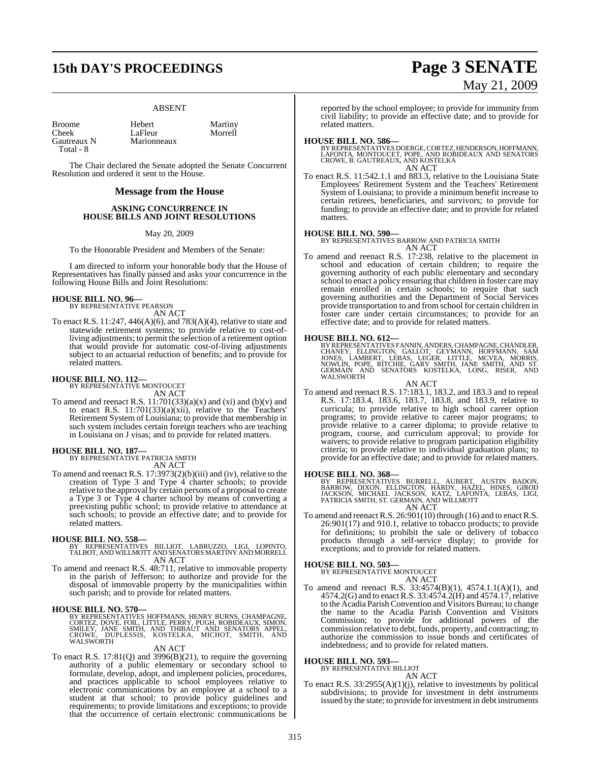# **15th DAY'S PROCEEDINGS Page 3 SENATE**

#### ABSENT

| <b>Broome</b> | Hebert      | Martiny |  |
|---------------|-------------|---------|--|
| Cheek         | LaFleur     | Morrell |  |
| Gautreaux N   | Marionneaux |         |  |
| Total - 8     |             |         |  |

The Chair declared the Senate adopted the Senate Concurrent Resolution and ordered it sent to the House.

#### **Message from the House**

#### **ASKING CONCURRENCE IN HOUSE BILLS AND JOINT RESOLUTIONS**

#### May 20, 2009

To the Honorable President and Members of the Senate:

I am directed to inform your honorable body that the House of Representatives has finally passed and asks your concurrence in the following House Bills and Joint Resolutions:

### **HOUSE BILL NO. 96—** BY REPRESENTATIVE PEARSON

AN ACT

To enact R.S. 11:247, 446(A)(6), and 783(A)(4), relative to state and statewide retirement systems; to provide relative to cost-ofliving adjustments; to permit the selection of a retirement option that would provide for automatic cost-of-living adjustments subject to an actuarial reduction of benefits; and to provide for related matters.

### **HOUSE BILL NO. 112—** BY REPRESENTATIVE MONTOUCET

AN ACT

To amend and reenact R.S.  $11:701(33)(a)(x)$  and  $(xi)$  and  $(b)(v)$  and to enact R.S.  $11:701(33)(a)(xii)$ , relative to the Teachers' Retirement System of Louisiana; to provide that membership in such system includes certain foreign teachers who are teaching in Louisiana on J visas; and to provide for related matters.

#### **HOUSE BILL NO. 187—**

BY REPRESENTATIVE PATRICIA SMITH AN ACT

To amend and reenact R.S. 17:3973(2)(b)(iii) and (iv), relative to the creation of Type 3 and Type 4 charter schools; to provide relative to the approval by certain persons of a proposal to create a Type 3 or Type 4 charter school by means of converting a preexisting public school; to provide relative to attendance at such schools; to provide an effective date; and to provide for related matters.

- **HOUSE BILL NO. 558—** BY REPRESENTATIVES BILLIOT, LABRUZZO, LIGI, LOPINTO, TALBOT, AND WILLMOTT AND SENATORS MARTINY AND MORRELL AN ACT
- To amend and reenact R.S. 48:711, relative to immovable property in the parish of Jefferson; to authorize and provide for the disposal of immovable property by the municipalities within such parish; and to provide for related matters.

#### **HOUSE BILL NO. 570—**

BY REPRESENTATIVES HOFFMANN, HENRY BURNS, CHAMPAGNE,<br>CORTEZ, DOVE, FOIL, LITTLE, PERRY, PUGH, ROBIDEAUX, SIMON,<br>SMILEY, JANE SMITH, AND THIBAUT AND SENATORS APPEL,<br>CROWE, DUPLESSIS, KOSTELKA, MICHOT, SMITH, AND<br>WALSWORTH

#### AN ACT

To enact R.S. 17:81(Q) and 3996(B)(21), to require the governing authority of a public elementary or secondary school to formulate, develop, adopt, and implement policies, procedures, and practices applicable to school employees relative to electronic communications by an employee at a school to a student at that school; to provide policy guidelines and requirements; to provide limitations and exceptions; to provide that the occurrence of certain electronic communications be May 21, 2009

reported by the school employee; to provide for immunity from civil liability; to provide an effective date; and to provide for related matters.

**HOUSE BILL NO. 586—**<br>BY REPRESENTATIVES DOERGE, CORTEZ, HENDERSON, HOFFMANN,<br>LAFONTA, MONTOUCET, POPE, AND ROBIDEAUX AND SENATORS<br>CROWE, B. GAUTREAUX, AND KOSTELKA AN ACT

To enact R.S. 11:542.1.1 and 883.3, relative to the Louisiana State Employees' Retirement System and the Teachers' Retirement System of Louisiana; to provide a minimum benefit increase to certain retirees, beneficiaries, and survivors; to provide for funding; to provide an effective date; and to provide for related matters.

#### **HOUSE BILL NO. 590—**

BY REPRESENTATIVES BARROW AND PATRICIA SMITH AN ACT

To amend and reenact R.S. 17:238, relative to the placement in school and education of certain children; to require the governing authority of each public elementary and secondary school to enact a policy ensuring that children in foster care may remain enrolled in certain schools; to require that such governing authorities and the Department of Social Services provide transportation to and from school for certain children in foster care under certain circumstances; to provide for an effective date; and to provide for related matters.

#### **HOUSE BILL NO. 612—**

BY REPRESENTATIVES FANNIN, ANDERS, CHAMPAGNE, CHANDLER,<br>CHANEY, ELLINGTON, GALLOT, GEYMANN, HOFFMANN, SAM<br>JONES, LAMBERT, LEBAS, LEGER, LITTLE, MCVEA, MORRIS,<br>NOWLIN, POPE, RITCHIE, GARY SMITH,

AN ACT To amend and reenact R.S. 17:183.1, 183.2, and 183.3 and to repeal R.S. 17:183.4, 183.6, 183.7, 183.8, and 183.9, relative to curricula; to provide relative to high school career option programs; to provide relative to career major programs; to provide relative to a career diploma; to provide relative to program, course, and curriculum approval; to provide for waivers; to provide relative to program participation eligibility criteria; to provide relative to individual graduation plans; to provide for an effective date; and to provide for related matters.

#### **HOUSE BILL NO. 368—**

BY REPRESENTATIVES BURRELL, AUBERT, AUSTIN BADON,<br>BARROW, DIXON, ELLINGTON, HARDY, HAZEL, HINES, GIROD<br>JACKSON, MICHAEL JACKSON, KATZ, LAFONTA, LEBAS, LIGI,<br>PATRICIA SMITH,ST.GERMAIN,ANDWILLMOTT AN ACT

To amend and reenact R.S.  $26:901(10)$  through (16) and to enact R.S. 26:901(17) and 910.1, relative to tobacco products; to provide for definitions; to prohibit the sale or delivery of tobacco products through a self-service display; to provide for exceptions; and to provide for related matters.

### **HOUSE BILL NO. 503—** BY REPRESENTATIVE MONTOUCET

AN ACT

To amend and reenact R.S. 33:4574(B)(1), 4574.1.1(A)(1), and 4574.2(G) and to enact R.S. 33:4574.2(H) and 4574.17, relative to the Acadia Parish Convention and Visitors Bureau; to change the name to the Acadia Parish Convention and Visitors Commission; to provide for additional powers of the commission relative to debt, funds, property, and contracting; to authorize the commission to issue bonds and certificates of indebtedness; and to provide for related matters.

### **HOUSE BILL NO. 593—** BY REPRESENTATIVE BILLIOT

AN ACT

To enact R.S. 33:2955(A)(1)(j), relative to investments by political subdivisions; to provide for investment in debt instruments issued by the state; to provide for investment in debt instruments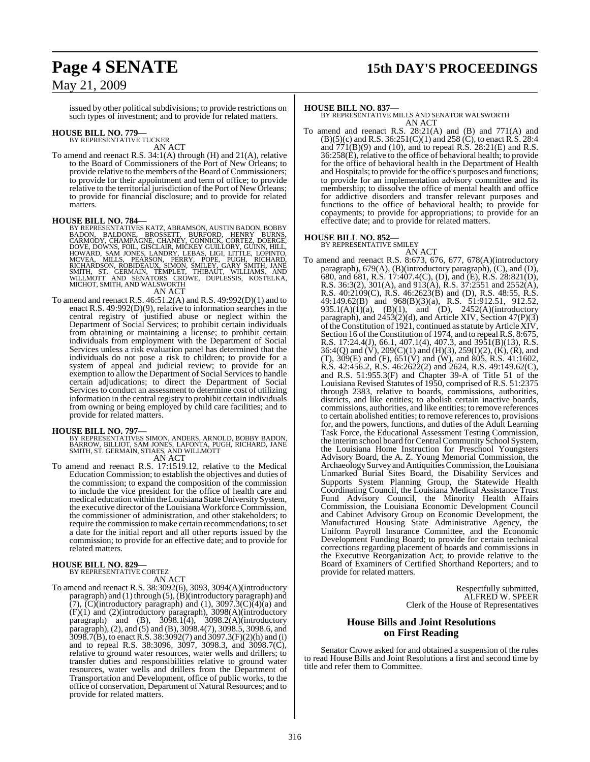## **Page 4 SENATE 15th DAY'S PROCEEDINGS**

### May 21, 2009

issued by other political subdivisions; to provide restrictions on such types of investment; and to provide for related matters.

### **HOUSE BILL NO. 779—** BY REPRESENTATIVE TUCKER

AN ACT

To amend and reenact R.S. 34:1(A) through (H) and 21(A), relative to the Board of Commissioners of the Port of New Orleans; to provide relative to the members of the Board of Commissioners; to provide for their appointment and term of office; to provide relative to the territorial jurisdiction of the Port of New Orleans; to provide for financial disclosure; and to provide for related matters.

#### **HOUSE BILL NO. 784—**

- BY REPRESENTATIVES KATZ, ABRAMSON, AUSTIN BADON, BOBBY<br>BADON, BALDONE, BROSSETT, BURFORD, HENRY BURNS,<br>CARMODY, CHAMPAGNE, CHANEY, CONNICK, CORTEZ, DOERGE,<br>DOVE, DOWNS, FOIL, GISCLAIR, MICKEY GUILLORY, GUINN, HILL,<br>HOWARD, MICHOT, SMITH, AND WALSWORTH AN ACT
- To amend and reenact R.S. 46:51.2(A) and R.S. 49:992(D)(1) and to enact R.S. 49:992(D)(9), relative to information searches in the central registry of justified abuse or neglect within the Department of Social Services; to prohibit certain individuals from obtaining or maintaining a license; to prohibit certain individuals from employment with the Department of Social Services unless a risk evaluation panel has determined that the individuals do not pose a risk to children; to provide for a system of appeal and judicial review; to provide for an exemption to allow the Department of Social Services to handle certain adjudications; to direct the Department of Social Services to conduct an assessment to determine cost of utilizing information in the central registry to prohibit certain individuals from owning or being employed by child care facilities; and to provide for related matters.

**HOUSE BILL NO. 797—**<br>BY REPRESENTATIVES SIMON, ANDERS, ARNOLD, BOBBY BADON,<br>BARROW, BILLIOT, SAM JONES, LAFONTA, PUGH, RICHARD, JANE<br>SMITH, ST. GERMAIN, STIAES, AND WILLMOTT<br>AN ACT

To amend and reenact R.S. 17:1519.12, relative to the Medical To amend and reenact R.S. 17:1519.12, relative to the Medical Education Commission; to establish the objectives and duties of the commission; to expand the composition of the commission to include the vice president for the office of health care and medical education within theLouisiana State University System, the executive director of the Louisiana Workforce Commission, the commissioner of administration, and other stakeholders; to require the commission to make certain recommendations; to set a date for the initial report and all other reports issued by the commission; to provide for an effective date; and to provide for related matters.

### **HOUSE BILL NO. 829—** BY REPRESENTATIVE CORTEZ

AN ACT

To amend and reenact R.S. 38:3092(6), 3093, 3094(A)(introductory paragraph) and (1) through (5), (B)(introductory paragraph) and  $(7)$ ,  $(C)$ (introductory paragraph) and (1), 3097.3 $(C)$  $(4)$  $(a)$  and (F)(1) and (2)(introductory paragraph), 3098(A)(introductory paragraph) and  $(B)$ ,  $3098.1(4)$ ,  $3098.2(A)$ (introductory paragraph), (2), and (5) and (B), 3098.4(7), 3098.5, 3098.6, and 3098.7(B), to enactR.S. 38:3092(7) and 3097.3(F)(2)(h) and (i) and to repeal R.S. 38:3096, 3097, 3098.3, and 3098.7(C), relative to ground water resources, water wells and drillers; to transfer duties and responsibilities relative to ground water resources, water wells and drillers from the Department of Transportation and Development, office of public works, to the office of conservation, Department of Natural Resources; and to provide for related matters.

#### **HOUSE BILL NO. 837—**

BY REPRESENTATIVE MILLS AND SENATOR WALSWORTH AN ACT

To amend and reenact R.S. 28:21(A) and (B) and 771(A) and (B)(5)(c) and R.S. 36:251(C)(1) and 258 (C), to enact R.S. 28:4 and  $771(B)(9)$  and  $(10)$ , and to repeal R.S. 28:21(E) and R.S. 36:258(E), relative to the office of behavioral health; to provide for the office of behavioral health in the Department of Health and Hospitals; to provide for the office's purposes and functions; to provide for an implementation advisory committee and its membership; to dissolve the office of mental health and office for addictive disorders and transfer relevant purposes and functions to the office of behavioral health; to provide for copayments; to provide for appropriations; to provide for an effective date; and to provide for related matters.

**HOUSE BILL NO. 852—** BY REPRESENTATIVE SMILEY

AN ACT To amend and reenact R.S. 8:673, 676, 677, 678(A)(introductory paragraph), 679(A), (B)(introductory paragraph), (C), and (D), 680, and 681, R.S. 17:407.4(C), (D), and (E), R.S. 28:821(D), R.S. 36:3(2), 301(A), and 913(A), R.S. 37:2551 and 2552(A), R.S. 40:2109(C), R.S. 46:2623(B) and (D), R.S. 48:55, R.S. 49:149.62(B) and 968(B)(3)(a), R.S. 51:912.51, 912.52, 935.1(A)(1)(a), (B)(1), and (D), 2452(A)(introductory paragraph), and 2453(2)(d), and Article XIV, Section 47(P)(3) of the Constitution of 1921, continued as statute by Article XIV, Section 16 of the Constitution of 1974, and to repeal R.S. 8:675, R.S. 17:24.4(J), 66.1, 407.1(4), 407.3, and 3951(B)(13), R.S. 36:4(Q) and  $(V)$ , 209(C)(1) and (H)(3), 259(I)(2),  $(K)$ ,  $(R)$ , and (T), 309(E) and (F), 651(V) and (W), and 805, R.S. 41:1602, R.S. 42:456.2, R.S. 46:2622(2) and 2624, R.S. 49:149.62(C), and R.S. 51:955.3(F) and Chapter 39-A of Title 51 of the Louisiana Revised Statutes of 1950, comprised of R.S. 51:2375 through 2383, relative to boards, commissions, authorities, districts, and like entities; to abolish certain inactive boards, commissions, authorities, and like entities; to remove references to certain abolished entities; to remove references to, provisions for, and the powers, functions, and duties of the Adult Learning Task Force, the Educational Assessment Testing Commission, the interim school board for Central Community School System, the Louisiana Home Instruction for Preschool Youngsters Advisory Board, the A. Z. Young Memorial Commission, the ArchaeologySurvey and AntiquitiesCommission, theLouisiana Unmarked Burial Sites Board, the Disability Services and Supports System Planning Group, the Statewide Health Coordinating Council, the Louisiana Medical Assistance Trust Fund Advisory Council, the Minority Health Affairs Commission, the Louisiana Economic Development Council and Cabinet Advisory Group on Economic Development, the Manufactured Housing State Administrative Agency, the Uniform Payroll Insurance Committee, and the Economic Development Funding Board; to provide for certain technical corrections regarding placement of boards and commissions in the Executive Reorganization Act; to provide relative to the Board of Examiners of Certified Shorthand Reporters; and to provide for related matters.

> Respectfully submitted, ALFRED W. SPEER Clerk of the House of Representatives

### **House Bills and Joint Resolutions on First Reading**

Senator Crowe asked for and obtained a suspension of the rules to read House Bills and Joint Resolutions a first and second time by title and refer them to Committee.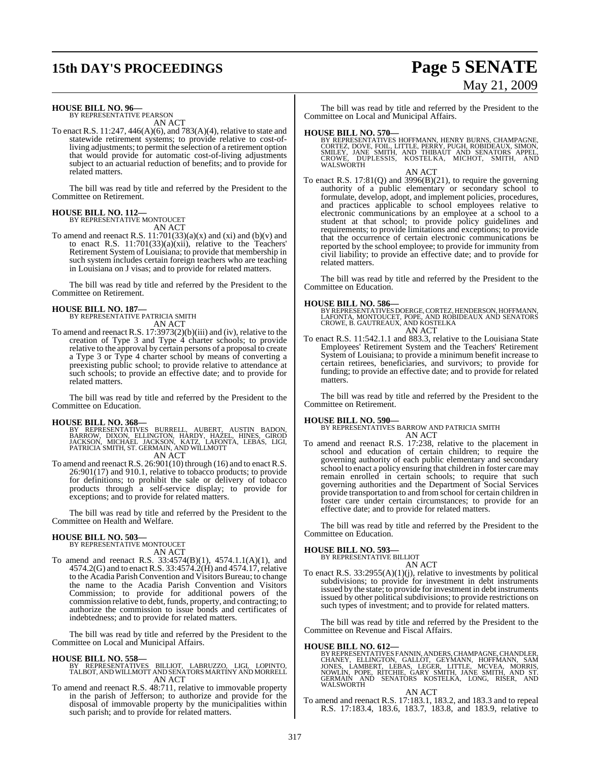# **15th DAY'S PROCEEDINGS Page 5 SENATE**

# May 21, 2009

#### **HOUSE BILL NO. 96—**

BY REPRESENTATIVE PEARSON AN ACT

To enact R.S. 11:247, 446(A)(6), and 783(A)(4), relative to state and statewide retirement systems; to provide relative to cost-ofliving adjustments; to permit the selection of a retirement option that would provide for automatic cost-of-living adjustments subject to an actuarial reduction of benefits; and to provide for related matters.

The bill was read by title and referred by the President to the Committee on Retirement.

### **HOUSE BILL NO. 112—** BY REPRESENTATIVE MONTOUCET

AN ACT

To amend and reenact R.S.  $11:701(33)(a)(x)$  and  $(xi)$  and  $(b)(v)$  and to enact R.S.  $11:701(33)(a)(xii)$ , relative to the Teachers' Retirement System of Louisiana; to provide that membership in such system includes certain foreign teachers who are teaching in Louisiana on J visas; and to provide for related matters.

The bill was read by title and referred by the President to the Committee on Retirement.

#### **HOUSE BILL NO. 187—**

BY REPRESENTATIVE PATRICIA SMITH AN ACT

To amend and reenact R.S. 17:3973(2)(b)(iii) and (iv), relative to the creation of Type 3 and Type 4 charter schools; to provide relative to the approval by certain persons of a proposal to create a Type 3 or Type 4 charter school by means of converting a preexisting public school; to provide relative to attendance at such schools; to provide an effective date; and to provide for related matters.

The bill was read by title and referred by the President to the Committee on Education.

#### **HOUSE BILL NO. 368—**

BY REPRESENTATIVES BURRELL, AUBERT, AUSTIN BADON,<br>BARROW, DIXON, ELLINGTON, HARDY, HAZEL, HINES, GIROD<br>JACKSON, MICHAEL JACKSON, KATZ, LAFONTA, LEBAS, LIGI,<br>PATRICIA SMITH,ST.GERMAIN,ANDWILLMOTT AN ACT

To amend and reenact R.S.  $26:901(10)$  through (16) and to enact R.S. 26:901(17) and 910.1, relative to tobacco products; to provide for definitions; to prohibit the sale or delivery of tobacco products through a self-service display; to provide for exceptions; and to provide for related matters.

The bill was read by title and referred by the President to the Committee on Health and Welfare.

#### **HOUSE BILL NO. 503—**

BY REPRESENTATIVE MONTOUCET AN ACT

To amend and reenact R.S. 33:4574(B)(1), 4574.1.1(A)(1), and 4574.2(G) and to enact R.S. 33:4574.2(H) and 4574.17, relative to the Acadia Parish Convention and Visitors Bureau; to change the name to the Acadia Parish Convention and Visitors Commission; to provide for additional powers of the commission relative to debt, funds, property, and contracting; to authorize the commission to issue bonds and certificates of indebtedness; and to provide for related matters.

The bill was read by title and referred by the President to the Committee on Local and Municipal Affairs.

**HOUSE BILL NO. 558—** BY REPRESENTATIVES BILLIOT, LABRUZZO, LIGI, LOPINTO, TALBOT, AND WILLMOTT AND SENATORS MARTINY AND MORRELL AN ACT

To amend and reenact R.S. 48:711, relative to immovable property in the parish of Jefferson; to authorize and provide for the disposal of immovable property by the municipalities within such parish; and to provide for related matters.

The bill was read by title and referred by the President to the Committee on Local and Municipal Affairs.

**HOUSE BILL NO. 570—**<br>BY REPRESENTATIVES HOFFMANN, HENRY BURNS, CHAMPAGNE,<br>CORTEZ, DOVE, FOIL, LITTLE, PERRY, PUGH, ROBIDEAUX, SIMON,<br>SMILEY, JANE SMITH, AND THIBAUT AND SENATORS APPEL,<br>CROWE, DUPLESSIS, KOSTELKA, MICHOT,

#### AN ACT

To enact R.S. 17:81(Q) and 3996(B)(21), to require the governing authority of a public elementary or secondary school to formulate, develop, adopt, and implement policies, procedures, and practices applicable to school employees relative to electronic communications by an employee at a school to a student at that school; to provide policy guidelines and requirements; to provide limitations and exceptions; to provide that the occurrence of certain electronic communications be reported by the school employee; to provide for immunity from civil liability; to provide an effective date; and to provide for related matters.

The bill was read by title and referred by the President to the Committee on Education.

#### **HOUSE BILL NO. 586—**

BY REPRESENTATIVES DOERGE, CORTEZ, HENDERSON, HOFFMANN,<br>LAFONTA, MONTOUCET, POPE, AND ROBIDEAUX AND SENATORS<br>CROWE, B. GAUTREAUX, AND KOSTELKA AN ACT

To enact R.S. 11:542.1.1 and 883.3, relative to the Louisiana State Employees' Retirement System and the Teachers' Retirement System of Louisiana; to provide a minimum benefit increase to certain retirees, beneficiaries, and survivors; to provide for funding; to provide an effective date; and to provide for related matters.

The bill was read by title and referred by the President to the Committee on Retirement.

#### **HOUSE BILL NO. 590—**

BY REPRESENTATIVES BARROW AND PATRICIA SMITH AN ACT

To amend and reenact R.S. 17:238, relative to the placement in school and education of certain children; to require the governing authority of each public elementary and secondary school to enact a policy ensuring that children in foster care may remain enrolled in certain schools; to require that such governing authorities and the Department of Social Services provide transportation to and from school for certain children in foster care under certain circumstances; to provide for an effective date; and to provide for related matters.

The bill was read by title and referred by the President to the Committee on Education.

#### **HOUSE BILL NO. 593—**

BY REPRESENTATIVE BILLIOT

AN ACT To enact R.S. 33:2955(A)(1)(j), relative to investments by political subdivisions; to provide for investment in debt instruments issued by the state; to provide for investment in debt instruments issued by other political subdivisions; to provide restrictions on such types of investment; and to provide for related matters.

The bill was read by title and referred by the President to the Committee on Revenue and Fiscal Affairs.

#### **HOUSE BILL NO. 612—**

BY REPRESENTATIVES FANNIN, ANDERS, CHAMPAGNE, CHANDLER,<br>CHANEY, ELLINGTON, GALLOT, GEYMANN, HOFFMANN, SAM<br>JONES, LAMBERT, LEBAS, LEGER, LITTLE, MCVEA, MORRIS, MORRIS<br>NOWLIN, POPE, R WALSWORTH

#### AN ACT

To amend and reenact R.S. 17:183.1, 183.2, and 183.3 and to repeal R.S. 17:183.4, 183.6, 183.7, 183.8, and 183.9, relative to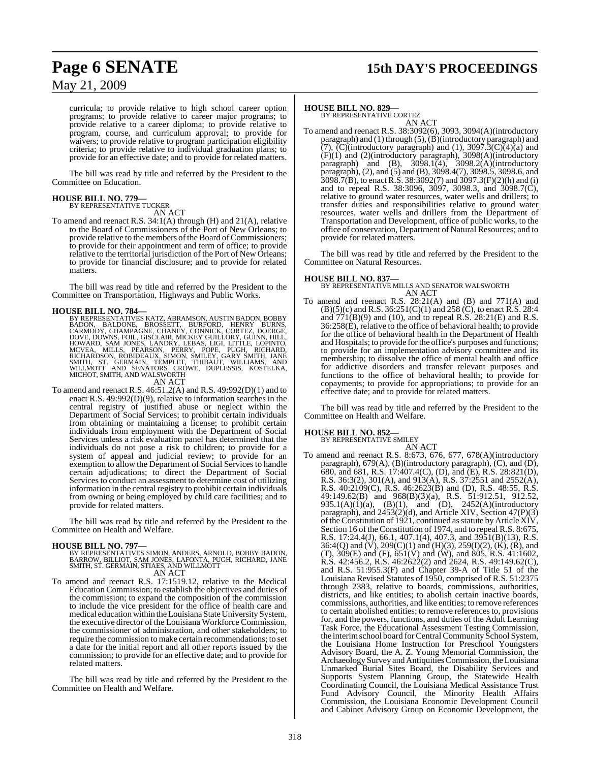# **Page 6 SENATE 15th DAY'S PROCEEDINGS**

May 21, 2009

curricula; to provide relative to high school career option programs; to provide relative to career major programs; to provide relative to a career diploma; to provide relative to program, course, and curriculum approval; to provide for waivers; to provide relative to program participation eligibility criteria; to provide relative to individual graduation plans; to provide for an effective date; and to provide for related matters.

The bill was read by title and referred by the President to the Committee on Education.

### **HOUSE BILL NO. 779—** BY REPRESENTATIVE TUCKER

AN ACT

To amend and reenact R.S. 34:1(A) through (H) and 21(A), relative to the Board of Commissioners of the Port of New Orleans; to provide relative to the members of the Board of Commissioners; to provide for their appointment and term of office; to provide relative to the territorial jurisdiction of the Port of New Orleans; to provide for financial disclosure; and to provide for related matters.

The bill was read by title and referred by the President to the Committee on Transportation, Highways and Public Works.

HOUSE BILL NO. 784—<br>BY REPRESENTATIVES KATZ, ABRAMSON, AUSTIN BADON, BOBBY<br>BADON, BALDONE, BROSSETT, BURFORD, HENRY BURNS,<br>CARMODY, CHAMPAGNE, CHANEY, CONNICK, CORTEZ, DOERGE,<br>DOVE, DOWNS, FOIL, GISCLAIR, MICKEY GUILLORY, AN ACT

#### To amend and reenact R.S. 46:51.2(A) and R.S. 49:992(D)(1) and to enact R.S. 49:992(D)(9), relative to information searches in the central registry of justified abuse or neglect within the Department of Social Services; to prohibit certain individuals from obtaining or maintaining a license; to prohibit certain individuals from employment with the Department of Social Services unless a risk evaluation panel has determined that the individuals do not pose a risk to children; to provide for a system of appeal and judicial review; to provide for an exemption to allow the Department of Social Services to handle certain adjudications; to direct the Department of Social Services to conduct an assessment to determine cost of utilizing information in the central registry to prohibit certain individuals from owning or being employed by child care facilities; and to provide for related matters.

The bill was read by title and referred by the President to the Committee on Health and Welfare.

#### **HOUSE BILL NO. 797—**

BY REPRESENTATIVES SIMON, ANDERS, ARNOLD, BOBBY BADON,<br>BARROW, BILLIOT, SAM JONES, LAFONTA, PUGH, RICHARD, JANE<br>SMITH, ST. GERMAIN, STIAES, AND WILLMOTT<br>AN ACT

To amend and reenact R.S. 17:1519.12, relative to the Medical Education Commission; to establish the objectives and duties of the commission; to expand the composition of the commission to include the vice president for the office of health care and medical education within the Louisiana State University System, the executive director of the Louisiana Workforce Commission, the commissioner of administration, and other stakeholders; to require the commission to make certain recommendations; to set a date for the initial report and all other reports issued by the commission; to provide for an effective date; and to provide for related matters.

The bill was read by title and referred by the President to the Committee on Health and Welfare.

#### **HOUSE BILL NO. 829—**

BY REPRESENTATIVE CORTEZ AN ACT

To amend and reenact R.S. 38:3092(6), 3093, 3094(A)(introductory paragraph) and (1) through (5),(B)(introductory paragraph) and  $(7)$ ,  $(C)$ (introductory paragraph) and (1), 3097.3 $(C)$  $(4)$  $(a)$  and (F)(1) and (2)(introductory paragraph), 3098(A)(introductory paragraph) and  $(B)$ ,  $30\overline{98.1(4)}$ ,  $3098.2(A)$ (introductory paragraph), (2), and (5) and (B), 3098.4(7), 3098.5, 3098.6, and  $3098.7(B)$ , to enact R.S. 38:3092(7) and 3097.3(F)(2)(h) and (i) and to repeal R.S. 38:3096, 3097, 3098.3, and 3098.7(C), relative to ground water resources, water wells and drillers; to transfer duties and responsibilities relative to ground water resources, water wells and drillers from the Department of Transportation and Development, office of public works, to the office of conservation, Department of Natural Resources; and to provide for related matters.

The bill was read by title and referred by the President to the Committee on Natural Resources.

**HOUSE BILL NO. 837—** BY REPRESENTATIVE MILLS AND SENATOR WALSWORTH AN ACT

To amend and reenact R.S. 28:21(A) and (B) and 771(A) and  $(B)(5)(c)$  and R.S. 36:251(C)(1) and 258 (C), to enact R.S. 28:4 and 771(B)(9) and (10), and to repeal R.S. 28:21(E) and R.S. 36:258(E), relative to the office of behavioral health; to provide for the office of behavioral health in the Department of Health and Hospitals; to provide for the office's purposes and functions; to provide for an implementation advisory committee and its membership; to dissolve the office of mental health and office for addictive disorders and transfer relevant purposes and functions to the office of behavioral health; to provide for copayments; to provide for appropriations; to provide for an effective date; and to provide for related matters.

The bill was read by title and referred by the President to the Committee on Health and Welfare.

### **HOUSE BILL NO. 852—** BY REPRESENTATIVE SMILEY

AN ACT To amend and reenact R.S. 8:673, 676, 677, 678(A)(introductory paragraph), 679(A), (B)(introductory paragraph), (C), and (D), 680, and 681, R.S. 17:407.4(C), (D), and (E), R.S. 28:821(D), R.S. 36:3(2), 301(A), and 913(A), R.S. 37:2551 and 2552(A), R.S. 40:2109(C), R.S. 46:2623(B) and (D), R.S. 48:55, R.S. 49:149.62(B) and 968(B)(3)(a), R.S. 51:912.51, 912.52, 935.1(A)(1)(a), (B)(1), and (D), 2452(A)(introductory paragraph), and 2453(2)(d), and Article XIV, Section 47(P)(3) of the Constitution of 1921, continued as statute by Article XIV, Section 16 of the Constitution of 1974, and to repeal R.S. 8:675, R.S. 17:24.4(J), 66.1, 407.1(4), 407.3, and 3951(B)(13), R.S. 36:4(Q) and  $(V)$ , 209(C)(1) and (H)(3), 259(I)(2),  $(K)$ ,  $(K)$ , and (T), 309(E) and (F), 651(V) and (W), and 805, R.S. 41:1602, R.S. 42:456.2, R.S. 46:2622(2) and 2624, R.S. 49:149.62(C), and R.S. 51:955.3(F) and Chapter 39-A of Title 51 of the Louisiana Revised Statutes of 1950, comprised of R.S. 51:2375 through 2383, relative to boards, commissions, authorities, districts, and like entities; to abolish certain inactive boards, commissions, authorities, and like entities; to remove references to certain abolished entities; to remove references to, provisions for, and the powers, functions, and duties of the Adult Learning Task Force, the Educational Assessment Testing Commission, the interim school board for Central Community School System, the Louisiana Home Instruction for Preschool Youngsters Advisory Board, the A. Z. Young Memorial Commission, the Archaeology Survey and Antiquities Commission, the Louisiana Unmarked Burial Sites Board, the Disability Services and Supports System Planning Group, the Statewide Health Coordinating Council, the Louisiana Medical Assistance Trust Fund Advisory Council, the Minority Health Affairs Commission, the Louisiana Economic Development Council and Cabinet Advisory Group on Economic Development, the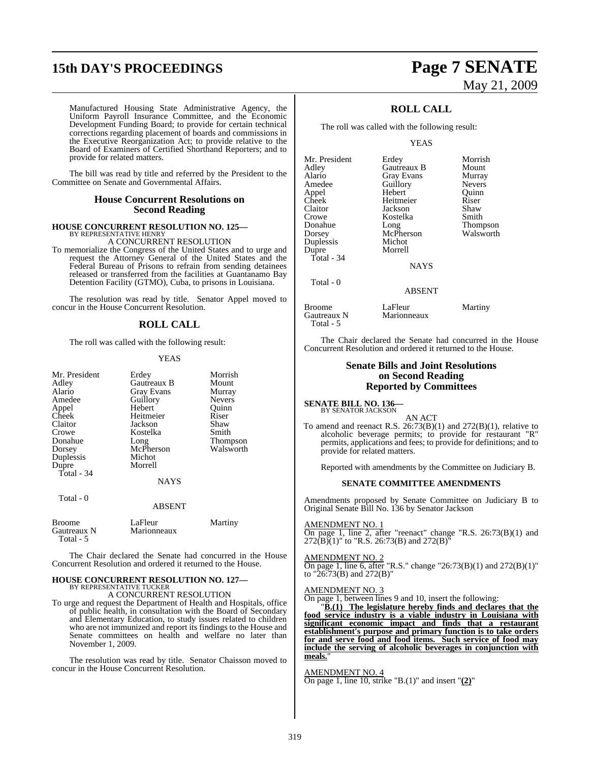# **15th DAY'S PROCEEDINGS Page 7 SENATE**

# May 21, 2009

Manufactured Housing State Administrative Agency, the Uniform Payroll Insurance Committee, and the Economic Development Funding Board; to provide for certain technical corrections regarding placement of boards and commissions in the Executive Reorganization Act; to provide relative to the Board of Examiners of Certified Shorthand Reporters; and to provide for related matters.

The bill was read by title and referred by the President to the Committee on Senate and Governmental Affairs.

#### **House Concurrent Resolutions on Second Reading**

# **HOUSE CONCURRENT RESOLUTION NO. 125—** BY REPRESENTATIVE HENRY A CONCURRENT RESOLUTION

To memorialize the Congress of the United States and to urge and request the Attorney General of the United States and the Federal Bureau of Prisons to refrain from sending detainees released or transferred from the facilities at Guantanamo Bay Detention Facility (GTMO), Cuba, to prisons in Louisiana.

The resolution was read by title. Senator Appel moved to concur in the House Concurrent Resolution.

### **ROLL CALL**

The roll was called with the following result:

#### YEAS

| Mr. President<br>Adley<br>Alario<br>Amedee<br>Appel<br>Cheek<br>Claitor<br>Crowe<br>Donahue<br>Dorsey<br>Duplessis<br>Dupre<br>Total - 34<br>Total - 0 | Erdey<br>Gautreaux B<br><b>Gray Evans</b><br>Guillory<br>Hebert<br>Heitmeier<br>Jackson<br>Kostelka<br>Long<br>McPherson<br>Michot<br>Morrell<br><b>NAYS</b><br>ABSENT | Morrish<br>Mount<br>Murray<br><b>Nevers</b><br>Ouinn<br>Riser<br>Shaw<br>Smith<br>Thompson<br>Walsworth |
|--------------------------------------------------------------------------------------------------------------------------------------------------------|------------------------------------------------------------------------------------------------------------------------------------------------------------------------|---------------------------------------------------------------------------------------------------------|
|                                                                                                                                                        |                                                                                                                                                                        |                                                                                                         |
| <b>Broome</b><br>Gautreaux N<br>Total - 5                                                                                                              | LaFleur<br>Marionneaux                                                                                                                                                 | Martiny                                                                                                 |

The Chair declared the Senate had concurred in the House Concurrent Resolution and ordered it returned to the House.

# **HOUSE CONCURRENT RESOLUTION NO. 127—** BY REPRESENTATIVE TUCKER

A CONCURRENT RESOLUTION

To urge and request the Department of Health and Hospitals, office of public health, in consultation with the Board of Secondary and Elementary Education, to study issues related to children who are not immunized and report its findings to the House and Senate committees on health and welfare no later than November 1, 2009.

The resolution was read by title. Senator Chaisson moved to concur in the House Concurrent Resolution.

### **ROLL CALL**

The roll was called with the following result:

YEAS

| Mr. President | Erdey       | Morrish         |
|---------------|-------------|-----------------|
| Adley         | Gautreaux B | Mount           |
| Alario        | Gray Evans  | Murray          |
| Amedee        | Guillory    | <b>Nevers</b>   |
| Appel         | Hebert      | Ouinn           |
| Cheek         | Heitmeier   | Riser           |
| Claitor       | Jackson     | Shaw            |
| Crowe         | Kostelka    | Smith           |
| Donahue       | Long        | <b>Thompson</b> |
| Dorsey        | McPherson   | Walsworth       |
| Duplessis     | Michot      |                 |
| Dupre         | Morrell     |                 |
| Total - 34    |             |                 |
|               | NAYS        |                 |
| Total - 0     |             |                 |

ABSENT

Broome LaFleur Martiny<br>Gautreaux N Marionneaux Martiny Gautreaux N Total - 5

The Chair declared the Senate had concurred in the House Concurrent Resolution and ordered it returned to the House.

#### **Senate Bills and Joint Resolutions on Second Reading Reported by Committees**

**SENATE BILL NO. 136—** BY SENATOR JACKSON

AN ACT To amend and reenact R.S.  $26:73(B)(1)$  and  $272(B)(1)$ , relative to alcoholic beverage permits; to provide for restaurant "R" permits, applications and fees; to provide for definitions; and to provide for related matters.

Reported with amendments by the Committee on Judiciary B.

#### **SENATE COMMITTEE AMENDMENTS**

Amendments proposed by Senate Committee on Judiciary B to Original Senate Bill No. 136 by Senator Jackson

AMENDMENT NO. 1

On page 1, line 2, after "reenact" change "R.S. 26:73(B)(1) and  $272(B)(1)$ " to "R.S. 26:73(B) and  $272(B)$ <sup>"</sup>

#### AMENDMENT NO. 2

On page 1, line 6, after "R.S." change "26:73(B)(1) and 272(B)(1)" to "26:73(B) and 272(B)"

#### AMENDMENT NO. 3

On page 1, between lines 9 and 10, insert the following:

"**B.(1) The legislature hereby finds and declares that the food service industry is a viable industry in Louisiana with significant economic impact and finds that a restaurant establishment's purpose and primary function is to take orders for and serve food and food items. Such service of food may include the serving of alcoholic beverages in conjunction with** meals.

AMENDMENT NO. 4 On page 1, line 10, strike "B.(1)" and insert "**(2)**"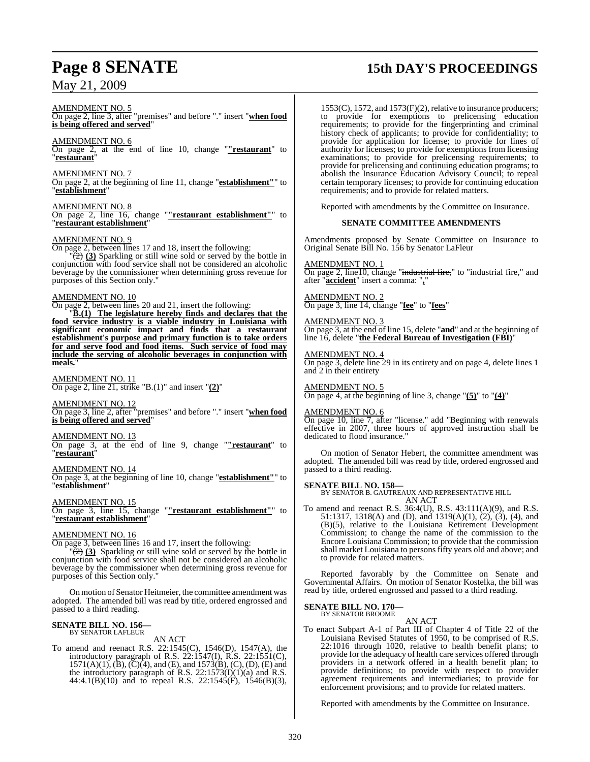#### AMENDMENT NO. 5

On page 2, line 3, after "premises" and before "." insert "**when food is being offered and served**"

AMENDMENT NO. 6 On page 2, at the end of line 10, change "**"restaurant**" to "**restaurant**"

AMENDMENT NO. 7 On page 2, at the beginning of line 11, change "**establishment"**" to "**establishment**"

AMENDMENT NO. 8 On page 2, line 16, change "**"restaurant establishment"**" to "**restaurant establishment**"

### AMENDMENT NO. 9

On page 2, between lines 17 and 18, insert the following:

 $\sqrt{2}$  (3) Sparkling or still wine sold or served by the bottle in conjunction with food service shall not be considered an alcoholic beverage by the commissioner when determining gross revenue for purposes of this Section only."

#### AMENDMENT NO. 10

On page 2, between lines 20 and 21, insert the following:

"**B.(1) The legislature hereby finds and declares that the food service industry is a viable industry in Louisiana with significant economic impact and finds that a restaurant establishment's purpose and primary function is to take orders for and serve food and food items. Such service of food may include the serving of alcoholic beverages in conjunction with** meals.

AMENDMENT NO. 11 On page 2, line 21, strike "B.(1)" and insert "**(2)**"

AMENDMENT NO. 12 On page 3, line 2, after "premises" and before "." insert "**when food is being offered and served**"

### AMENDMENT NO. 13

On page 3, at the end of line 9, change "**"restaurant**" to "**restaurant**"

AMENDMENT NO. 14 On page 3, at the beginning of line 10, change "**establishment"**" to "**establishment**"

#### AMENDMENT NO. 15

On page 3, line 15, change "**"restaurant establishment"**" to "**restaurant establishment**"

#### AMENDMENT NO. 16

On page 3, between lines 16 and 17, insert the following:

 $\frac{1}{2}$  (3) Sparkling or still wine sold or served by the bottle in conjunction with food service shall not be considered an alcoholic beverage by the commissioner when determining gross revenue for purposes of this Section only."

On motion of Senator Heitmeier, the committee amendment was adopted. The amended bill was read by title, ordered engrossed and passed to a third reading.

### **SENATE BILL NO. 156—** BY SENATOR LAFLEUR

AN ACT

To amend and reenact R.S. 22:1545(C), 1546(D), 1547(A), the introductory paragraph of R.S. 22:1547(I), R.S. 22:1551(C),  $1571(A)(1)$ ,  $(B)$ ,  $(C)(4)$ , and  $(E)$ , and  $1573(B)$ ,  $(C)$ ,  $(D)$ ,  $(E)$  and the introductory paragraph of R.S.  $22:1573(I)(1)(a)$  and R.S. 44:4.1(B)(10) and to repeal R.S. 22:1545(F), 1546(B)(3),

## **Page 8 SENATE 15th DAY'S PROCEEDINGS**

1553(C), 1572, and 1573(F)(2), relative to insurance producers; to provide for exemptions to prelicensing education requirements; to provide for the fingerprinting and criminal history check of applicants; to provide for confidentiality; to provide for application for license; to provide for lines of authority for licenses; to provide for exemptions from licensing examinations; to provide for prelicensing requirements; to provide for prelicensing and continuing education programs; to abolish the Insurance Education Advisory Council; to repeal certain temporary licenses; to provide for continuing education requirements; and to provide for related matters.

Reported with amendments by the Committee on Insurance.

#### **SENATE COMMITTEE AMENDMENTS**

Amendments proposed by Senate Committee on Insurance to Original Senate Bill No. 156 by Senator LaFleur

#### AMENDMENT NO. 1

On page 2, line10, change "industrial fire," to "industrial fire," and after "**accident**" insert a comma: "**,**"

#### AMENDMENT NO. 2

On page 3, line 14, change "**fee**" to "**fees**"

#### AMENDMENT NO. 3

On page 3, at the end of line 15, delete "**and**" and at the beginning of line 16, delete "**the Federal Bureau of Investigation (FBI)**"

#### AMENDMENT NO. 4

On page 3, delete line 29 in its entirety and on page 4, delete lines 1 and 2 in their entirety

#### AMENDMENT NO. 5

On page 4, at the beginning of line 3, change "**(5)**" to "**(4)**"

#### AMENDMENT NO. 6

On page 10, line 7, after "license." add "Beginning with renewals effective in 2007, three hours of approved instruction shall be dedicated to flood insurance."

On motion of Senator Hebert, the committee amendment was adopted. The amended bill was read by title, ordered engrossed and passed to a third reading.

#### **SENATE BILL NO. 158—**

BY SENATOR B. GAUTREAUX AND REPRESENTATIVE HILL AN ACT

To amend and reenact R.S. 36:4(U), R.S. 43:111(A)(9), and R.S. 51:1317, 1318(A) and (D), and 1319(A)(1), (2), (3), (4), and (B)(5), relative to the Louisiana Retirement Development Commission; to change the name of the commission to the Encore Louisiana Commission; to provide that the commission shall market Louisiana to persons fifty years old and above; and to provide for related matters.

Reported favorably by the Committee on Senate and Governmental Affairs. On motion of Senator Kostelka, the bill was read by title, ordered engrossed and passed to a third reading.

#### **SENATE BILL NO. 170—** BY SENATOR BROOME

AN ACT

To enact Subpart A-1 of Part III of Chapter 4 of Title 22 of the Louisiana Revised Statutes of 1950, to be comprised of R.S. 22:1016 through 1020, relative to health benefit plans; to provide for the adequacy of health care services offered through providers in a network offered in a health benefit plan; to provide definitions; to provide with respect to provider agreement requirements and intermediaries; to provide for enforcement provisions; and to provide for related matters.

Reported with amendments by the Committee on Insurance.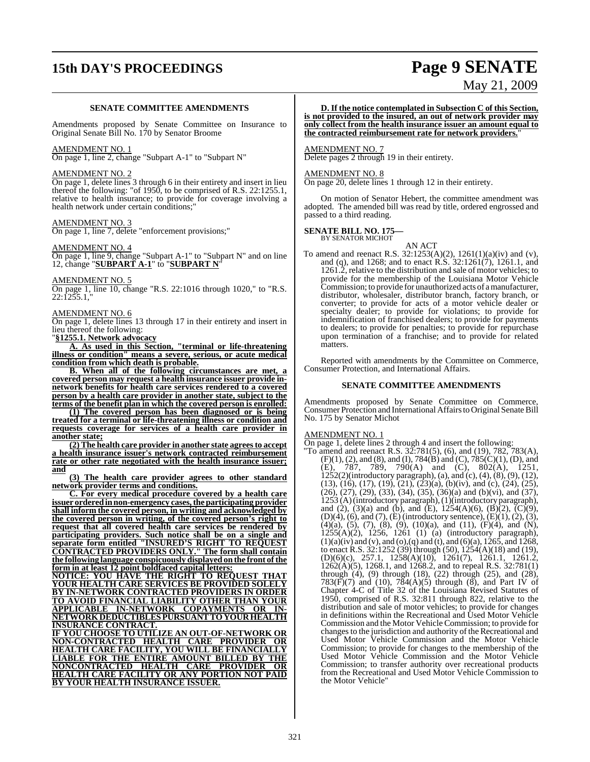# **15th DAY'S PROCEEDINGS Page 9 SENATE**

# May 21, 2009

#### **SENATE COMMITTEE AMENDMENTS**

Amendments proposed by Senate Committee on Insurance to Original Senate Bill No. 170 by Senator Broome

#### AMENDMENT NO. 1

On page 1, line 2, change "Subpart A-1" to "Subpart N"

#### AMENDMENT NO. 2

On page 1, delete lines 3 through 6 in their entirety and insert in lieu thereof the following: "of 1950, to be comprised of R.S. 22:1255.1, relative to health insurance; to provide for coverage involving a health network under certain conditions;

#### AMENDMENT NO. 3

On page 1, line 7, delete "enforcement provisions;"

#### AMENDMENT NO. 4

On page 1, line 9, change "Subpart A-1" to "Subpart N" and on line 12, change "**SUBPART A-1**" to "**SUBPART N**"

AMENDMENT NO. 5

On page 1, line 10, change "R.S. 22:1016 through 1020," to "R.S. 22:1255.1,"

#### AMENDMENT NO. 6

On page 1, delete lines 13 through 17 in their entirety and insert in lieu thereof the following:

"**§1255.1. Network advocacy**

**A. As used in this Section, "terminal or life-threatening illness or condition" means a severe, serious, or acute medical condition from which death is probable.**

**B. When all of the following circumstances are met, a covered person may request a health insurance issuer provide innetwork benefits for health care services rendered to a covered person by a health care provider in another state, subject to the terms of the benefit plan in which the covered person is enrolled:**

**(1) The covered person has been diagnosed or is being treated for a terminal or life-threatening illness or condition and requests coverage for services of a health care provider in another state;**

**(2) The health care provider in another state agreesto accept a health insurance issuer's network contracted reimbursement rate or other rate negotiated with the health insurance issuer; and**

**(3) The health care provider agrees to other standard network provider terms and conditions.**

**C. For every medical procedure covered by a health care issuer orderedinnon-emergency cases,the participating provider shall inform the covered person, in writing and acknowledged by the covered person in writing, of the covered person's right to request that all covered health care services be rendered by participating providers. Such notice shall be on a single and separate form entitled "INSURED'S RIGHT TO REQUEST CONTRACTED PROVIDERS ONLY." The form shall contain the following language conspicuously displayed on the front ofthe form in at least 12 point boldfaced capital letters:**

**NOTICE: YOU HAVE THE RIGHT TO REQUEST THAT YOUR HEALTH CARE SERVICES BE PROVIDED SOLELY BY IN-NETWORK CONTRACTED PROVIDERS IN ORDER TO AVOID FINANCIAL LIABILITY OTHER THAN YOUR APPLICABLE IN-NETWORK COPAYMENTS OR IN-NETWORKDEDUCTIBLES PURSUANT TO YOUR HEALTH INSURANCE CONTRACT.**

**IF YOU CHOOSE TO UTILIZE AN OUT-OF-NETWORK OR NON-CONTRACTED HEALTH CARE PROVIDER OR HEALTH CARE FACILITY, YOU WILL BE FINANCIALLY LIABLE FOR THE ENTIRE AMOUNT BILLED BY THE NONCONTRACTED HEALTH CARE PROVIDER OR HEALTH CARE FACILITY OR ANY PORTION NOT PAID BY YOUR HEALTH INSURANCE ISSUER.**

**D. If the notice contemplated in Subsection C of this Section, is not provided to the insured, an out of network provider may only collect from the health insurance issuer an amount equal to the contracted reimbursement rate for network providers.**"

#### AMENDMENT NO. 7

Delete pages 2 through 19 in their entirety.

#### AMENDMENT NO. 8

On page 20, delete lines 1 through 12 in their entirety.

On motion of Senator Hebert, the committee amendment was adopted. The amended bill was read by title, ordered engrossed and passed to a third reading.

#### **SENATE BILL NO. 175—** BY SENATOR MICHOT

- AN ACT
- To amend and reenact R.S. 32:1253(A)(2), 1261(1)(a)(iv) and (v), and (q), and 1268; and to enact R.S. 32:1261(7), 1261.1, and 1261.2, relative to the distribution and sale of motor vehicles; to provide for the membership of the Louisiana Motor Vehicle Commission; to provide for unauthorized acts of amanufacturer, distributor, wholesaler, distributor branch, factory branch, or converter; to provide for acts of a motor vehicle dealer or specialty dealer; to provide for violations; to provide for indemnification of franchised dealers; to provide for payments to dealers; to provide for penalties; to provide for repurchase upon termination of a franchise; and to provide for related matters.

Reported with amendments by the Committee on Commerce, Consumer Protection, and International Affairs.

#### **SENATE COMMITTEE AMENDMENTS**

Amendments proposed by Senate Committee on Commerce, Consumer Protection and International Affairs to Original Senate Bill No. 175 by Senator Michot

#### AMENDMENT NO. 1

On page 1, delete lines 2 through 4 and insert the following:

"To amend and reenact R.S. 32:781(5), (6), and (19), 782, 783(A), (F)(1), (2), and (8), and (I), 784(B) and (C), 785(C)(1), (D), and (E), 787, 789, 790(A) and (C), 802(A), 1251, 1252(2)(introductory paragraph), (a), and (c), (4), (8), (9), (12),  $(13)$ ,  $(16)$ ,  $(17)$ ,  $(19)$ ,  $(21)$ ,  $(23)(a)$ ,  $(b)(iv)$ , and  $(c)$ ,  $(24)$ ,  $(25)$ ,  $(26)$ ,  $(27)$ ,  $(29)$ ,  $(33)$ ,  $(34)$ ,  $(35)$ ,  $(36)(a)$  and  $(b)(vi)$ , and  $(37)$ , 1253 (A)(introductory paragraph),(1)(introductory paragraph), and (2), (3)(a) and (b), and (E),  $1254(A)(6)$ , (B)(2), (C)(9),  $(D)(4)$ ,  $(6)$ , and  $(7)$ ,  $(E)$  (introductory sentence),  $(E)(1)$ ,  $(2)$ ,  $(3)$ , (4)(a), (5), (7), (8), (9), (10)(a), and (11), (F)(4), and (N), 1255(A)(2), 1256, 1261 (1) (a) (introductory paragraph),  $(1)(a)(iv)$  and  $(v)$ , and  $(o)(q)$  and  $(t)$ , and  $(6)(a)$ ,  $1265$ , and  $1268$ , to enact R.S. 32:1252 (39) through (50), 1254(A)(18) and (19), (D)(6)(c), 257.1, 1258(A)(10), 1261(7), 1261.1, 1261.2, 1262(A)(5), 1268.1, and 1268.2, and to repeal R.S. 32:781(1) through (4), (9) through (18), (22) through (25), and (28),  $783(\overline{F})(7)$  and  $(10)$ ,  $784(A)(5)$  through  $(8)$ , and Part IV of Chapter 4-C of Title 32 of the Louisiana Revised Statutes of 1950, comprised of R.S. 32:811 through 822, relative to the distribution and sale of motor vehicles; to provide for changes in definitions within the Recreational and Used Motor Vehicle Commission and the Motor Vehicle Commission; to provide for changes to the jurisdiction and authority of the Recreational and Used Motor Vehicle Commission and the Motor Vehicle Commission; to provide for changes to the membership of the Used Motor Vehicle Commission and the Motor Vehicle Commission; to transfer authority over recreational products from the Recreational and Used Motor Vehicle Commission to the Motor Vehicle"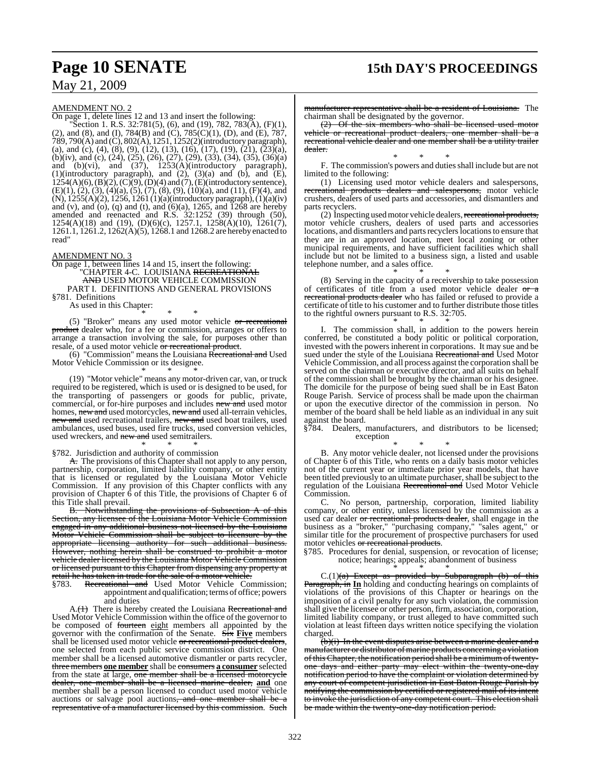## **Page 10 SENATE 15th DAY'S PROCEEDINGS**

### May 21, 2009

#### AMENDMENT NO. 2

On page 1, delete lines 12 and 13 and insert the following:

"Section 1. R.S. 32:781(5), (6), and (19), 782, 783(A), (F)(1), (2), and (8), and (I), 784(B) and (C), 785(C)(1), (D), and (E), 787, 789, 790(A) and (C), 802(A), 1251, 1252(2)(introductory paragraph), (a), and (c), (4), (8), (9), (12), (13), (16), (17), (19),  $(21)$ ,  $(23)(a)$ , (b)(iv), and (c), (24), (25), (26), (27), (29), (33), (34), (35), (36)(a) and (b)(vi), and (37), 1253(A)(introductory paragraph), (1)(introductory paragraph), and  $(2)$ ,  $(3)(a)$  and  $(b)$ , and  $(E)$ ,  $1254(A)(6)$ ,  $(B)(2)$ ,  $(C)(9)$ ,  $(D)(4)$  and  $(7)$ ,  $(E)(introducing sentence)$ ,  $(E)(1)$ ,  $(2)$ ,  $(3)$ ,  $(4)(a)$ ,  $(5)$ ,  $(7)$ ,  $(8)$ ,  $(9)$ ,  $(10)(a)$ , and  $(11)$ ,  $(F)(4)$ , and (N), 1255(A)(2), 1256, 1261 (1)(a)(introductory paragraph), (1)(a)(iv) and (v), and (o), (q) and (t), and (6)(a),  $1265$ , and  $1268$  are hereby amended and reenacted and R.S. 32:1252 (39) through (50), 1254(A)(18) and (19), (D)(6)(c), 1257.1, 1258(A)(10),  $\overline{1261(7)}$ , 1261.1, 1261.2, 1262(A)(5), 1268.1 and 1268.2 are hereby enacted to read"

#### AMENDMENT NO. 3

On page 1, between lines 14 and 15, insert the following: "CHAPTER 4-C. LOUISIANA <del>RECREATIONAL</del> AND USED MOTOR VEHICLE COMMISSION PART I. DEFINITIONS AND GENERAL PROVISIONS §781. Definitions

As used in this Chapter:

\* \* \* (5) "Broker" means any used motor vehicle  $\sigma$ r recreational product dealer who, for a fee or commission, arranges or offers to arrange a transaction involving the sale, for purposes other than resale, of a used motor vehicle or recreational product.

(6) "Commission" means the Louisiana Recreational and Used Motor Vehicle Commission or its designee. \* \* \*

(19) "Motor vehicle" means any motor-driven car, van, or truck required to be registered, which is used or is designed to be used, for the transporting of passengers or goods for public, private, commercial, or for-hire purposes and includes new and used motor homes, new and used motorcycles, new and used all-terrain vehicles, new and used recreational trailers, new and used boat trailers, used ambulances, used buses, used fire trucks, used conversion vehicles, used wreckers, and new and used semitrailers.

#### \* \* \* §782. Jurisdiction and authority of commission

A. The provisions of this Chapter shall not apply to any person, partnership, corporation, limited liability company, or other entity that is licensed or regulated by the Louisiana Motor Vehicle Commission. If any provision of this Chapter conflicts with any provision of Chapter 6 of this Title, the provisions of Chapter 6 of this Title shall prevail.

B. Notwithstanding the provisions of Subsection A of this Section, any licensee of the Louisiana Motor Vehicle Commission engaged in any additional business not licensed by the Louisiana Motor Vehicle Commission shall be subject to licensure by the appropriate licensing authority for such additional business. However, nothing herein shall be construed to prohibit a motor vehicle dealer licensed by the Louisiana Motor Vehicle Commission or licensed pursuant to this Chapter from dispensing any property at retail he has taken in trade for the sale of a motor vehicle.<br>§783. Recreational and Used Motor Vehicle Co

Recreational and Used Motor Vehicle Commission; appointment and qualification; terms of office; powers and duties

A.(1) There is hereby created the Louisiana Recreational and Used Motor Vehicle Commission within the office of the governor to be composed of fourteen eight members all appointed by the governor with the confirmation of the Senate. Six **Five** members shall be licensed used motor vehicle or recreational product dealers, one selected from each public service commission district. One member shall be a licensed automotive dismantler or parts recycler, three members **one member** shall be consumers **a consumer** selected from the state at large, one member shall be a licensed motorcycle dealer, one member shall be a licensed marine dealer, **and** one member shall be a person licensed to conduct used motor vehicle auctions or salvage pool auctions, and one member shall be representative of a manufacturer licensed by this commission. Such

manufacturer representative shall be a resident of Louisiana. The chairman shall be designated by the governor.

 $(2)$  Of the six members who shall be licensed used motor vehicle or recreational product dealers, one member shall be a recreational vehicle dealer and one member shall be a utility trailer dealer. \* \* \*

F. The commission's powers and duties shall include but are not limited to the following:

(1) Licensing used motor vehicle dealers and salespersons, eational products dealers and salespersons, motor vehicle crushers, dealers of used parts and accessories, and dismantlers and parts recyclers.

(2) Inspecting used motor vehicle dealers, recreational products, motor vehicle crushers, dealers of used parts and accessories locations, and dismantlers and parts recyclers locations to ensure that they are in an approved location, meet local zoning or other municipal requirements, and have sufficient facilities which shall include but not be limited to a business sign, a listed and usable telephone number, and a sales office.

\* \* \* (8) Serving in the capacity of a receivership to take possession of certificates of title from a used motor vehicle dealer or a recreational products dealer who has failed or refused to provide a certificate of title to his customer and to further distribute those titles to the rightful owners pursuant to R.S. 32:705. \* \* \*

I. The commission shall, in addition to the powers herein conferred, be constituted a body politic or political corporation, invested with the powers inherent in corporations. It may sue and be sued under the style of the Louisiana Recreational and Used Motor Vehicle Commission, and all process against the corporation shall be served on the chairman or executive director, and all suits on behalf of the commission shall be brought by the chairman or his designee. The domicile for the purpose of being sued shall be in East Baton Rouge Parish. Service of process shall be made upon the chairman or upon the executive director of the commission in person. No member of the board shall be held liable as an individual in any suit against the board.

§784. Dealers, manufacturers, and distributors to be licensed; exception \* \* \*

B. Any motor vehicle dealer, not licensed under the provisions of Chapter 6 of this Title, who rents on a daily basis motor vehicles not of the current year or immediate prior year models, that have been titled previously to an ultimate purchaser, shall be subject to the regulation of the Louisiana Recreational and Used Motor Vehicle Commission.

C. No person, partnership, corporation, limited liability company, or other entity, unless licensed by the commission as a used car dealer <del>or recreational products dealer</del>, shall engage in the business as a "broker," "purchasing company," "sales agent," or similar title for the procurement of prospective purchasers for used motor vehicles or recreational products.

§785. Procedures for denial, suspension, or revocation of license; notice; hearings; appeals; abandonment of business

\* \* \*  $C.(1)(a)$  Except as provided by Subparagraph (b) of this Paragraph, in **In** holding and conducting hearings on complaints of violations of the provisions of this Chapter or hearings on the imposition of a civil penalty for any such violation, the commission shall give the licensee or other person, firm, association, corporation, limited liability company, or trust alleged to have committed such violation at least fifteen days written notice specifying the violation charged.

(b)(i) In the event disputes arise between a marine dealer and a manufacturer or distributor of marine products concerning a violation ofthis Chapter, the notification period shall be a minimumoftwentyone days and either party may elect within the twenty-one-day notification period to have the complaint or violation determined by any court of competent jurisdiction in East Baton Rouge Parish by notifying the commission by certified or registered mail of its intent to invoke the jurisdiction of any competent court. This election shall be made within the twenty-one-day notification period.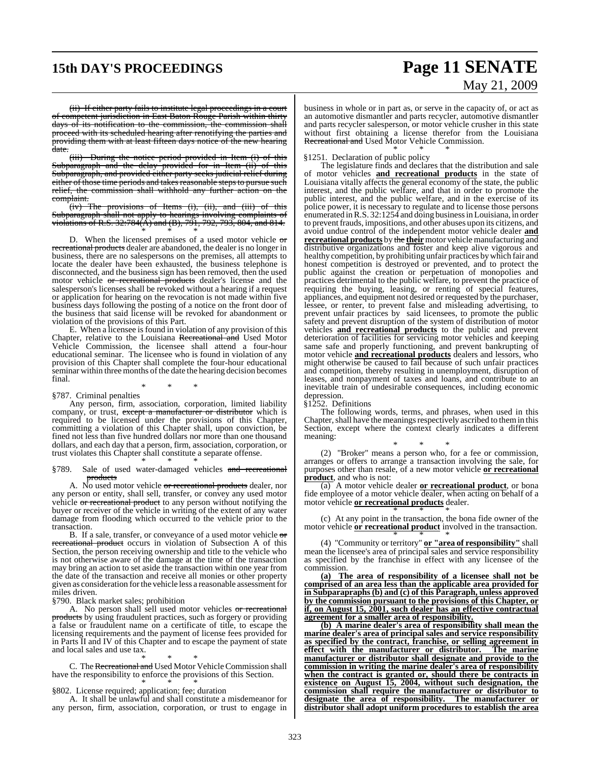## **15th DAY'S PROCEEDINGS Page 11 SENATE**

# May 21, 2009

(ii) If either party fails to institute legal proceedings in a court of competent jurisdiction in East Baton Rouge Parish within thirty days of its notification to the commission, the commission shall proceed with its scheduled hearing after renotifying the parties and providing them with at least fifteen days notice of the new hearing date.

(iii) During the notice period provided in Item (i) of this Subparagraph and the delay provided for in Item (ii) of this Subparagraph, and provided either party seeks judicial relief during either of those time periods and takes reasonable steps to pursue such relief, the commission shall withhold any further action on the complaint.<br>(iv) The

#### (iv) The provisions of Items (i), (ii), and (iii) of this Subparagraph shall not apply to hearings involving complaints of violations of R.S. 32:784(A) and (B), 791, 792, 793, 804, and 814. \* \* \*

D. When the licensed premises of a used motor vehicle  $\sigma$ recreational products dealer are abandoned, the dealer is no longer in business, there are no salespersons on the premises, all attempts to locate the dealer have been exhausted, the business telephone is disconnected, and the business sign has been removed, then the used motor vehicle or recreational products dealer's license and the salesperson's licenses shall be revoked without a hearing if a request or application for hearing on the revocation is not made within five business days following the posting of a notice on the front door of the business that said license will be revoked for abandonment or violation of the provisions of this Part.

E. When a licensee is found in violation of any provision of this Chapter, relative to the Louisiana Recreational and Used Motor Vehicle Commission, the licensee shall attend a four-hour educational seminar. The licensee who is found in violation of any provision of this Chapter shall complete the four-hour educational seminar within three months of the date the hearing decision becomes final.

#### \* \* \* §787. Criminal penalties

Any person, firm, association, corporation, limited liability company, or trust, except a manufacturer or distributor which is required to be licensed under the provisions of this Chapter, committing a violation of this Chapter shall, upon conviction, be fined not less than five hundred dollars nor more than one thousand dollars, and each day that a person, firm, association, corporation, or trust violates this Chapter shall constitute a separate offense. \* \* \*

#### §789. Sale of used water-damaged vehicles and recreational products

A. No used motor vehicle <del>or recreational products</del> dealer, nor any person or entity, shall sell, transfer, or convey any used motor vehicle or recreational product to any person without notifying the buyer or receiver of the vehicle in writing of the extent of any water damage from flooding which occurred to the vehicle prior to the transaction.

B. If a sale, transfer, or conveyance of a used motor vehicle or recreational product occurs in violation of Subsection A of this Section, the person receiving ownership and title to the vehicle who is not otherwise aware of the damage at the time of the transaction may bring an action to set aside the transaction within one year from the date of the transaction and receive all monies or other property given as consideration for the vehicle less a reasonable assessment for miles driven.

§790. Black market sales; prohibition

A. No person shall sell used motor vehicles or recreational products by using fraudulent practices, such as forgery or providing a false or fraudulent name on a certificate of title, to escape the licensing requirements and the payment of license fees provided for in Parts II and IV of this Chapter and to escape the payment of state and local sales and use tax.

\* \* \* C. The Recreational and Used Motor Vehicle Commission shall have the responsibility to enforce the provisions of this Section.

#### \* \* \* §802. License required; application; fee; duration

A. It shall be unlawful and shall constitute a misdemeanor for any person, firm, association, corporation, or trust to engage in business in whole or in part as, or serve in the capacity of, or act as an automotive dismantler and parts recycler, automotive dismantler and parts recycler salesperson, or motor vehicle crusher in this state without first obtaining a license therefor from the Louisiana Recreational and Used Motor Vehicle Commission.

\* \* \* §1251. Declaration of public policy

The legislature finds and declares that the distribution and sale of motor vehicles **and recreational products** in the state of Louisiana vitally affects the general economy of the state, the public interest, and the public welfare, and that in order to promote the public interest, and the public welfare, and in the exercise of its police power, it is necessary to regulate and to license those persons enumerated inR.S. 32:1254 and doing businessin Louisiana, in order to preventfrauds, impositions, and other abuses upon its citizens, and avoid undue control of the independent motor vehicle dealer **and recreational products** by the **their** motor vehicle manufacturing and distributive organizations and foster and keep alive vigorous and healthy competition, by prohibiting unfair practices bywhich fair and honest competition is destroyed or prevented, and to protect the public against the creation or perpetuation of monopolies and practices detrimental to the public welfare, to prevent the practice of requiring the buying, leasing, or renting of special features, appliances, and equipment not desired or requested by the purchaser, lessee, or renter, to prevent false and misleading advertising, to prevent unfair practices by said licensees, to promote the public safety and prevent disruption of the system of distribution of motor vehicles **and recreational products** to the public and prevent deterioration of facilities for servicing motor vehicles and keeping same safe and properly functioning, and prevent bankrupting of motor vehicle **and recreational products** dealers and lessors, who might otherwise be caused to fail because of such unfair practices and competition, thereby resulting in unemployment, disruption of leases, and nonpayment of taxes and loans, and contribute to an inevitable train of undesirable consequences, including economic depression.

#### §1252. Definitions

The following words, terms, and phrases, when used in this Chapter, shall have the meanings respectively ascribed to them in this Section, except where the context clearly indicates a different meaning:

\* \* \* (2) "Broker" means a person who, for a fee or commission, arranges or offers to arrange a transaction involving the sale, for purposes other than resale, of a new motor vehicle **or recreational product**, and who is not:

(a) A motor vehicle dealer **or recreational product**, or bona fide employee of a motor vehicle dealer, when acting on behalf of a motor vehicle **or recreational products** dealer. \* \* \*

(c) At any point in the transaction, the bona fide owner of the motor vehicle **or recreational product** involved in the transaction.

\* \* \* (4) "Community or territory" **or "area of responsibility"** shall mean the licensee's area of principal sales and service responsibility as specified by the franchise in effect with any licensee of the commission.

**(a) The area of responsibility of a licensee shall not be comprised of an area less than the applicable area provided for in Subparapraphs (b) and (c) of this Paragraph, unless approved by the commission pursuant to the provisions of this Chapter, or if, on August 15, 2001, such dealer has an effective contractual agreement for a smaller area of responsibility.**

**(b) A marine dealer's area of responsibility shall mean the marine dealer's area of principal sales and service responsibility as specified by the contract, franchise, or selling agreement in effect with the manufacturer or distributor. The marine manufacturer or distributor shall designate and provide to the commission in writing the marine dealer's area of responsibility when the contract is granted or, should there be contracts in existence on August 15, 2004, without such designation, the commission shall require the manufacturer or distributor to designate the area of responsibility. The manufacturer or distributor shall adopt uniform procedures to establish the area**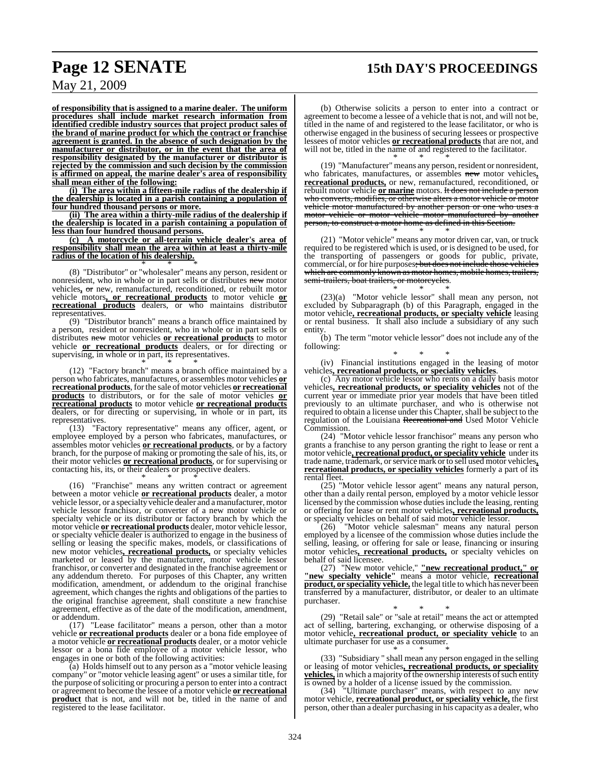# **Page 12 SENATE 15th DAY'S PROCEEDINGS**

May 21, 2009

**of responsibility that is assigned to a marine dealer. The uniform procedures shall include market research information from identified credible industry sources that project product sales of the brand of marine product for which the contract or franchise agreement is granted. In the absence of such designation by the manufacturer or distributor, or in the event that the area of responsibility designated by the manufacturer or distributor is rejected by the commission and such decision by the commission is affirmed on appeal, the marine dealer's area of responsibility shall mean either of the following:**

**(i) The area within a fifteen-mile radius of the dealership if the dealership is located in a parish containing a population of four hundred thousand persons or more.**

**(ii) The area within a thirty-mile radius of the dealership if the dealership is located in a parish containing a population of less than four hundred thousand persons.**

**(c) A motorcycle or all-terrain vehicle dealer's area of responsibility shall mean the area within at least a thirty-mile radius of the location of his dealership.** \* \* \*

(8) "Distributor" or "wholesaler" means any person, resident or nonresident, who in whole or in part sells or distributes new motor vehicles**,** or new, remanufactured, reconditioned, or rebuilt motor vehicle motors**, or recreational products** to motor vehicle **or recreational products** dealers, or who maintains distributor representatives.

(9) "Distributor branch" means a branch office maintained by a person, resident or nonresident, who in whole or in part sells or distributes new motor vehicles **or recreational products** to motor vehicle **or recreational products** dealers, or for directing or supervising, in whole or in part, its representatives.

\* \* \* (12) "Factory branch" means a branch office maintained by a person who fabricates, manufactures, or assembles motor vehicles **or recreational products**, for the sale of motor vehicles **or recreational products** to distributors, or for the sale of motor vehicles **or recreational products** to motor vehicle **or recreational products** dealers, or for directing or supervising, in whole or in part, its representatives.

(13) "Factory representative" means any officer, agent, or employee employed by a person who fabricates, manufactures, or assembles motor vehicles **or recreational products**, or by a factory branch, for the purpose of making or promoting the sale of his, its, or their motor vehicles **or recreational products**, or for supervising or contacting his, its, or their dealers or prospective dealers.

\* \* \* (16) "Franchise" means any written contract or agreement between a motor vehicle **or recreational products** dealer, a motor vehicle lessor, or a specialty vehicle dealer and a manufacturer, motor vehicle lessor franchisor, or converter of a new motor vehicle or specialty vehicle or its distributor or factory branch by which the motor vehicle **or recreational products** dealer, motor vehicle lessor, or specialty vehicle dealer is authorized to engage in the business of selling or leasing the specific makes, models, or classifications of new motor vehicles**, recreational products,** or specialty vehicles marketed or leased by the manufacturer, motor vehicle lessor franchisor, or converter and designated in the franchise agreement or any addendum thereto. For purposes of this Chapter, any written modification, amendment, or addendum to the original franchise agreement, which changes the rights and obligations of the parties to the original franchise agreement, shall constitute a new franchise

or addendum. (17) "Lease facilitator" means a person, other than a motor vehicle **or recreational products** dealer or a bona fide employee of a motor vehicle **or recreational products** dealer, or a motor vehicle lessor or a bona fide employee of a motor vehicle lessor, who engages in one or both of the following activities:

agreement, effective as of the date of the modification, amendment,

(a) Holds himself out to any person as a "motor vehicle leasing company" or "motor vehicle leasing agent" or uses a similar title, for the purpose ofsoliciting or procuring a person to enter into a contract or agreement to become the lessee of a motor vehicle **or recreational product** that is not, and will not be, titled in the name of and registered to the lease facilitator.

(b) Otherwise solicits a person to enter into a contract or agreement to become a lessee of a vehicle that is not, and will not be, titled in the name of and registered to the lease facilitator, or who is otherwise engaged in the business of securing lessees or prospective lessees of motor vehicles **or recreational products** that are not, and will not be, titled in the name of and registered to the facilitator. \* \* \*

(19) "Manufacturer" means any person, resident or nonresident, who fabricates, manufactures, or assembles new motor vehicles**, recreational products,** or new, remanufactured, reconditioned, or rebuilt motor vehicle **or marine** motors. It does not include a person who converts, modifies, or otherwise alters a motor vehicle or motor vehicle motor manufactured by another person or one who uses a motor vehicle or motor vehicle motor manufactured by another person, to construct a motor home as defined in this Section. \* \* \*

(21) "Motor vehicle" means any motor driven car, van, or truck required to be registered which is used, or is designed to be used, for the transporting of passengers or goods for public, private, commercial, or for hire purposes<del>; but does not include those vehicles</del> which are commonly known as motor homes, mobile homes, trailers, semi-trailers, boat trailers, or motorcycles.

\* \* \* (23)(a) "Motor vehicle lessor" shall mean any person, not excluded by Subparagraph (b) of this Paragraph, engaged in the motor vehicle**, recreational products, or specialty vehicle** leasing or rental business. It shall also include a subsidiary of any such entity.

(b) The term "motor vehicle lessor" does not include any of the following:

\* \* \* (iv) Financial institutions engaged in the leasing of motor vehicles**, recreational products, or speciality vehicles**.

(c) Any motor vehicle lessor who rents on a daily basis motor vehicles**, recreational products, or speciality vehicles** not of the current year or immediate prior year models that have been titled previously to an ultimate purchaser, and who is otherwise not required to obtain a license under this Chapter, shall be subject to the regulation of the Louisiana Recreational and Used Motor Vehicle Commission.

(24) "Motor vehicle lessor franchisor" means any person who grants a franchise to any person granting the right to lease or rent a motor vehicle**, recreational product, or speciality vehicle** under its trade name, trademark, orservice mark orto sell used motor vehicles**, recreational products, or speciality vehicles** formerly a part of its rental fleet.

(25) "Motor vehicle lessor agent" means any natural person, other than a daily rental person, employed by a motor vehicle lessor licensed by the commission whose dutiesinclude the leasing, renting or offering for lease or rent motor vehicles**, recreational products,** or specialty vehicles on behalf of said motor vehicle lessor.

(26) "Motor vehicle salesman" means any natural person employed by a licensee of the commission whose duties include the selling, leasing, or offering for sale or lease, financing or insuring motor vehicles**, recreational products,** or specialty vehicles on behalf of said licensee.

(27) "New motor vehicle," **"new recreational product," or "new specialty vehicle"** means a motor vehicle, **recreational product, or speciality vehicle,** the legal title to which has never been transferred by a manufacturer, distributor, or dealer to an ultimate purchaser.

\* \* \* (29) "Retail sale" or "sale at retail" means the act or attempted act of selling, bartering, exchanging, or otherwise disposing of a motor vehicle**, recreational product, or speciality vehicle** to an ultimate purchaser for use as a consumer.

\* \* \* (33) "Subsidiary " shall mean any person engaged in the selling or leasing of motor vehicles**, recreational products, or speciality vehicles,** in which a majority of the ownership interests of such entity is owned by a holder of a license issued by the commission.

(34) "Ultimate purchaser" means, with respect to any new motor vehicle, **recreational product, or speciality vehicle,** the first person, other than a dealer purchasing in his capacity as a dealer, who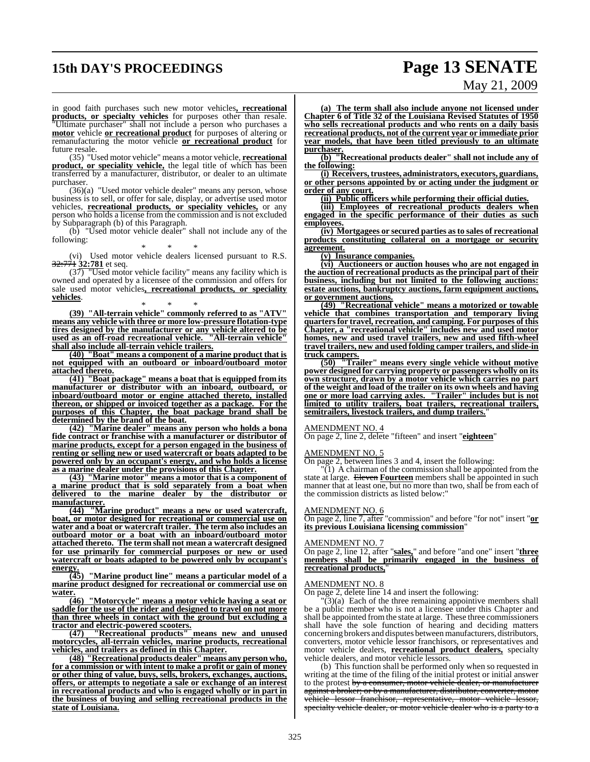## **15th DAY'S PROCEEDINGS Page 13 SENATE**

# May 21, 2009

in good faith purchases such new motor vehicles**, recreational products, or specialty vehicles** for purposes other than resale. "Ultimate purchaser" shall not include a person who purchases a **motor** vehicle **or recreational product** for purposes of altering or remanufacturing the motor vehicle **or recreational product** for future resale.

(35) "Used motor vehicle" means a motor vehicle, **recreational product, or speciality vehicle,** the legal title of which has been transferred by a manufacturer, distributor, or dealer to an ultimate purchaser.

(36)(a) "Used motor vehicle dealer" means any person, whose business is to sell, or offer for sale, display, or advertise used motor vehicles, **recreational products, or speciality vehicles,** or any person who holds a license from the commission and is not excluded by Subparagraph (b) of this Paragraph.

(b) "Used motor vehicle dealer" shall not include any of the following:

\* \* \* (vi) Used motor vehicle dealers licensed pursuant to R.S. 32:771 **32:781** et seq.

 $(37)$  "Used motor vehicle facility" means any facility which is owned and operated by a licensee of the commission and offers for sale used motor vehicles**, recreational products, or speciality vehicles**.

\* \* \* **(39) "All-terrain vehicle" commonly referred to as "ATV" means any vehicle with three or more low-pressure flotation-type tires designed by the manufacturer or any vehicle altered to be used as an off-road recreational vehicle. "All-terrain vehicle" shall also include all-terrain vehicle trailers.**

**(40) "Boat" means a component of a marine product that is not equipped with an outboard or inboard/outboard motor attached thereto.**

**(41) "Boat package" means a boat that is equipped from its manufacturer or distributor with an inboard, outboard, or inboard/outboard motor or engine attached thereto, installed thereon, or shipped or invoiced together as a package. For the purposes of this Chapter, the boat package brand shall be determined by the brand of the boat.**

**(42) "Marine dealer" means any person who holds a bona fide contract or franchise with a manufacturer or distributor of marine products, except for a person engaged in the business of renting or selling new or used watercraft or boats adapted to be powered only by an occupant's energy, and who holds a license as a marine dealer under the provisions of this Chapter.**

**(43) "Marine motor" means a motor that is a component of a marine product that is sold separately from a boat when delivered to the marine dealer by the distributor or manufacturer.**

**(44) "Marine product" means a new or used watercraft, boat, or motor designed for recreational or commercial use on water and a boat or watercraft trailer. The term also includes an outboard motor or a boat with an inboard/outboard motor attached thereto. The term shall not mean a watercraft designed for use primarily for commercial purposes or new or used watercraft or boats adapted to be powered only by occupant's energy.**

**(45) "Marine product line" means a particular model of a marine product designed for recreational or commercial use on water.**

**(46) "Motorcycle" means a motor vehicle having a seat or saddle for the use of the rider and designed to travel on not more than three wheels in contact with the ground but excluding a tractor and electric-powered scooters.**

**(47) "Recreational products" means new and unused motorcycles, all-terrain vehicles, marine products, recreational vehicles, and trailers as defined in this Chapter.**

**(48) "Recreational products dealer" means any person who, for a commission or with intent to make a profit or gain of money or other thing of value, buys, sells, brokers, exchanges, auctions, offers, or attempts to negotiate a sale or exchange of an interest in recreational products and who is engaged wholly or in part in the business of buying and selling recreational products in the state of Louisiana.**

**(a) The term shall also include anyone not licensed under Chapter 6 of Title 32 of the Louisiana Revised Statutes of 1950 who sells recreational products and who rents on a daily basis recreational products, not of the current year or immediate prior year models, that have been titled previously to an ultimate purchaser.**

**(b) "Recreational products dealer" shall not include any of the following:**

**(i) Receivers, trustees, administrators, executors, guardians, or other persons appointed by or acting under the judgment or order of any court.**

**(ii) Public officers while performing their official duties.**

**(iii) Employees of recreational products dealers when engaged in the specific performance of their duties as such employees.**

**(iv) Mortgagees or secured parties as to sales of recreational products constituting collateral on a mortgage or security agreement.**

**(v) Insurance companies.**

**(vi) Auctioneers or auction houses who are not engaged in the auction of recreational products as the principal part of their business, including but not limited to the following auctions: estate auctions, bankruptcy auctions, farm equipment auctions, or government auctions.**

**(49) "Recreational vehicle" means a motorized or towable vehicle that combines transportation and temporary living quartersfor travel, recreation, and camping. For purposes of this Chapter, a "recreational vehicle" includes new and used motor homes, new and used travel trailers, new and used fifth-wheel travel trailers, new and used folding camper trailers, and slide-in truck campers.**

**(50) "Trailer" means every single vehicle without motive power designed for carrying property or passengers wholly on its own structure, drawn by a motor vehicle which carries no part of the weight and load of the trailer on its own wheels and having one or more load carrying axles. "Trailer" includes but is not limited to utility trailers, boat trailers, recreational trailers, semitrailers, livestock trailers, and dump trailers.**"

#### AMENDMENT NO. 4

On page 2, line 2, delete "fifteen" and insert "**eighteen**"

#### AMENDMENT NO. 5

On page 2, between lines 3 and 4, insert the following:

"(1) A chairman of the commission shall be appointed from the state at large. Eleven **Fourteen** members shall be appointed in such manner that at least one, but no more than two, shall be from each of the commission districts as listed below:"

#### AMENDMENT NO. 6

On page 2, line 7, after "commission" and before "for not" insert "**or its previous Louisiana licensing commission**"

#### AMENDMENT NO. 7

On page 2, line 12, after "**sales,**" and before "and one" insert "**three members shall be primarily engaged in the business of recreational products,**"

#### AMENDMENT NO. 8

On page 2, delete line 14 and insert the following:

"(3)(a) Each of the three remaining appointive members shall be a public member who is not a licensee under this Chapter and shall be appointed fromthe state at large. These three commissioners shall have the sole function of hearing and deciding matters concerning brokers and disputes between manufacturers, distributors, converters, motor vehicle lessor franchisors, or representatives and motor vehicle dealers, **recreational product dealers,** specialty vehicle dealers, and motor vehicle lessors.

(b) This function shall be performed only when so requested in writing at the time of the filing of the initial protest or initial answer to the protest by a consumer, motor vehicle dealer, or manufacturer against a broker; or by a manufacturer, distributor, converter, motor vehicle lessor franchisor, representative, motor vehicle lessor, specialty vehicle dealer, or motor vehicle dealer who is a party to a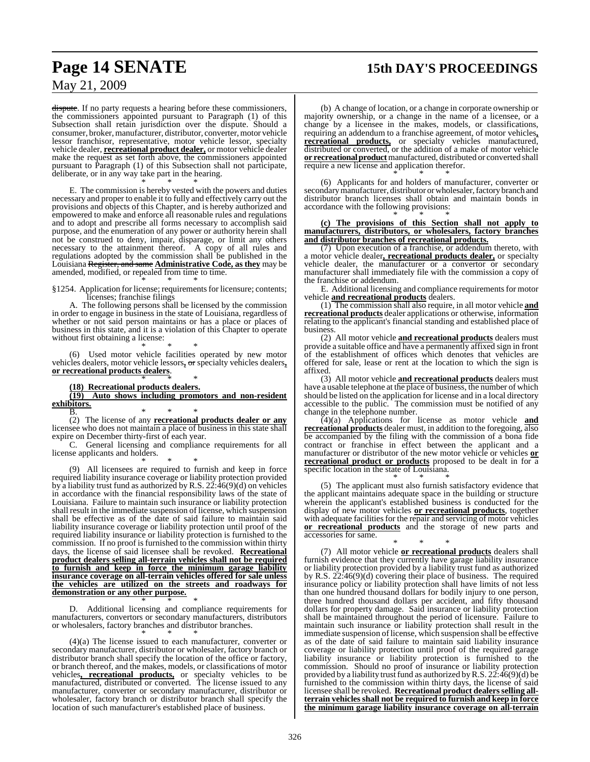## **Page 14 SENATE 15th DAY'S PROCEEDINGS**

### May 21, 2009

dispute. If no party requests a hearing before these commissioners, the commissioners appointed pursuant to Paragraph (1) of this Subsection shall retain jurisdiction over the dispute. Should a consumer, broker, manufacturer, distributor, converter, motor vehicle lessor franchisor, representative, motor vehicle lessor, specialty vehicle dealer, **recreational product dealer,** or motor vehicle dealer make the request as set forth above, the commissioners appointed pursuant to Paragraph (1) of this Subsection shall not participate, deliberate, or in any way take part in the hearing.

\* \* \* E. The commission is hereby vested with the powers and duties necessary and proper to enable it to fully and effectively carry out the provisions and objects of this Chapter, and is hereby authorized and empowered to make and enforce all reasonable rules and regulations and to adopt and prescribe all forms necessary to accomplish said purpose, and the enumeration of any power or authority herein shall not be construed to deny, impair, disparage, or limit any others necessary to the attainment thereof. A copy of all rules and regulations adopted by the commission shall be published in the Louisiana Register, and same **Administrative Code, as they** may be amended, modified, or repealed from time to time.

\* \* \* §1254. Application for license; requirements for licensure; contents; licenses; franchise filings

A. The following persons shall be licensed by the commission in order to engage in business in the state of Louisiana, regardless of whether or not said person maintains or has a place or places of business in this state, and it is a violation of this Chapter to operate without first obtaining a license:

\* \* \* (6) Used motor vehicle facilities operated by new motor vehicles dealers, motor vehicle lessors**,** or specialty vehicles dealers**, or recreational products dealers**.

#### \* \* \* **(18) Recreational products dealers.**

**(19) Auto shows including promotors and non-resident exhibitors.**

B. \* \* \* (2) The license of any **recreational products dealer or any** licensee who does not maintain a place of business in this state shall expire on December thirty-first of each year.

C. General licensing and compliance requirements for all license applicants and holders.

\* \* \* (9) All licensees are required to furnish and keep in force required liability insurance coverage or liability protection provided by a liability trust fund as authorized by R.S. 22:46(9)(d) on vehicles in accordance with the financial responsibility laws of the state of Louisiana. Failure to maintain such insurance or liability protection shall result in the immediate suspension of license, which suspension shall be effective as of the date of said failure to maintain said liability insurance coverage or liability protection until proof of the required liability insurance or liability protection is furnished to the commission. If no proof is furnished to the commission within thirty days, the license of said licensee shall be revoked. **Recreational product dealers selling all-terrain vehicles shall not be required to furnish and keep in force the minimum garage liability insurance coverage on all-terrain vehicles offered for sale unless the vehicles are utilized on the streets and roadways for demonstration or any other purpose.**

\* \* \* D. Additional licensing and compliance requirements for manufacturers, convertors or secondary manufacturers, distributors or wholesalers, factory branches and distributor branches.

\* \* \* (4)(a) The license issued to each manufacturer, converter or secondary manufacturer, distributor or wholesaler, factory branch or distributor branch shall specify the location of the office or factory, or branch thereof, and the makes, models, or classifications of motor vehicles**, recreational products,** or specialty vehicles to be manufactured, distributed or converted. The license issued to any manufacturer, converter or secondary manufacturer, distributor or wholesaler, factory branch or distributor branch shall specify the location of such manufacturer's established place of business.

(b) A change of location, or a change in corporate ownership or majority ownership, or a change in the name of a licensee, or a change by a licensee in the makes, models, or classifications, requiring an addendum to a franchise agreement, of motor vehicles**, recreational products,** or specialty vehicles manufactured, distributed or converted, or the addition of a make of motor vehicle **or recreational product**manufactured, distributed or converted shall require a new license and application therefor.

\* \* \* (6) Applicants for and holders of manufacturer, converter or secondary manufacturer, distributor or wholesaler, factory branch and distributor branch licenses shall obtain and maintain bonds in accordance with the following provisions:

\* \* \* **(c) The provisions of this Section shall not apply to manufacturers, distributors, or wholesalers, factory branches and distributor branches of recreational products.**

(7) Upon execution of a franchise, or addendum thereto, with a motor vehicle dealer**, recreational products dealer,** or specialty vehicle dealer, the manufacturer or a convertor or secondary manufacturer shall immediately file with the commission a copy of the franchise or addendum.

E. Additional licensing and compliance requirements for motor vehicle **and recreational products** dealers.

(1) The commission shall also require, in all motor vehicle **and recreational products** dealer applications or otherwise, information relating to the applicant's financial standing and established place of business.

(2) All motor vehicle **and recreational products** dealers must provide a suitable office and have a permanently affixed sign in front of the establishment of offices which denotes that vehicles are offered for sale, lease or rent at the location to which the sign is affixed.

(3) All motor vehicle **and recreational products** dealers must have a usable telephone at the place of business, the number of which should be listed on the application for license and in a local directory accessible to the public. The commission must be notified of any change in the telephone number.

(4)(a) Applications for license as motor vehicle **and recreational products** dealer must, in addition to the foregoing, also be accompanied by the filing with the commission of a bona fide contract or franchise in effect between the applicant and a manufacturer or distributor of the new motor vehicle or vehicles **or recreational product or products** proposed to be dealt in for a specific location in the state of Louisiana.

\* \* \* (5) The applicant must also furnish satisfactory evidence that the applicant maintains adequate space in the building or structure wherein the applicant's established business is conducted for the display of new motor vehicles **or recreational products**, together with adequate facilities for the repair and servicing of motor vehicles **or recreational products** and the storage of new parts and accessories for same.

\* \* \* (7) All motor vehicle **or recreational products** dealers shall furnish evidence that they currently have garage liability insurance or liability protection provided by a liability trust fund as authorized by R.S. 22:46(9)(d) covering their place of business. The required insurance policy or liability protection shall have limits of not less than one hundred thousand dollars for bodily injury to one person, three hundred thousand dollars per accident, and fifty thousand dollars for property damage. Said insurance or liability protection shall be maintained throughout the period of licensure. Failure to maintain such insurance or liability protection shall result in the immediate suspension of license, which suspension shall be effective as of the date of said failure to maintain said liability insurance coverage or liability protection until proof of the required garage liability insurance or liability protection is furnished to the commission. Should no proof of insurance or liability protection provided by a liability trust fund as authorized by R.S.  $22:46(9)(d)$  be furnished to the commission within thirty days, the license of said licensee shall be revoked. **Recreational product dealersselling allterrain vehicles shall not be required to furnish and keep in force the minimum garage liability insurance coverage on all-terrain**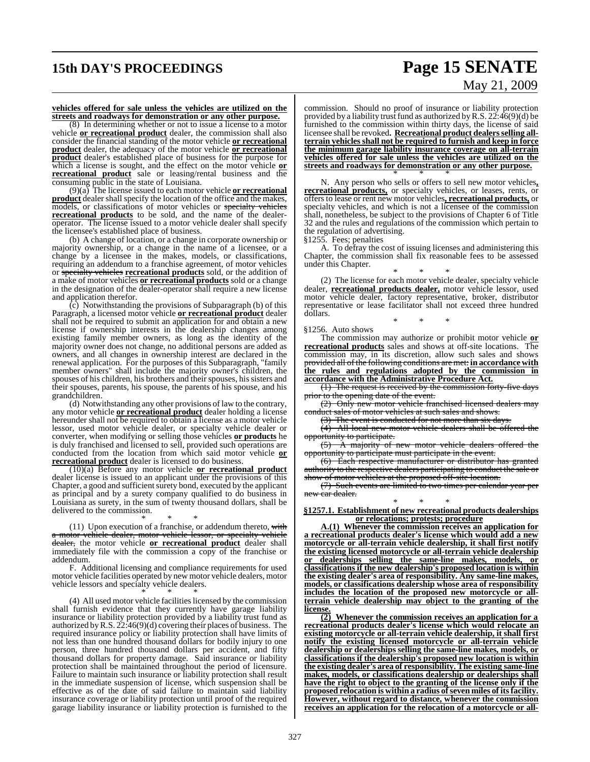# **15th DAY'S PROCEEDINGS Page 15 SENATE**

# May 21, 2009

#### **vehicles offered for sale unless the vehicles are utilized on the streets and roadways for demonstration or any other purpose.**

(8) In determining whether or not to issue a license to a motor vehicle **or recreational product** dealer, the commission shall also consider the financial standing of the motor vehicle **or recreational product** dealer, the adequacy of the motor vehicle **or recreational product** dealer's established place of business for the purpose for which a license is sought, and the effect on the motor vehicle **or recreational product** sale or leasing/rental business and the consuming public in the state of Louisiana.

(9)(a) The license issued to each motor vehicle **or recreational product** dealer shall specify the location of the office and the makes, models, or classifications of motor vehicles or specialty vehicles **recreational products** to be sold, and the name of the dealeroperator. The license issued to a motor vehicle dealer shall specify the licensee's established place of business.

(b) A change of location, or a change in corporate ownership or majority ownership, or a change in the name of a licensee, or a change by a licensee in the makes, models, or classifications, requiring an addendum to a franchise agreement, of motor vehicles or specialty vehicles **recreational products** sold, or the addition of a make of motor vehicles **or recreational products** sold or a change in the designation of the dealer-operator shall require a new license and application therefor.

 $(c)$  Notwithstanding the provisions of Subparagraph (b) of this Paragraph, a licensed motor vehicle **or recreational product** dealer shall not be required to submit an application for and obtain a new license if ownership interests in the dealership changes among existing family member owners, as long as the identity of the majority owner does not change, no additional persons are added as owners, and all changes in ownership interest are declared in the renewal application. For the purposes of this Subparagraph, "family member owners" shall include the majority owner's children, the spouses of his children, his brothers and their spouses, his sisters and their spouses, parents, his spouse, the parents of his spouse, and his grandchildren.

(d) Notwithstanding any other provisions of law to the contrary, any motor vehicle **or recreational product** dealer holding a license hereunder shall not be required to obtain a license as a motor vehicle lessor, used motor vehicle dealer, or specialty vehicle dealer or converter, when modifying or selling those vehicles **or products** he is duly franchised and licensed to sell, provided such operations are conducted from the location from which said motor vehicle **or recreational product** dealer is licensed to do business.

(10)(a) Before any motor vehicle **or recreational product** dealer license is issued to an applicant under the provisions of this Chapter, a good and sufficient surety bond, executed by the applicant as principal and by a surety company qualified to do business in Louisiana as surety, in the sum of twenty thousand dollars, shall be delivered to the commission.

\* \* \* (11) Upon execution of a franchise, or addendum thereto, with a motor vehicle dealer, motor vehicle lessor, or specialty vehicle dealer, the motor vehicle **or recreational product** dealer shall immediately file with the commission a copy of the franchise or addendum.

F. Additional licensing and compliance requirements for used motor vehicle facilities operated by new motor vehicle dealers, motor vehicle lessors and specialty vehicle dealers.

\* \* \* (4) All used motor vehicle facilities licensed by the commission shall furnish evidence that they currently have garage liability insurance or liability protection provided by a liability trust fund as authorized by R.S.  $22:46(9)(d)$  covering their places of business. The required insurance policy or liability protection shall have limits of not less than one hundred thousand dollars for bodily injury to one person, three hundred thousand dollars per accident, and fifty thousand dollars for property damage. Said insurance or liability protection shall be maintained throughout the period of licensure. Failure to maintain such insurance or liability protection shall result in the immediate suspension of license, which suspension shall be effective as of the date of said failure to maintain said liability insurance coverage or liability protection until proof of the required garage liability insurance or liability protection is furnished to the

commission. Should no proof of insurance or liability protection provided by a liability trust fund as authorized by R.S.  $22:46(9)(d)$  be furnished to the commission within thirty days, the license of said licensee shall be revoked. Recreational product dealers selling all**terrain vehicles shall not be required to furnish and keep in force the minimum garage liability insurance coverage on all-terrain vehicles offered for sale unless the vehicles are utilized on the streets and roadways for demonstration or any other purpose.** \* \* \*

N. Any person who sells or offers to sell new motor vehicles**, recreational products,** or specialty vehicles, or leases, rents, or offers to lease or rent new motor vehicles**, recreational products,** or specialty vehicles, and which is not a licensee of the commission shall, nonetheless, be subject to the provisions of Chapter 6 of Title 32 and the rules and regulations of the commission which pertain to the regulation of advertising.

§1255. Fees; penalties

A. To defray the cost of issuing licenses and administering this Chapter, the commission shall fix reasonable fees to be assessed under this Chapter.

\* \* \* (2) The license for each motor vehicle dealer, specialty vehicle dealer, **recreational products dealer,** motor vehicle lessor, used motor vehicle dealer, factory representative, broker, distributor representative or lease facilitator shall not exceed three hundred dollars.

\* \* \*

#### §1256. Auto shows

The commission may authorize or prohibit motor vehicle **or recreational products** sales and shows at off-site locations. The commission may, in its discretion, allow such sales and shows provided all of the following conditions are met: **in accordance with the rules and regulations adopted by the commission in accordance with the Administrative Procedure Act.**

(1) The request is received by the commission forty-five days prior to the opening date of the event.

(2) Only new motor vehicle franchised licensed dealers may conduct sales of motor vehicles at such sales and shows.

(3) The event is conducted for not more than six days.

(4) All local new motor vehicle dealers shall be offered the

opportunity to participate.<br>
(5) A majority of A majority of new motor vehicle dealers offered the opportunity to participate must participate in the event.

(6) Each respective manufacturer or distributor has granted authority to the respective dealers participating to conduct the sale or show of motor vehicles at the proposed off-site location.

(7) Such events are limited to two times per calendar year per new car dealer.

\* \* \* **§1257.1. Establishment of new recreational products dealerships or relocations; protests; procedure**

**A.(1) Whenever the commission receives an application for a recreational products dealer's license which would add a new motorcycle or all-terrain vehicle dealership, it shall first notify the existing licensed motorcycle or all-terrain vehicle dealership or dealerships selling the same-line makes, models, or classifications if the new dealership's proposed location is within the existing dealer's area of responsibility. Any same-line makes, models, or classifications dealership whose area of responsibility includes the location of the proposed new motorcycle or allterrain vehicle dealership may object to the granting of the license.**

**(2) Whenever the commission receives an application for a recreational products dealer's license which would relocate an existing motorcycle or all-terrain vehicle dealership, it shall first notify the existing licensed motorcycle or all-terrain vehicle dealership or dealerships selling the same-line makes, models, or classifications if the dealership's proposed new location is within the existing dealer's area of responsibility. The existing same-line makes, models, or classifications dealership or dealerships shall have the right to object to the granting of the license only if the proposed relocation is within a radius ofseven miles of itsfacility. However, without regard to distance, whenever the commission receives an application for the relocation of a motorcycle or all-**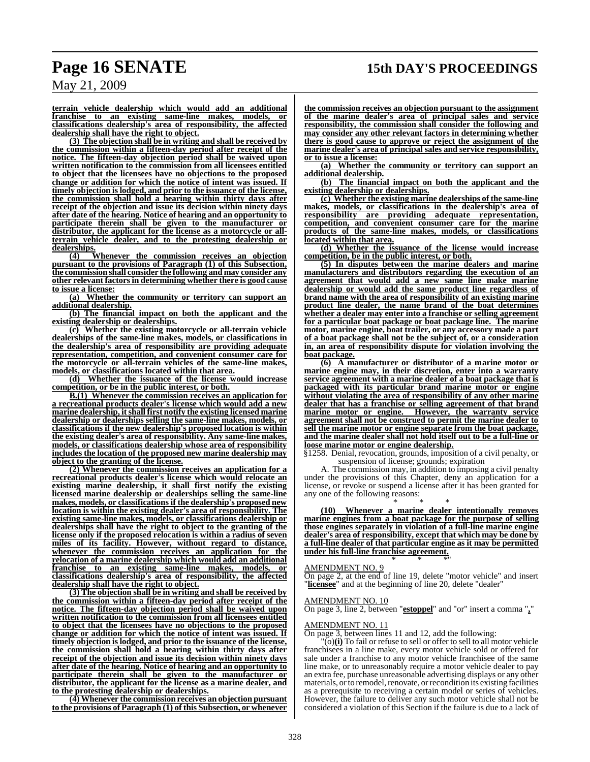**terrain vehicle dealership which would add an additional franchise to an existing same-line makes, models, or classifications dealership's area of responsibility, the affected dealership shall have the right to object.**

**(3) The objection shall be in writing and shall be received by the commission within a fifteen-day period after receipt of the notice. The fifteen-day objection period shall be waived upon written notification to the commission from all licensees entitled to object that the licensees have no objections to the proposed change or addition for which the notice of intent was issued. If timely objection islodged, and prior to the issuance of the license, the commission shall hold a hearing within thirty days after receipt of the objection and issue its decision within ninety days after date of the hearing. Notice of hearing and an opportunity to participate therein shall be given to the manufacturer or distributor, the applicant for the license as a motorcycle or allterrain vehicle dealer, and to the protesting dealership or dealerships.**

**(4) Whenever the commission receives an objection pursuant to the provisions of Paragraph (1) of this Subsection, the commission shall consider the following and may consider any other relevant factorsin determining whether there is good cause to issue a license:**

**(a) Whether the community or territory can support an additional dealership.**

**(b) The financial impact on both the applicant and the existing dealership or dealerships.**

**(c) Whether the existing motorcycle or all-terrain vehicle dealerships of the same-line makes, models, or classifications in the dealership's area of responsibility are providing adequate representation, competition, and convenient consumer care for the motorcycle or all-terrain vehicles of the same-line makes, models, or classifications located within that area.**

**(d) Whether the issuance of the license would increase competition, or be in the public interest, or both.**

**B.(1) Whenever the commission receives an application for a recreational products dealer's license which would add a new marine dealership, itshall first notify the existing licensed marine dealership or dealerships selling the same-line makes, models, or classifications if the new dealership's proposed location is within the existing dealer's area of responsibility. Any same-line makes, models, or classifications dealership whose area of responsibility includes the location of the proposed new marine dealership may object to the granting of the license.**

**(2) Whenever the commission receives an application for a recreational products dealer's license which would relocate an existing marine dealership, it shall first notify the existing licensed marine dealership or dealerships selling the same-line makes, models, or classifications if the dealership's proposed new location is within the existing dealer's area of responsibility. The existing same-line makes, models, or classifications dealership or dealerships shall have the right to object to the granting of the license only if the proposed relocation is within a radius of seven miles of its facility. However, without regard to distance, whenever the commission receives an application for the relocation of a marine dealership which would add an additional franchise to an existing same-line** makes, **classifications dealership's area of responsibility, the affected dealership shall have the right to object.**

**(3) The objection shall be in writing and shall be received by the commission within a fifteen-day period after receipt of the notice. The fifteen-day objection period shall be waived upon written notification to the commission from all licensees entitled to object that the licensees have no objections to the proposed change or addition for which the notice of intent was issued. If timely objection islodged, and prior to the issuance of the license, the commission shall hold a hearing within thirty days after receipt of the objection and issue its decision within ninety days after date of the hearing. Notice of hearing and an opportunity to participate therein shall be given to the manufacturer or distributor, the applicant for the license as a marine dealer, and to the protesting dealership or dealerships.**

**(4) Whenever the commission receives an objection pursuant to the provisions of Paragraph (1) of this Subsection, or whenever**

**the commission receives an objection pursuant to the assignment of the marine dealer's area of principal sales and service responsibility, the commission shall consider the following and may consider any other relevant factors in determining whether there is good cause to approve or reject the assignment of the marine dealer's area of principal sales and service responsibility, or to issue a license:**

**(a) Whether the community or territory can support an additional dealership.**

**(b) The financial impact on both the applicant and the existing dealership or dealerships.**

**(c) Whether the existing marine dealerships of the same-line makes, models, or classifications in the dealership's area of responsibility are providing adequate representation, competition, and convenient consumer care for the marine products of the same-line makes, models, or classifications located within that area.**

**(d) Whether the issuance of the license would increase competition, be in the public interest, or both.**

**(5) In disputes between the marine dealers and marine manufacturers and distributors regarding the execution of an agreement that would add a new same line make marine dealership or would add the same product line regardless of brand name with the area of responsibility of an existing marine product line dealer, the name brand of the boat determines whether a dealer may enter into a franchise or selling agreement for a particular boat package or boat package line. The marine motor, marine engine, boat trailer, or any accessory made a part of a boat package shall not be the subject of, or a consideration in, an area of responsibility dispute for violation involving the boat package.**

**(6) A manufacturer or distributor of a marine motor or marine engine may, in their discretion, enter into a warranty service agreement with a marine dealer of a boat package that is packaged with its particular brand marine motor or engine without violating the area of responsibility of any other marine dealer that has a franchise or selling agreement of that brand marine motor or engine. However, the warranty service agreement shall not be construed to permit the marine dealer to sell the marine motor or engine separate from the boat package, and the marine dealer shall not hold itself out to be a full-line or loose marine motor or engine dealership.**

§1258. Denial, revocation, grounds, imposition of a civil penalty, or suspension of license; grounds; expiration

A. The commission may, in addition to imposing a civil penalty under the provisions of this Chapter, deny an application for a license, or revoke or suspend a license after it has been granted for any one of the following reasons:

\* \* \* **(10) Whenever a marine dealer intentionally removes marine engines from a boat package for the purpose of selling those engines separately in violation of a full-line marine engine dealer's area of responsibility, except that which may be done by a full-line dealer of that particular engine as it may be permitted under his full-line franchise agreement.** \* \* \*"

#### AMENDMENT NO. 9

On page 2, at the end of line 19, delete "motor vehicle" and insert "**licensee**" and at the beginning of line 20, delete "dealer"

#### AMENDMENT NO. 10

On page 3, line 2, between "**estoppel**" and "or" insert a comma "**,**"

### MENDMENT NO. 11

On page 3, between lines 11 and 12, add the following:

 $\overline{(o)}$  (i) To fail or refuse to sell or offer to sell to all motor vehicle franchisees in a line make, every motor vehicle sold or offered for sale under a franchise to any motor vehicle franchisee of the same line make, or to unreasonably require a motor vehicle dealer to pay an extra fee, purchase unreasonable advertising displays or any other materials, or to remodel, renovate, or recondition its existing facilities as a prerequisite to receiving a certain model or series of vehicles. However, the failure to deliver any such motor vehicle shall not be considered a violation of this Section if the failure is due to a lack of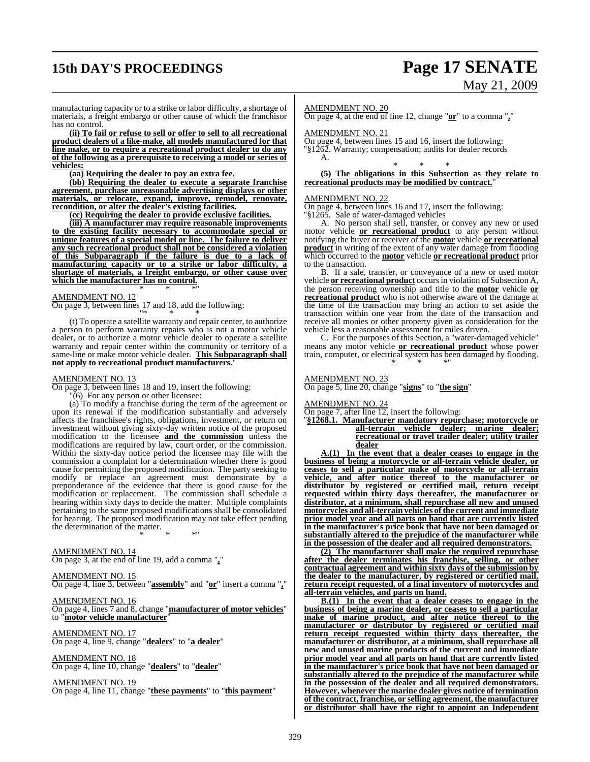# **15th DAY'S PROCEEDINGS Page 17 SENATE**

# May 21, 2009

manufacturing capacity or to a strike or labor difficulty, a shortage of materials, a freight embargo or other cause of which the franchisor has no control.

**(ii) To fail or refuse to sell or offer to sell to all recreational product dealers of a like-make, all models manufactured for that line make, or to require a recreational product dealer to do any of the following as a prerequisite to receiving a model or series of vehicles:**

**(aa) Requiring the dealer to pay an extra fee.**

**(bb) Requiring the dealer to execute a separate franchise agreement, purchase unreasonable advertising displays or other materials, or relocate, expand, improve, remodel, renovate, recondition, or alter the dealer's existing facilities.**

**(cc) Requiring the dealer to provide exclusive facilities.**

**(iii) A manufacturer may require reasonable improvements to the existing facility necessary to accommodate special or unique features of a special model or line. The failure to deliver any such recreational product shall not be considered a violation of this Subparagraph if the failure is due to a lack of manufacturing capacity or to a strike or labor difficulty, a shortage of materials, a freight embargo, or other cause over which the manufacturer has no control.** \* \* \*"

AMENDMENT NO. 12

On page 3, between lines 17 and 18, add the following: "\* \* \*

(t) To operate a satellite warranty and repair center, to authorize a person to perform warranty repairs who is not a motor vehicle dealer, or to authorize a motor vehicle dealer to operate a satellite warranty and repair center within the community or territory of a same-line or make motor vehicle dealer. **This Subparagraph shall not apply to recreational product manufacturers.**"

#### AMENDMENT NO. 13

On page 3, between lines 18 and 19, insert the following:

 $\sim$  (6) For any person or other licensee:

(a) To modify a franchise during the term of the agreement or upon its renewal if the modification substantially and adversely affects the franchisee's rights, obligations, investment, or return on investment without giving sixty-day written notice of the proposed modification to the licensee **and the commission** unless the modifications are required by law, court order, or the commission. Within the sixty-day notice period the licensee may file with the commission a complaint for a determination whether there is good cause for permitting the proposed modification. The party seeking to modify or replace an agreement must demonstrate by a preponderance of the evidence that there is good cause for the modification or replacement. The commission shall schedule a hearing within sixty days to decide the matter. Multiple complaints pertaining to the same proposed modifications shall be consolidated for hearing. The proposed modification may not take effect pending the determination of the matter.

\* \* \*"

#### AMENDMENT NO. 14

On page 3, at the end of line 19, add a comma "**,**"

#### AMENDMENT NO. 15

On page 4, line 3, between "**assembly**" and "**or**" insert a comma "**,**"

AMENDMENT NO. 16

On page 4, lines 7 and 8, change "**manufacturer of motor vehicles**" to "**motor vehicle manufacturer**"

AMENDMENT NO. 17 On page 4, line 9, change "**dealers**" to "**a dealer**"

AMENDMENT NO. 18

On page 4, line 10, change "**dealers**" to "**dealer**"

AMENDMENT NO. 19

On page 4, line 11, change "**these payments**" to "**this payment**"

AMENDMENT NO. 20

On page 4, at the end of line 12, change "**or**" to a comma "**,**"

AMENDMENT NO. 21

On page 4, between lines 15 and 16, insert the following: "§1262. Warranty; compensation; audits for dealer records A.

\* \* \* **(5) The obligations in this Subsection as they relate to recreational products may be modified by contract.**"

#### AMENDMENT NO. 22

On page 4, between lines 16 and 17, insert the following:

"§1265. Sale of water-damaged vehicles

A. No person shall sell, transfer, or convey any new or used motor vehicle **or recreational product** to any person without notifying the buyer or receiver of the **motor** vehicle **or recreational product** in writing of the extent of any water damage from flooding which occurred to the **motor** vehicle **or recreational product** prior to the transaction.

B. If a sale, transfer, or conveyance of a new or used motor vehicle **or recreational product** occursin violation of Subsection A, the person receiving ownership and title to the **motor** vehicle **or recreational product** who is not otherwise aware of the damage at the time of the transaction may bring an action to set aside the transaction within one year from the date of the transaction and receive all monies or other property given as consideration for the vehicle less a reasonable assessment for miles driven.

C. For the purposes of this Section, a "water-damaged vehicle" means any motor vehicle **or recreational product** whose power train, computer, or electrical system has been damaged by flooding. \* \* \*"

### AMENDMENT NO. 23

On page 5, line 20, change "**signs**" to "**the sign**"

AMENDMENT NO. 24

On page 7, after line 12, insert the following:

"**§1268.1. Manufacturer mandatory repurchase; motorcycle or all-terrain vehicle dealer; marine dealer; recreational or travel trailer dealer; utility trailer dealer**

**A.(1) In the event that a dealer ceases to engage in the business of being a motorcycle or all-terrain vehicle dealer, or ceases to sell a particular make of motorcycle or all-terrain vehicle, and after notice thereof to the manufacturer or distributor by registered or certified mail, return receipt requested within thirty days thereafter, the manufacturer or distributor, at a minimum, shall repurchase all new and unused motorcycles and all-terrain vehicles ofthe current and immediate prior model year and all parts on hand that are currently listed in the manufacturer's price book that have not been damaged or substantially altered to the prejudice of the manufacturer while in the possession of the dealer and all required demonstrators.**

**(2) The manufacturer shall make the required repurchase after the dealer terminates his franchise, selling, or other contractual agreement and within sixty days of the submission by the dealer to the manufacturer, by registered or certified mail, return receipt requested, of a final inventory of motorcycles and all-terrain vehicles, and parts on hand.**

**B.(1) In the event that a dealer ceases to engage in the business of being a marine dealer, or ceases to sell a particular make of marine product, and after notice thereof to the manufacturer or distributor by registered or certified mail return receipt requested within thirty days thereafter, the manufacturer or distributor, at a minimum, shall repurchase all new and unused marine products of the current and immediate prior model year and all parts on hand that are currently listed in the manufacturer's price book that have not been damaged or substantially altered to the prejudice of the manufacturer while in the possession of the dealer and all required demonstrators. However, whenever the marine dealer gives notice of termination of the contract, franchise, or selling agreement, the manufacturer or distributor shall have the right to appoint an Independent**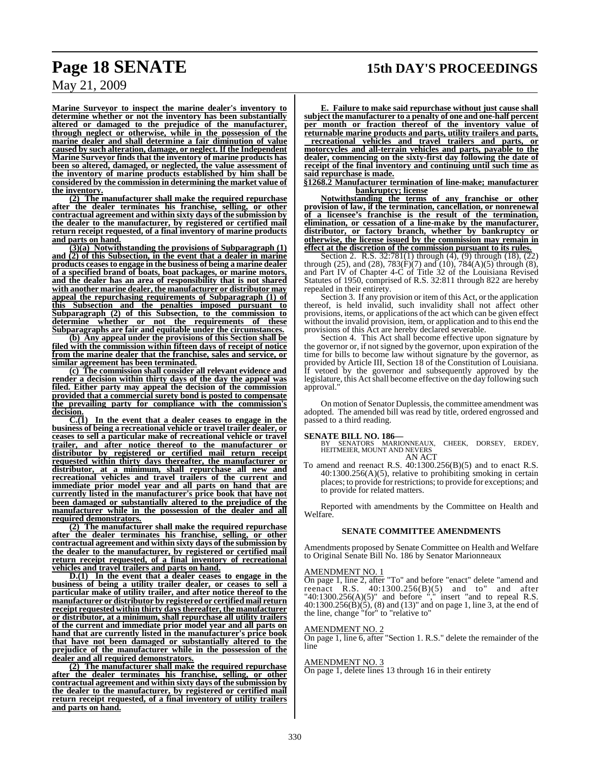**Marine Surveyor to inspect the marine dealer's inventory to determine whether or not the inventory has been substantially altered or damaged to the prejudice of the manufacturer, through neglect or otherwise, while in the possession of the marine dealer and shall determine a fair diminution of value caused by such alteration, damage, or neglect. If the Independent Marine Surveyor finds that the inventory of marine products has been so altered, damaged, or neglected, the value assessment of the inventory of marine products established by him shall be considered by the commission in determining the market value of the inventory.**

**(2) The manufacturer shall make the required repurchase after the dealer terminates his franchise, selling, or other contractual agreement and within sixty days of the submission by the dealer to the manufacturer, by registered or certified mail return receipt requested, of a final inventory of marine products and parts on hand.**

**(3)(a) Notwithstanding the provisions of Subparagraph (1) and (2) of this Subsection, in the event that a dealer in marine products ceasesto engage in the business of being a marine dealer of a specified brand of boats, boat packages, or marine motors, and the dealer has an area of responsibility that is not shared with another marine dealer, the manufacturer or distributor may appeal the repurchasing requirements of Subparagraph (1) of this Subsection and the penalties imposed pursuant to Subparagraph (2) of this Subsection, to the commission to determine whether or not the requirements of these Subparagraphs are fair and equitable under the circumstances.**

**(b) Any appeal under the provisions of this Section shall be filed with the commission within fifteen days of receipt of notice from the marine dealer that the franchise, sales and service, or similar agreement has been terminated.**

**(c) The commission shall consider all relevant evidence and render a decision within thirty days of the day the appeal was filed. Either party may appeal the decision of the commission provided that a commercial surety bond is posted to compensate the prevailing party for compliance with the commission's** decision.<br>C.(1)

In the event that a dealer ceases to engage in the **business of being a recreational vehicle or travel trailer dealer, or ceases to sell a particular make of recreational vehicle or travel trailer, and after notice thereof to the manufacturer or distributor by registered or certified mail return receipt requested within thirty days thereafter, the manufacturer or distributor, at a minimum, shall repurchase all new and recreational vehicles and travel trailers of the current and immediate prior model year and all parts on hand that are currently listed in the manufacturer's price book that have not been damaged or substantially altered to the prejudice of the manufacturer while in the possession of the dealer and all required demonstrators.**

**(2) The manufacturer shall make the required repurchase after the dealer terminates his franchise, selling, or other contractual agreement and within sixty days of the submission by the dealer to the manufacturer, by registered or certified mail return receipt requested, of a final inventory of recreational vehicles and travel trailers and parts on hand.**

**D.(1) In the event that a dealer ceases to engage in the business of being a utility trailer dealer, or ceases to sell a particular make of utility trailer, and after notice thereof to the manufacturer or distributor by registered or certified mail return receipt requested within thirty daysthereafter, the manufacturer or distributor, at a minimum, shall repurchase all utility trailers of the current and immediate prior model year and all parts on hand that are currently listed in the manufacturer's price book that have not been damaged or substantially altered to the prejudice of the manufacturer while in the possession of the dealer and all required demonstrators.**

**(2) The manufacturer shall make the required repurchase after the dealer terminates his franchise, selling, or other contractual agreement and within sixty days of the submission by the dealer to the manufacturer, by registered or certified mail return receipt requested, of a final inventory of utility trailers and parts on hand.**

**E. Failure to make said repurchase without just cause shall subject the manufacturer to a penalty of one and one-half percent per month or fraction thereof of the inventory value of returnable marine products and parts, utility trailers and parts, recreational vehicles and travel trailers and parts, or motorcycles and all-terrain vehicles and parts, payable to the dealer, commencing on the sixty-first day following the date of receipt of the final inventory and continuing until such time as said repurchase is made.**

**§1268.2 Manufacturer termination of line-make; manufacturer bankruptcy; license**

**Notwithstanding the terms of any franchise or other provision of law, if the termination, cancellation, or nonrenewal of a licensee's franchise is the result of the termination, elimination, or cessation of a line-make by the manufacturer, distributor, or factory branch, whether by bankruptcy or otherwise, the license issued by the commission may remain in effect at the discretion of the commission pursuant to its rules.**

Section 2. R.S. 32:781(1) through (4), (9) through (18), (22) through (25), and (28),  $783(F)(7)$  and  $(10)$ ,  $784(A)(5)$  through (8), and Part IV of Chapter 4-C of Title 32 of the Louisiana Revised Statutes of 1950, comprised of R.S. 32:811 through 822 are hereby repealed in their entirety.

Section 3. If any provision or item of this Act, or the application thereof, is held invalid, such invalidity shall not affect other provisions, items, or applications of the act which can be given effect without the invalid provision, item, or application and to this end the provisions of this Act are hereby declared severable.

Section 4. This Act shall become effective upon signature by the governor or, if not signed by the governor, upon expiration of the time for bills to become law without signature by the governor, as provided by Article III, Section 18 of the Constitution of Louisiana. If vetoed by the governor and subsequently approved by the legislature, this Act shall become effective on the day following such approval."

On motion of Senator Duplessis, the committee amendment was adopted. The amended bill was read by title, ordered engrossed and passed to a third reading.

**SENATE BILL NO. 186—**<br>BY SENATORS MARIONNEAUX, CHEEK, DORSEY, ERDEY,<br>HEITMEIER, MOUNT AND NEVERS AN ACT

To amend and reenact R.S. 40:1300.256(B)(5) and to enact R.S. 40:1300.256(A)(5), relative to prohibiting smoking in certain places; to provide for restrictions; to provide for exceptions; and to provide for related matters.

Reported with amendments by the Committee on Health and Welfare.

#### **SENATE COMMITTEE AMENDMENTS**

Amendments proposed by Senate Committee on Health and Welfare to Original Senate Bill No. 186 by Senator Marionneaux

#### AMENDMENT NO. 1

On page 1, line 2, after "To" and before "enact" delete "amend and reenact R.S. 40:1300.256(B)(5) and to" and after  $"40:1300.256(A)(5)"$  and before "," insert "and to repeal R.S. 40:1300.256(B)(5), (8) and (13)" and on page 1, line 3, at the end of the line, change "for" to "relative to"

#### AMENDMENT NO. 2

On page 1, line 6, after "Section 1. R.S." delete the remainder of the line

#### AMENDMENT NO. 3

On page 1, delete lines 13 through 16 in their entirety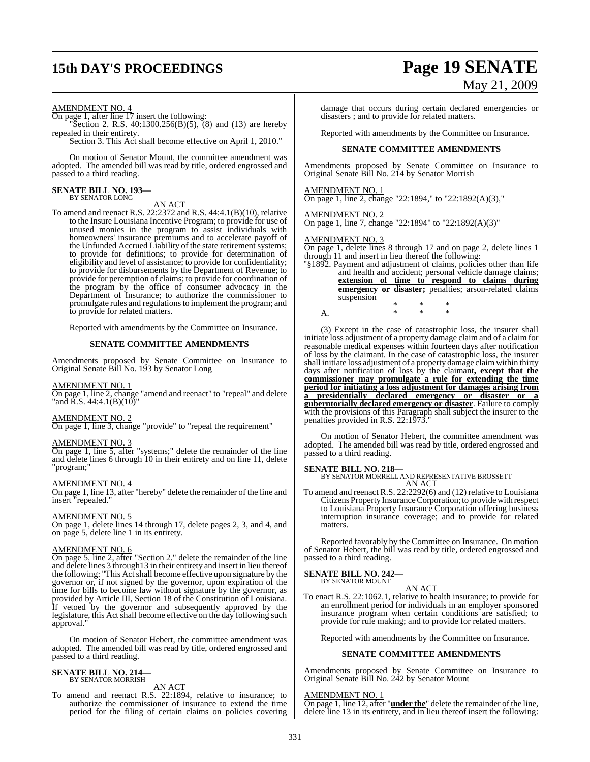#### AMENDMENT NO. 4

On page 1, after line 17 insert the following:

"Section 2. R.S. 40:1300.256(B)(5), (8) and (13) are hereby repealed in their entirety.

Section 3. This Act shall become effective on April 1, 2010."

On motion of Senator Mount, the committee amendment was adopted. The amended bill was read by title, ordered engrossed and passed to a third reading.

#### **SENATE BILL NO. 193—** BY SENATOR LONG

AN ACT

To amend and reenact R.S. 22:2372 and R.S. 44:4.1(B)(10), relative to the Insure Louisiana Incentive Program; to provide for use of unused monies in the program to assist individuals with homeowners' insurance premiums and to accelerate payoff of the Unfunded Accrued Liability of the state retirement systems; to provide for definitions; to provide for determination of eligibility and level of assistance; to provide for confidentiality; to provide for disbursements by the Department of Revenue; to provide for peremption of claims; to provide for coordination of the program by the office of consumer advocacy in the Department of Insurance; to authorize the commissioner to promulgate rules and regulationsto implement the program; and to provide for related matters.

Reported with amendments by the Committee on Insurance.

#### **SENATE COMMITTEE AMENDMENTS**

Amendments proposed by Senate Committee on Insurance to Original Senate Bill No. 193 by Senator Long

#### AMENDMENT NO. 1

On page 1, line 2, change "amend and reenact" to "repeal" and delete "and R.S. 44:4.1(B)(10)"

#### AMENDMENT NO. 2

On page 1, line 3, change "provide" to "repeal the requirement"

#### AMENDMENT NO. 3

On page 1, line 5, after "systems;" delete the remainder of the line and delete lines 6 through 10 in their entirety and on line 11, delete "program;"

#### AMENDMENT NO. 4

On page 1, line 13, after "hereby" delete the remainder of the line and insert "repealed."

#### AMENDMENT NO. 5

On page 1, delete lines 14 through 17, delete pages 2, 3, and 4, and on page 5, delete line 1 in its entirety.

#### AMENDMENT NO. 6

On page 5, line 2, after "Section 2." delete the remainder of the line and delete lines 3 through13 in their entirety and insert in lieu thereof the following: "This Actshall become effective upon signature by the governor or, if not signed by the governor, upon expiration of the time for bills to become law without signature by the governor, as provided by Article III, Section 18 of the Constitution of Louisiana. If vetoed by the governor and subsequently approved by the legislature, this Act shall become effective on the day following such approval."

On motion of Senator Hebert, the committee amendment was adopted. The amended bill was read by title, ordered engrossed and passed to a third reading.

#### **SENATE BILL NO. 214** BY SENATOR MORRISH

AN ACT

To amend and reenact R.S. 22:1894, relative to insurance; to authorize the commissioner of insurance to extend the time period for the filing of certain claims on policies covering

# **15th DAY'S PROCEEDINGS Page 19 SENATE** May 21, 2009

damage that occurs during certain declared emergencies or disasters ; and to provide for related matters.

Reported with amendments by the Committee on Insurance.

#### **SENATE COMMITTEE AMENDMENTS**

Amendments proposed by Senate Committee on Insurance to Original Senate Bill No. 214 by Senator Morrish

#### AMENDMENT NO. 1

On page 1, line 2, change "22:1894," to "22:1892(A)(3),"

On page 1, line 7, change "22:1894" to "22:1892(A)(3)"

# AMENDMENT NO. 2

AMENDMENT NO. 3 On page 1, delete lines 8 through 17 and on page 2, delete lines 1 through 11 and insert in lieu thereof the following:

"§1892. Payment and adjustment of claims, policies other than life and health and accident; personal vehicle damage claims; **extension of time to respond to claims during emergency or disaster;** penalties; arson-related claims suspension \* \* \*

A. \* \* \*

(3) Except in the case of catastrophic loss, the insurer shall initiate loss adjustment of a property damage claim and of a claim for reasonable medical expenses within fourteen days after notification of loss by the claimant. In the case of catastrophic loss, the insurer shall initiate loss adjustment of a property damage claimwithin thirty days after notification of loss by the claimant**, except that the commissioner may promulgate a rule for extending the time period for initiating a loss adjustment for damages arising from a presidentially declared emergency or disaster or a guberntorially declared emergency or disaster**. Failure to comply with the provisions of this Paragraph shall subject the insurer to the penalties provided in R.S. 22:1973."

On motion of Senator Hebert, the committee amendment was adopted. The amended bill was read by title, ordered engrossed and passed to a third reading.

#### **SENATE BILL NO. 218—**

BY SENATOR MORRELL AND REPRESENTATIVE BROSSETT AN ACT

To amend and reenact R.S. 22:2292(6) and (12) relative to Louisiana Citizens Property Insurance Corporation; to provide with respect to Louisiana Property Insurance Corporation offering business interruption insurance coverage; and to provide for related matters.

Reported favorably by the Committee on Insurance. On motion of Senator Hebert, the bill was read by title, ordered engrossed and passed to a third reading.

#### **SENATE BILL NO. 242—** BY SENATOR MOUNT

AN ACT

To enact R.S. 22:1062.1, relative to health insurance; to provide for an enrollment period for individuals in an employer sponsored insurance program when certain conditions are satisfied; to provide for rule making; and to provide for related matters.

Reported with amendments by the Committee on Insurance.

#### **SENATE COMMITTEE AMENDMENTS**

Amendments proposed by Senate Committee on Insurance to Original Senate Bill No. 242 by Senator Mount

AMENDMENT NO. 1

On page 1, line 12, after "**under the**" delete the remainder of the line, delete line 13 in its entirety, and in lieu thereof insert the following: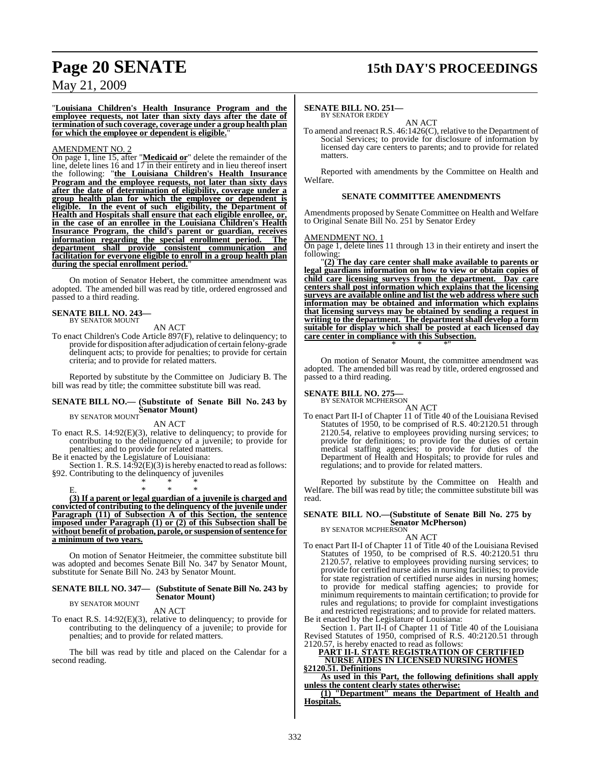## **Page 20 SENATE 15th DAY'S PROCEEDINGS**

### May 21, 2009

"**Louisiana Children's Health Insurance Program and the employee requests, not later than sixty days after the date of termination ofsuch coverage, coverage under a group health plan** for which the employee or dependent is eligible.

#### AMENDMENT NO. 2

On page 1, line 15, after "**Medicaid or**" delete the remainder of the line, delete lines 16 and 17 in their entirety and in lieu thereof insert the following: "**the Louisiana Children's Health Insurance Program and the employee requests, not later than sixty days after the date of determination of eligibility, coverage under a group health plan for which the employee or dependent is eligible. In the event of such eligibility, the Department of Health and Hospitals shall ensure that each eligible enrollee, or, in the case of an enrollee in the Louisiana Children's Health Insurance Program, the child's parent or guardian, receives information regarding the special enrollment period. The department shall provide consistent communication and facilitation for everyone eligible to enroll in a group health plan during the special enrollment period.**"

On motion of Senator Hebert, the committee amendment was adopted. The amended bill was read by title, ordered engrossed and passed to a third reading.

### **SENATE BILL NO. 243—** BY SENATOR MOUNT

AN ACT

To enact Children's Code Article 897(F), relative to delinquency; to provide for disposition after adjudication of certain felony-grade delinquent acts; to provide for penalties; to provide for certain criteria; and to provide for related matters.

Reported by substitute by the Committee on Judiciary B. The bill was read by title; the committee substitute bill was read.

#### **SENATE BILL NO.— (Substitute of Senate Bill No. 243 by Senator Mount)** BY SENATOR MOUNT

AN ACT

To enact R.S. 14:92(E)(3), relative to delinquency; to provide for contributing to the delinquency of a juvenile; to provide for penalties; and to provide for related matters.

Be it enacted by the Legislature of Louisiana:

Section 1. R.S. 14:92(E)(3) is hereby enacted to read as follows: §92. Contributing to the delinquency of juveniles \* \* \*

E. \* \* \* **(3) If a parent or legal guardian of a juvenile is charged and convicted of contributing to the delinquency of the juvenile under Paragraph (11) of Subsection A of this Section, the sentence imposed under Paragraph (1) or (2) of this Subsection shall be without benefit of probation, parole, or suspension ofsentence for a minimum of two years.**

On motion of Senator Heitmeier, the committee substitute bill was adopted and becomes Senate Bill No. 347 by Senator Mount, substitute for Senate Bill No. 243 by Senator Mount.

#### **SENATE BILL NO. 347— (Substitute of Senate Bill No. 243 by Senator Mount)** BY SENATOR MOUNT

AN ACT

To enact R.S. 14:92(E)(3), relative to delinquency; to provide for contributing to the delinquency of a juvenile; to provide for penalties; and to provide for related matters.

The bill was read by title and placed on the Calendar for a second reading.

#### **SENATE BILL NO. 251—** BY SENATOR ERDEY

AN ACT

To amend and reenact R.S. 46:1426(C), relative to the Department of Social Services; to provide for disclosure of information by licensed day care centers to parents; and to provide for related matters.

Reported with amendments by the Committee on Health and Welfare.

#### **SENATE COMMITTEE AMENDMENTS**

Amendments proposed by Senate Committee on Health and Welfare to Original Senate Bill No. 251 by Senator Erdey

#### AMENDMENT NO. 1

On page 1, delete lines 11 through 13 in their entirety and insert the following:

"**(2) The day care center shall make available to parents or legal guardians information on how to view or obtain copies of child care licensing surveys from the department. Day care centers shall post information which explains that the licensing surveys are available online and list the web address where such information may be obtained and information which explains that licensing surveys may be obtained by sending a request in writing to the department. The department shall develop a form suitable for display which shall be posted at each licensed day care center in compliance with this Subsection.** \* \* \*"

On motion of Senator Mount, the committee amendment was adopted. The amended bill was read by title, ordered engrossed and passed to a third reading.

#### **SENATE BILL NO. 275**

BY SENATOR MCPHERSON

AN ACT To enact Part II-I of Chapter 11 of Title 40 of the Louisiana Revised Statutes of 1950, to be comprised of R.S. 40:2120.51 through 2120.54, relative to employees providing nursing services; to provide for definitions; to provide for the duties of certain medical staffing agencies; to provide for duties of the Department of Health and Hospitals; to provide for rules and regulations; and to provide for related matters.

Reported by substitute by the Committee on Health and Welfare. The bill was read by title; the committee substitute bill was read.

### **SENATE BILL NO.—(Substitute of Senate Bill No. 275 by Senator McPherson)** BY SENATOR MCPHERSON

AN ACT

To enact Part II-I of Chapter 11 of Title 40 of the Louisiana Revised Statutes of 1950, to be comprised of R.S. 40:2120.51 thru 2120.57, relative to employees providing nursing services; to provide for certified nurse aides in nursing facilities; to provide for state registration of certified nurse aides in nursing homes; to provide for medical staffing agencies; to provide for minimum requirements to maintain certification; to provide for rules and regulations; to provide for complaint investigations and restricted registrations; and to provide for related matters. Be it enacted by the Legislature of Louisiana:

Section 1. Part II-I of Chapter 11 of Title 40 of the Louisiana Revised Statutes of 1950, comprised of R.S. 40:2120.51 through 2120.57, is hereby enacted to read as follows:

### **PART II-I. STATE REGISTRATION OF CERTIFIED NURSE AIDES IN LICENSED NURSING HOMES**

**§2120.51. Definitions**

**As used in this Part, the following definitions shall apply unless the content clearly states otherwise:**

**(1) "Department" means the Department of Health and Hospitals.**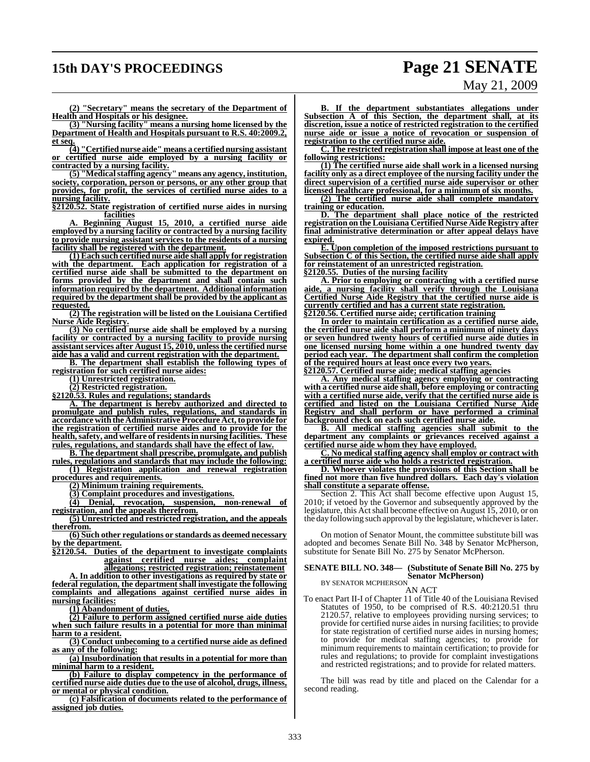## **15th DAY'S PROCEEDINGS Page 21 SENATE**

# May 21, 2009

**(2) "Secretary" means the secretary of the Department of Health and Hospitals or his designee.**

**(3) "Nursing facility" means a nursing home licensed by the Department of Health and Hospitals pursuant to R.S. 40:2009.2, et seq.**

**(4) "Certified nurse aide" means a certified nursing assistant or certified nurse aide employed by a nursing facility or contracted by a nursing facility.**

**(5) "Medicalstaffing agency" means any agency, institution, society, corporation, person or persons, or any other group that provides, for profit, the services of certified nurse aides to a nursing facility.**

**§2120.52. State registration of certified nurse aides in nursing facilities**

**A. Beginning August 15, 2010, a certified nurse aide employed by a nursing facility or contracted by a nursing facility to provide nursing assistant services to the residents of a nursing facility shall be registered with the department.**

**(1) Each such certified nurse aide shall apply for registration with the department. Each application for registration of a certified nurse aide shall be submitted to the department on forms provided by the department and shall contain such information required by the department. Additional information required by the department shall be provided by the applicant as requested.**

**(2) The registration will be listed on the Louisiana Certified Nurse Aide Registry.**

**(3) No certified nurse aide shall be employed by a nursing facility or contracted by a nursing facility to provide nursing assistantservices after August 15, 2010, unlessthe certified nurse aide has a valid and current registration with the department.**

**B. The department shall establish the following types of registration for such certified nurse aides:**

**(1) Unrestricted registration.**

**(2) Restricted registration.**

**§2120.53. Rules and regulations; standards**

**A. The department is hereby authorized and directed to promulgate and publish rules, regulations, and standards in accordance withtheAdministrative ProcedureAct,to provide for the registration of certified nurse aides and to provide for the health,safety, and welfare of residentsin nursing facilities. These rules, regulations, and standards shall have the effect of law.**

**B. The department shall prescribe, promulgate, and publish rules, regulations and standards that may include the following:**

**(1) Registration application and renewal registration procedures and requirements.**

**(2) Minimum training requirements.**

**(3) Complaint procedures and investigations.**

**(4) Denial, revocation, suspension, non-renewal of registration, and the appeals therefrom.**

**(5) Unrestricted and restricted registration, and the appeals therefrom.**

**(6) Such other regulations or standards as deemed necessary by the department.**

**§2120.54. Duties of the department to investigate complaints against certified nurse aides; complaint allegations; restricted registration; reinstatement**

**A. In addition to other investigations as required by state or federal regulation, the department shall investigate the following complaints and allegations against certified nurse aides in nursing facilities:**

**(1) Abandonment of duties.**

**(2) Failure to perform assigned certified nurse aide duties when such failure results in a potential for more than minimal harm to a resident.**

**(3) Conduct unbecoming to a certified nurse aide as defined as any of the following:**

**(a) Insubordination that results in a potential for more than minimal harm to a resident.**

**(b) Failure to display competency in the performance of certified nurse aide duties due to the use of alcohol, drugs, illness, or mental or physical condition.**

**(c) Falsification of documents related to the performance of assigned job duties.**

**B. If the department substantiates allegations under Subsection A of this Section, the department shall, at its discretion, issue a notice of restricted registration to the certified nurse aide or issue a notice of revocation or suspension of registration to the certified nurse aide.**

**C. The restricted registration shall impose at least one of the following restrictions:**

**(1) The certified nurse aide shall work in a licensed nursing facility only as a direct employee of the nursing facility under the direct supervision of a certified nurse aide supervisor or other licensed healthcare professional, for a minimum of six months.**

**(2) The certified nurse aide shall complete mandatory training or education.**

**D. The department shall place notice of the restricted registration on the Louisiana Certified Nurse Aide Registry after final administrative determination or after appeal delays have expired.**

**E. Upon completion of the imposed restrictions pursuant to Subsection C of this Section, the certified nurse aide shall apply for reinstatement of an unrestricted registration.**

**§2120.55. Duties of the nursing facility**

**A. Prior to employing or contracting with a certified nurse aide, a nursing facility shall verify through the Louisiana Certified Nurse Aide Registry that the certified nurse aide is currently certified and has a current state registration. §2120.56. Certified nurse aide; certification training**

**In order to maintain certification as a certified nurse aide, the certified nurse aide shall perform a minimum of ninety days or seven hundred twenty hours of certified nurse aide duties in one licensed nursing home within a one hundred twenty day period each year. The department shall confirm the completion of the required hours at least once every two years.**

**§2120.57. Certified nurse aide; medical staffing agencies**

**A. Any medical staffing agency employing or contracting with a certified nurse aide shall, before employing or contracting with a certified nurse aide, verify that the certified nurse aide is certified and listed on the Louisiana Certified Nurse Aide Registry and shall perform or have performed a criminal background check on each such certified nurse aide.**

**B. All medical staffing agencies shall submit to the department any complaints or grievances received against a certified nurse aide whom they have employed.**

**C. No medical staffing agency shall employ or contract with a certified nurse aide who holds a restricted registration.**

**D. Whoever violates the provisions of this Section shall be fined not more than five hundred dollars. Each day's violation shall constitute a separate offense.**

Section 2. This Act shall become effective upon August 15, 2010; if vetoed by the Governor and subsequently approved by the legislature, this Act shall become effective on August 15, 2010, or on the day following such approval by the legislature, whicheverislater.

On motion of Senator Mount, the committee substitute bill was adopted and becomes Senate Bill No. 348 by Senator McPherson, substitute for Senate Bill No. 275 by Senator McPherson.

#### **SENATE BILL NO. 348— (Substitute of Senate Bill No. 275 by Senator McPherson)**

BY SENATOR MCPHERSON

AN ACT

To enact Part II-I of Chapter 11 of Title 40 of the Louisiana Revised Statutes of 1950, to be comprised of R.S. 40:2120.51 thru 2120.57, relative to employees providing nursing services; to provide for certified nurse aides in nursing facilities; to provide for state registration of certified nurse aides in nursing homes; to provide for medical staffing agencies; to provide for minimum requirements to maintain certification; to provide for rules and regulations; to provide for complaint investigations and restricted registrations; and to provide for related matters.

The bill was read by title and placed on the Calendar for a second reading.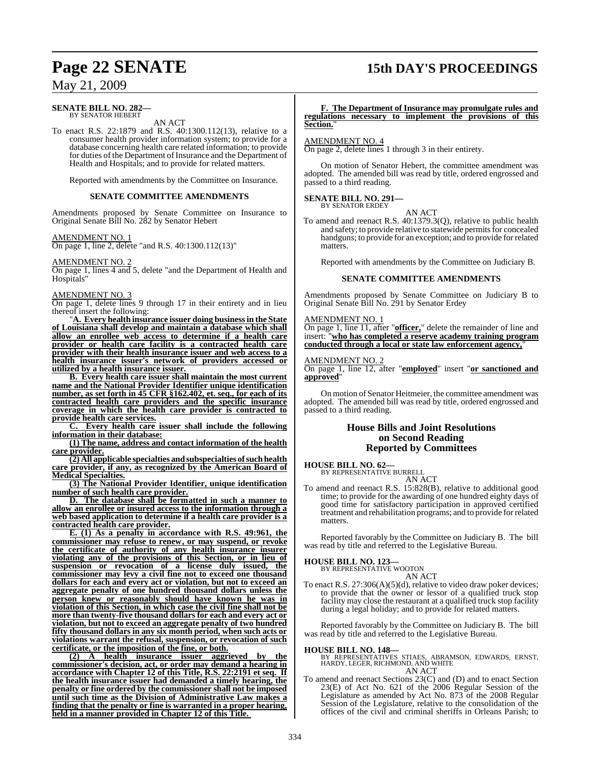## **Page 22 SENATE 15th DAY'S PROCEEDINGS**

### May 21, 2009

#### **SENATE BILL NO. 282—** BY SENATOR HEBERT

AN ACT

To enact R.S. 22:1879 and R.S. 40:1300.112(13), relative to a consumer health provider information system; to provide for a database concerning health care related information; to provide for duties of the Department of Insurance and the Department of Health and Hospitals; and to provide for related matters.

Reported with amendments by the Committee on Insurance.

#### **SENATE COMMITTEE AMENDMENTS**

Amendments proposed by Senate Committee on Insurance to Original Senate Bill No. 282 by Senator Hebert

#### AMENDMENT NO. 1

On page 1, line 2, delete "and R.S. 40:1300.112(13)"

AMENDMENT NO. 2

On page 1, lines 4 and 5, delete "and the Department of Health and Hospitals"

#### AMENDMENT NO. 3

On page 1, delete lines 9 through 17 in their entirety and in lieu thereof insert the following:

"**A. Every health insurance issuer doing business in the State of Louisiana shall develop and maintain a database which shall allow an enrollee web access to determine if a health care provider or health care facility is a contracted health care provider with their health insurance issuer and web access to a health insurance issuer's network of providers accessed or utilized by a health insurance issuer.**

**B. Every health care issuer shall maintain the most current name and the National Provider Identifier unique identification number, as set forth in 45 CFR §162.402, et. seq., for each of its contracted health care providers and the specific insurance coverage in which the health care provider is contracted to provide health care services.**

**C. Every health care issuer shall include the following information in their database:**

**(1) The name, address and contact information of the health care provider.**

**(2) All applicable specialties andsubspecialties ofsuchhealth care provider, if any, as recognized by the American Board of Medical Specialties.**

**(3) The National Provider Identifier, unique identification number of such health care provider.**

**D. The database shall be formatted in such a manner to allow an enrollee or insured access to the information through a web based application to determine if a health care provider is a contracted health care provider.**

**E. (1) As a penalty in accordance with R.S. 49:961, the commissioner may refuse to renew, or may suspend, or revoke the certificate of authority of any health insurance insurer violating any of the provisions of this Section, or in lieu of suspension or revocation of a license duly issued, the commissioner may levy a civil fine not to exceed one thousand dollars for each and every act or violation, but not to exceed an aggregate penalty of one hundred thousand dollars unless the person knew or reasonably should have known he was in violation of this Section, in which case the civil fine shall not be more than twenty-five thousand dollars for each and every act or violation, but not to exceed an aggregate penalty of two hundred fifty thousand dollars in any six month period, when such acts or violations warrant the refusal, suspension, or revocation of such certificate, or the imposition of the fine, or both.**

**(2) A health insurance issuer aggrieved by the commissioner's decision, act, or order may demand a hearing in accordance with Chapter 12 of this Title, R.S. 22:2191 et seq. If the health insurance issuer had demanded a timely hearing, the penalty or fine ordered by the commissioner shall not be imposed until such time as the Division of Administrative Law makes a finding that the penalty or fine is warranted in a proper hearing, held in a manner provided in Chapter 12 of this Title.** 

#### **F. The Department of Insurance may promulgate rules and regulations necessary to implement the provisions of this Section.**"

#### AMENDMENT NO. 4

On page 2, delete lines 1 through 3 in their entirety.

On motion of Senator Hebert, the committee amendment was adopted. The amended bill was read by title, ordered engrossed and passed to a third reading.

### **SENATE BILL NO. 291—** BY SENATOR ERDEY

AN ACT To amend and reenact R.S. 40:1379.3(Q), relative to public health and safety; to provide relative to statewide permits for concealed handguns; to provide for an exception; and to provide forrelated matters.

Reported with amendments by the Committee on Judiciary B.

#### **SENATE COMMITTEE AMENDMENTS**

Amendments proposed by Senate Committee on Judiciary B to Original Senate Bill No. 291 by Senator Erdey

#### AMENDMENT NO. 1

On page 1, line 11, after "**officer,**" delete the remainder of line and insert: "**who has completed a reserve academy training program conducted through a local or state law enforcement agency,**"

#### AMENDMENT NO. 2

On page 1, line 12, after "**employed**" insert "**or sanctioned and approved**"

On motion of Senator Heitmeier, the committee amendment was adopted. The amended bill was read by title, ordered engrossed and passed to a third reading.

#### **House Bills and Joint Resolutions on Second Reading Reported by Committees**

**HOUSE BILL NO. 62—**

BY REPRESENTATIVE BURRELL

AN ACT

To amend and reenact R.S. 15:828(B), relative to additional good time; to provide for the awarding of one hundred eighty days of good time for satisfactory participation in approved certified treatment and rehabilitation programs; and to provide forrelated matters.

Reported favorably by the Committee on Judiciary B. The bill was read by title and referred to the Legislative Bureau.

#### **HOUSE BILL NO. 123—**

BY REPRESENTATIVE WOOTON AN ACT

To enact R.S. 27:306(A)(5)(d), relative to video draw poker devices; to provide that the owner or lessor of a qualified truck stop facility may close the restaurant at a qualified truck stop facility during a legal holiday; and to provide for related matters.

Reported favorably by the Committee on Judiciary B. The bill was read by title and referred to the Legislative Bureau.

#### **HOUSE BILL NO. 148—**

BY REPRESENTATIVES STIAES, ABRAMSON, EDWARDS, ERNST, HARDY, LEGER, RICHMOND, AND WHITE AN ACT

To amend and reenact Sections 23(C) and (D) and to enact Section 23(E) of Act No. 621 of the 2006 Regular Session of the Legislature as amended by Act No. 873 of the 2008 Regular Session of the Legislature, relative to the consolidation of the offices of the civil and criminal sheriffs in Orleans Parish; to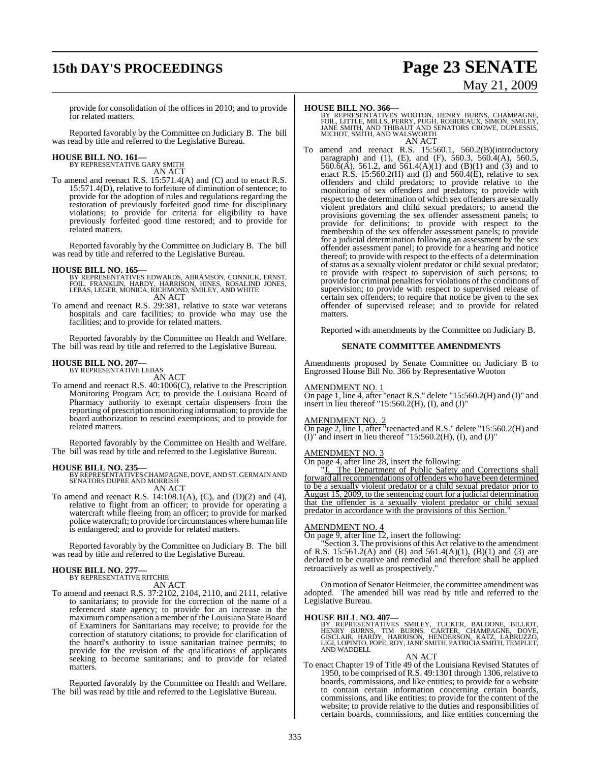# **15th DAY'S PROCEEDINGS Page 23 SENATE**

# May 21, 2009

provide for consolidation of the offices in 2010; and to provide for related matters.

Reported favorably by the Committee on Judiciary B. The bill was read by title and referred to the Legislative Bureau.

# **HOUSE BILL NO. 161—** BY REPRESENTATIVE GARY SMITH

AN ACT

To amend and reenact R.S. 15:571.4(A) and (C) and to enact R.S. 15:571.4(D), relative to forfeiture of diminution of sentence; to provide for the adoption of rules and regulations regarding the restoration of previously forfeited good time for disciplinary violations; to provide for criteria for eligibility to have previously forfeited good time restored; and to provide for related matters.

Reported favorably by the Committee on Judiciary B. The bill was read by title and referred to the Legislative Bureau.

**HOUSE BILL NO. 165—**<br>BY REPRESENTATIVES EDWARDS, ABRAMSON, CONNICK, ERNST,<br>FOIL, FRANKLIN, HARDY, HARRISON, HINES, ROSALIND JONES,<br>LEBAS, LEGER, MONICA, RICHMOND, SMILEY, AND WHITE AN ACT

To amend and reenact R.S. 29:381, relative to state war veterans hospitals and care facilities; to provide who may use the facilities; and to provide for related matters.

Reported favorably by the Committee on Health and Welfare. The bill was read by title and referred to the Legislative Bureau.

#### **HOUSE BILL NO. 207—**

BY REPRESENTATIVE LEBAS AN ACT

To amend and reenact R.S. 40:1006(C), relative to the Prescription Monitoring Program Act; to provide the Louisiana Board of Pharmacy authority to exempt certain dispensers from the reporting of prescription monitoring information; to provide the board authorization to rescind exemptions; and to provide for related matters.

Reported favorably by the Committee on Health and Welfare. The bill was read by title and referred to the Legislative Bureau.

**HOUSE BILL NO. 235—** BY REPRESENTATIVESCHAMPAGNE, DOVE, AND ST. GERMAIN AND SENATORS DUPRE AND MORRISH AN ACT

To amend and reenact R.S. 14:108.1(A), (C), and (D)(2) and (4), relative to flight from an officer; to provide for operating a watercraft while fleeing from an officer; to provide for marked police watercraft; to provide for circumstances where human life is endangered; and to provide for related matters.

Reported favorably by the Committee on Judiciary B. The bill was read by title and referred to the Legislative Bureau.

# **HOUSE BILL NO. 277—** BY REPRESENTATIVE RITCHIE

AN ACT

To amend and reenact R.S. 37:2102, 2104, 2110, and 2111, relative to sanitarians; to provide for the correction of the name of a referenced state agency; to provide for an increase in the maximum compensation a member of the Louisiana State Board of Examiners for Sanitarians may receive; to provide for the correction of statutory citations; to provide for clarification of the board's authority to issue sanitarian trainee permits; to provide for the revision of the qualifications of applicants seeking to become sanitarians; and to provide for related matters.

Reported favorably by the Committee on Health and Welfare. The bill was read by title and referred to the Legislative Bureau.

**HOUSE BILL NO. 366—**<br>BY REPRESENTATIVES WOOTON, HENRY BURNS, CHAMPAGNE,<br>FOIL, LITTLE, MILLS, PERRY, PUGH, ROBIDEAUX, SIMON, SMILEY,<br>JANE SMITH, AND THIBAUT AND SENATORS CROWE, DUPLESSIS,<br>MICHOT, SMITH, AND WALSWORTH

AN ACT

To amend and reenact R.S. 15:560.1, 560.2(B)(introductory paragraph) and (1), (E), and (F), 560.3, 560.4(A), 560.5,  $560.6(A)$ , 561.2, and 561.4(A)(1) and (B)(1) and (3) and to enact  $R.S. 15:560.2(H)$  and  $(I)$  and  $560.4(E)$ , relative to sex offenders and child predators; to provide relative to the monitoring of sex offenders and predators; to provide with respect to the determination of which sex offenders are sexually violent predators and child sexual predators; to amend the provisions governing the sex offender assessment panels; to provide for definitions; to provide with respect to the membership of the sex offender assessment panels; to provide for a judicial determination following an assessment by the sex offender assessment panel; to provide for a hearing and notice thereof; to provide with respect to the effects of a determination of status as a sexually violent predator or child sexual predator; to provide with respect to supervision of such persons; to provide for criminal penalties for violations of the conditions of supervision; to provide with respect to supervised release of certain sex offenders; to require that notice be given to the sex offender of supervised release; and to provide for related matters.

Reported with amendments by the Committee on Judiciary B.

#### **SENATE COMMITTEE AMENDMENTS**

Amendments proposed by Senate Committee on Judiciary B to Engrossed House Bill No. 366 by Representative Wooton

#### AMENDMENT NO. 1

On page 1, line 4, after "enact R.S." delete "15:560.2(H) and (I)" and insert in lieu thereof "15:560.2(H), (I), and (J)"

#### AMENDMENT NO. 2

On page 2, line 1, after "reenacted and R.S." delete "15:560.2(H) and  $(I)$ " and insert in lieu thereof "15:560.2(H), (I), and  $(J)$ "

#### AMENDMENT NO. 3

On page 4, after line 28, insert the following:

"J. The Department of Public Safety and Corrections shall forward all recommendations of offenders who have been determined to be a sexually violent predator or a child sexual predator prior to August 15, 2009, to the sentencing court for a judicial determination that the offender is a sexually violent predator or child sexual predator in accordance with the provisions of this Section.

#### AMENDMENT NO. 4

On page 9, after line 12, insert the following:

"Section 3. The provisions of this Act relative to the amendment of R.S. 15:561.2(A) and (B) and 561.4(A)(1), (B)(1) and (3) are declared to be curative and remedial and therefore shall be applied retroactively as well as prospectively."

On motion of Senator Heitmeier, the committee amendment was adopted. The amended bill was read by title and referred to the Legislative Bureau.

#### **HOUSE BILL NO. 407—**

BY REPRESENTATIVES SMILEY, TUCKER, BALDONE, BILLIOT,<br>HENRY BURNS, TIM BURNS, CARTER, CHAMPAGNE, DOVE,<br>GISCLAIR, HARDY, HARRISON, HENDERSON, KATZ, LABRUZZO,<br>LIGI,LOPINTO,POPE,ROY,JANESMITH,PATRICIASMITH,TEMPLET,<br>AND WADDELL

#### AN ACT

To enact Chapter 19 of Title 49 of the Louisiana Revised Statutes of 1950, to be comprised of R.S. 49:1301 through 1306, relative to boards, commissions, and like entities; to provide for a website to contain certain information concerning certain boards, commissions, and like entities; to provide for the content of the website; to provide relative to the duties and responsibilities of certain boards, commissions, and like entities concerning the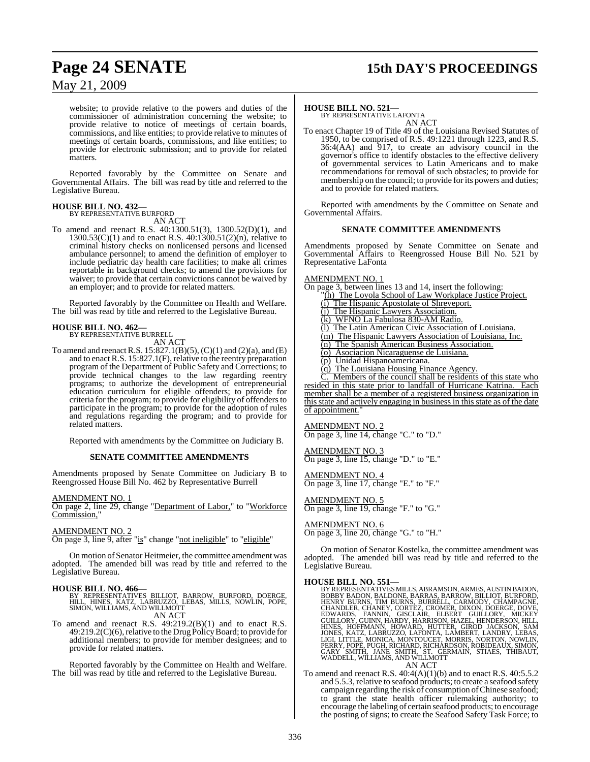## **Page 24 SENATE 15th DAY'S PROCEEDINGS**

### May 21, 2009

website; to provide relative to the powers and duties of the commissioner of administration concerning the website; to provide relative to notice of meetings of certain boards, commissions, and like entities; to provide relative to minutes of meetings of certain boards, commissions, and like entities; to provide for electronic submission; and to provide for related matters.

Reported favorably by the Committee on Senate and Governmental Affairs. The bill was read by title and referred to the Legislative Bureau.

# **HOUSE BILL NO. 432—** BY REPRESENTATIVE BURFORD

AN ACT

To amend and reenact R.S. 40:1300.51(3), 1300.52(D)(1), and 1300.53(C)(1) and to enact R.S. 40:1300.51(2)(n), relative to criminal history checks on nonlicensed persons and licensed ambulance personnel; to amend the definition of employer to include pediatric day health care facilities; to make all crimes reportable in background checks; to amend the provisions for waiver; to provide that certain convictions cannot be waived by an employer; and to provide for related matters.

Reported favorably by the Committee on Health and Welfare. The bill was read by title and referred to the Legislative Bureau.

### **HOUSE BILL NO. 462—**

BY REPRESENTATIVE BURRELL AN ACT

To amend and reenactR.S. 15:827.1(B)(5), (C)(1) and (2)(a), and (E) and to enact R.S. 15:827.1(F), relative to the reentry preparation program of the Department of Public Safety and Corrections; to provide technical changes to the law regarding reentry programs; to authorize the development of entrepreneurial education curriculum for eligible offenders; to provide for criteria for the program; to provide for eligibility of offenders to participate in the program; to provide for the adoption of rules and regulations regarding the program; and to provide for related matters.

Reported with amendments by the Committee on Judiciary B.

#### **SENATE COMMITTEE AMENDMENTS**

Amendments proposed by Senate Committee on Judiciary B to Reengrossed House Bill No. 462 by Representative Burrell

AMENDMENT NO. 1

On page 2, line 29, change "Department of Labor," to "Workforce Commission,

#### AMENDMENT NO. 2

On page 3, line 9, after "is" change "not ineligible" to "eligible"

On motion of Senator Heitmeier, the committee amendment was adopted. The amended bill was read by title and referred to the Legislative Bureau.

**HOUSE BILL NO. 466—**<br>BY REPRESENTATIVES BILLIOT, BARROW, BURFORD, DOERGE,<br>HILL, HINES, KATZ, LABRUZZO, LEBAS, MILLS, NOWLIN, POPE,<br>SIMON, WILLIAMS, AND WILLMOTT AN ACT

To amend and reenact R.S. 49:219.2(B)(1) and to enact R.S.  $49:219.2(C)(6)$ , relative to the Drug Policy Board; to provide for additional members; to provide for member designees; and to provide for related matters.

Reported favorably by the Committee on Health and Welfare. The bill was read by title and referred to the Legislative Bureau.

#### **HOUSE BILL NO. 521—**

BY REPRESENTATIVE LAFONTA AN ACT

To enact Chapter 19 of Title 49 of the Louisiana Revised Statutes of 1950, to be comprised of R.S. 49:1221 through 1223, and R.S.  $36:4(AA)$  and  $917$ , to create an advisory council in the governor's office to identify obstacles to the effective delivery of governmental services to Latin Americans and to make recommendations for removal of such obstacles; to provide for membership on the council; to provide for its powers and duties; and to provide for related matters.

Reported with amendments by the Committee on Senate and Governmental Affairs.

#### **SENATE COMMITTEE AMENDMENTS**

Amendments proposed by Senate Committee on Senate and Governmental Affairs to Reengrossed House Bill No. 521 by Representative LaFonta

#### <u>AMENDMENT NO. 1</u>

On page 3, between lines 13 and 14, insert the following: (h) The Loyola School of Law Workplace Justice Project. (i) The Hispanic Apostolate of Shreveport. (j) The Hispanic Lawyers Association. (k) WFNO La Fabulosa 830-AM Radio. (l) The Latin American Civic Association of Louisiana. (m) The Hispanic Lawyers Association of Louisiana, Inc. (n) The Spanish American Business Association. (o) Asociacion Nicaraguense de Luisiana. (p) Unidad Hispanoamericana. (q) The Louisiana Housing Finance Agency. Members of the council shall be residents of this state who resided in this state prior to landfall of Hurricane Katrina. Each

member shall be a member of a registered business organization in this state and actively engaging in business in this state as of the date of appointment.

AMENDMENT NO. 2 On page 3, line 14, change "C." to "D."

AMENDMENT NO. 3 On page 3, line 15, change "D." to "E."

AMENDMENT NO. 4

On page 3, line 17, change "E." to "F."

#### AMENDMENT NO. 5 On page 3, line 19, change "F." to "G."

AMENDMENT NO. 6

On page 3, line 20, change "G." to "H."

On motion of Senator Kostelka, the committee amendment was adopted. The amended bill was read by title and referred to the Legislative Bureau.

**HOUSE BILL NO. 551—** BY REPRESENTATIVESMILLS, ABRAMSON, ARMES, AUSTIN BADON, BOBBY BADON, BALDONE, BARRAS, BARROW, BILLIOT, BURFORD,<br>HENRY BURNS, TIM BURNS, BURRELL, CARMODY, CHAMPAGNE,<br>CHANDLER, CHANEY, CORTEZ, CROMER, DIXON, CHAMPAGNE,<br>GUILLORY, FANNIN, GISCLAIR, ELBERT GUILLORY, MICKEY<br>GUILLORY, AN ACT

To amend and reenact R.S. 40:4(A)(1)(b) and to enact R.S. 40:5.5.2 and 5.5.3, relative to seafood products; to create a seafood safety campaign regarding the risk of consumption of Chinese seafood; to grant the state health officer rulemaking authority; to encourage the labeling of certain seafood products; to encourage the posting of signs; to create the Seafood Safety Task Force; to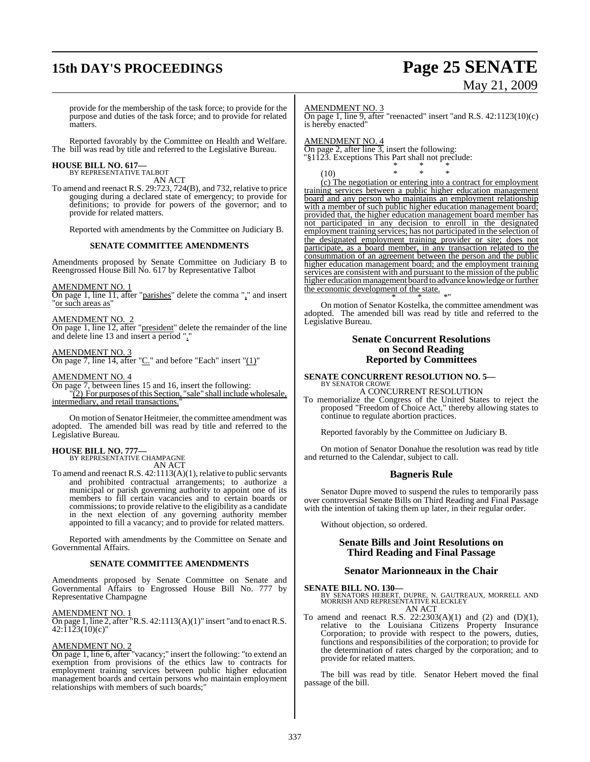# **15th DAY'S PROCEEDINGS Page 25 SENATE**

# May 21, 2009

provide for the membership of the task force; to provide for the purpose and duties of the task force; and to provide for related matters.

Reported favorably by the Committee on Health and Welfare. The bill was read by title and referred to the Legislative Bureau.

#### **HOUSE BILL NO. 617—** BY REPRESENTATIVE TALBOT

AN ACT

To amend and reenact R.S. 29:723, 724(B), and 732, relative to price gouging during a declared state of emergency; to provide for definitions; to provide for powers of the governor; and to provide for related matters.

Reported with amendments by the Committee on Judiciary B.

#### **SENATE COMMITTEE AMENDMENTS**

Amendments proposed by Senate Committee on Judiciary B to Reengrossed House Bill No. 617 by Representative Talbot

AMENDMENT NO. 1

On page 1, line 11, after "parishes" delete the comma "," and insert "or such areas as"

#### AMENDMENT NO. 2

On page 1, line 12, after "president" delete the remainder of the line and delete line 13 and insert a period "."

#### AMENDMENT NO. 3

On page 7, line 14, after " $C$ ." and before "Each" insert " $(1)$ "

#### AMENDMENT NO. 4

On page 7, between lines 15 and 16, insert the following: "(2) For purposes of this Section, "sale" shall include wholesale, intermediary, and retail transactions.

On motion of Senator Heitmeier, the committee amendment was adopted. The amended bill was read by title and referred to the Legislative Bureau.

**HOUSE BILL NO. 777—** BY REPRESENTATIVE CHAMPAGNE AN ACT

To amend and reenact R.S. 42:1113(A)(1), relative to public servants and prohibited contractual arrangements; to authorize a municipal or parish governing authority to appoint one of its members to fill certain vacancies and to certain boards or commissions; to provide relative to the eligibility as a candidate in the next election of any governing authority member appointed to fill a vacancy; and to provide for related matters.

Reported with amendments by the Committee on Senate and Governmental Affairs.

#### **SENATE COMMITTEE AMENDMENTS**

Amendments proposed by Senate Committee on Senate and Governmental Affairs to Engrossed House Bill No. 777 by Representative Champagne

#### AMENDMENT NO. 1

 $\overline{On}$  page 1, line 2, after "R.S. 42:1113(A)(1)" insert "and to enact R.S.  $42:11\overline{2}3(10)(c)$ "

#### AMENDMENT NO. 2

On page 1, line 6, after "vacancy;" insert the following: "to extend an exemption from provisions of the ethics law to contracts for employment training services between public higher education management boards and certain persons who maintain employment relationships with members of such boards;"

AMENDMENT NO. 3

On page 1, line 9, after "reenacted" insert "and R.S. 42:1123(10)(c) is hereby enacted"

#### AMENDMENT NO. 4

On page 2, after line 3, insert the following: \$1123. Exceptions This Part shall not preclude: \* \* \*

(10) \* \* \* (c) The negotiation or entering into a contract for employment training services between a public higher education management board and any person who maintains an employment relationship with a member of such public higher education management board; provided that, the higher education management board member has not participated in any decision to enroll in the designated employment training services; has not participated in the selection of the designated employment training provider or site; does not participate, as a board member, in any transaction related to the consummation of an agreement between the person and the public higher education management board; and the employment training services are consistent with and pursuant to the mission of the public higher education management board to advance knowledge or further the economic development of the state.

\* \* \*" On motion of Senator Kostelka, the committee amendment was adopted. The amended bill was read by title and referred to the Legislative Bureau.

#### **Senate Concurrent Resolutions on Second Reading Reported by Committees**

# **SENATE CONCURRENT RESOLUTION NO. 5—** BY SENATOR CROWE

A CONCURRENT RESOLUTION To memorialize the Congress of the United States to reject the proposed "Freedom of Choice Act," thereby allowing states to continue to regulate abortion practices.

Reported favorably by the Committee on Judiciary B.

On motion of Senator Donahue the resolution was read by title and returned to the Calendar, subject to call.

#### **Bagneris Rule**

Senator Dupre moved to suspend the rules to temporarily pass over controversial Senate Bills on Third Reading and Final Passage with the intention of taking them up later, in their regular order.

Without objection, so ordered.

#### **Senate Bills and Joint Resolutions on Third Reading and Final Passage**

#### **Senator Marionneaux in the Chair**

#### **SENATE BILL NO. 130—**

BY SENATORS HEBERT, DUPRE, N. GAUTREAUX, MORRELL AND MORRISH AND REPRESENTATIVE KLECKLEY AN ACT

To amend and reenact R.S.  $22:2303(A)(1)$  and  $(2)$  and  $(D)(1)$ , relative to the Louisiana Citizens Property Insurance Corporation; to provide with respect to the powers, duties, functions and responsibilities of the corporation; to provide for the determination of rates charged by the corporation; and to provide for related matters.

The bill was read by title. Senator Hebert moved the final passage of the bill.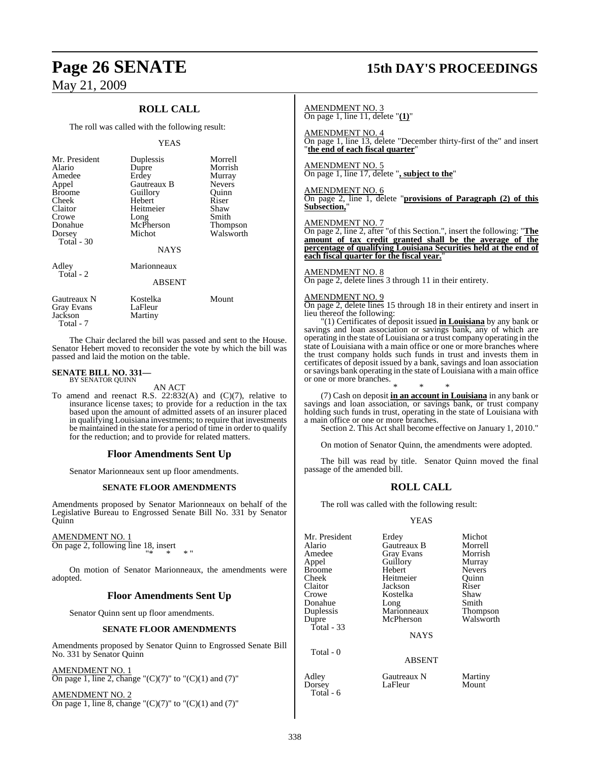### **ROLL CALL**

The roll was called with the following result:

#### YEAS

| Mr. President     | Duplessis     | Morrell       |
|-------------------|---------------|---------------|
| Alario            | Dupre         | Morrish       |
| Amedee            | Erdey         | Murray        |
| Appel             | Gautreaux B   | <b>Nevers</b> |
| <b>Broome</b>     | Guillory      | Ouinn         |
| Cheek             | Hebert        | Riser         |
| Claitor           | Heitmeier     | Shaw          |
| Crowe             | Long          | Smith         |
| Donahue           | McPherson     | Thompson      |
| Dorsey            | Michot        | Walsworth     |
| Total $-30$       |               |               |
|                   | <b>NAYS</b>   |               |
| Adley             | Marionneaux   |               |
| Total - 2         | <b>ABSENT</b> |               |
|                   |               |               |
| Gautreaux N       | Kostelka      | Mount         |
| <b>Gray Evans</b> | LaFleur       |               |
| Jackson           | Martiny       |               |

The Chair declared the bill was passed and sent to the House. Senator Hebert moved to reconsider the vote by which the bill was passed and laid the motion on the table.

#### **SENATE BILL NO. 331—** BY SENATOR QUINN

Total - 7

#### AN ACT

To amend and reenact R.S. 22:832(A) and (C)(7), relative to insurance license taxes; to provide for a reduction in the tax based upon the amount of admitted assets of an insurer placed in qualifying Louisiana investments; to require that investments be maintained in the state for a period of time in order to qualify for the reduction; and to provide for related matters.

#### **Floor Amendments Sent Up**

Senator Marionneaux sent up floor amendments.

#### **SENATE FLOOR AMENDMENTS**

Amendments proposed by Senator Marionneaux on behalf of the Legislative Bureau to Engrossed Senate Bill No. 331 by Senator Quinn

#### AMENDMENT NO. 1

On page 2, following line 18, insert "\* \* \* "

On motion of Senator Marionneaux, the amendments were adopted.

#### **Floor Amendments Sent Up**

Senator Quinn sent up floor amendments.

#### **SENATE FLOOR AMENDMENTS**

Amendments proposed by Senator Quinn to Engrossed Senate Bill No. 331 by Senator Quinn

AMENDMENT NO. 1 On page 1, line 2, change " $(C)(7)$ " to " $(C)(1)$  and  $(7)$ "

AMENDMENT NO. 2 On page 1, line 8, change " $(C)(7)$ " to " $(C)(1)$  and  $(7)$ "

### **Page 26 SENATE 15th DAY'S PROCEEDINGS**

#### AMENDMENT NO. 3

On page 1, line 11, delete "**(1)**"

AMENDMENT NO. 4 On page 1, line 13, delete "December thirty-first of the" and insert "**the end of each fiscal quarter**"

AMENDMENT NO. 5 On page 1, line 17, delete "**, subject to the**"

AMENDMENT NO. 6 On page 2, line 1, delete "**provisions of Paragraph (2) of this Subsection,**"

#### AMENDMENT NO. 7

On page 2, line 2, after "of this Section.", insert the following: "**The amount of tax credit granted shall be the average of the percentage of qualifying Louisiana Securities held at the end of each fiscal quarter for the fiscal year.**"

#### AMENDMENT NO. 8

On page 2, delete lines 3 through 11 in their entirety.

#### AMENDMENT NO. 9

On page 2, delete lines 15 through 18 in their entirety and insert in lieu thereof the following:

"(1) Certificates of deposit issued **in Louisiana** by any bank or savings and loan association or savings bank, any of which are operating in the state of Louisiana or a trust company operating in the state of Louisiana with a main office or one or more branches where the trust company holds such funds in trust and invests them in certificates of deposit issued by a bank, savings and loan association orsavings bank operating in the state of Louisiana with a main office or one or more branches.

\* \* \* (7) Cash on deposit **in an account in Louisiana** in any bank or savings and loan association, or savings bank, or trust company holding such funds in trust, operating in the state of Louisiana with a main office or one or more branches.

Section 2. This Act shall become effective on January 1, 2010."

On motion of Senator Quinn, the amendments were adopted.

The bill was read by title. Senator Quinn moved the final passage of the amended bill.

#### **ROLL CALL**

The roll was called with the following result:

#### YEAS

| Mr. President | Erdey         | Michot        |
|---------------|---------------|---------------|
| Alario        | Gautreaux B   | Morrell       |
| Amedee        | Gray Evans    | Morrish       |
| Appel         | Guillory      | Murray        |
| <b>Broome</b> | Hebert        | <b>Nevers</b> |
| Cheek         | Heitmeier     | Ouinn         |
| Claitor       | Jackson       | Riser         |
| Crowe         | Kostelka      | Shaw          |
| Donahue       | Long          | Smith         |
| Duplessis     | Marionneaux   | Thompson      |
| Dupre         | McPherson     | Walsworth     |
| Total - 33    |               |               |
|               | <b>NAYS</b>   |               |
| Total - 0     |               |               |
|               | <b>ABSENT</b> |               |
| Adley         | Gautreaux N   | Martiny       |
| Dorsey        | LaFleur       | Mount         |

Total - 6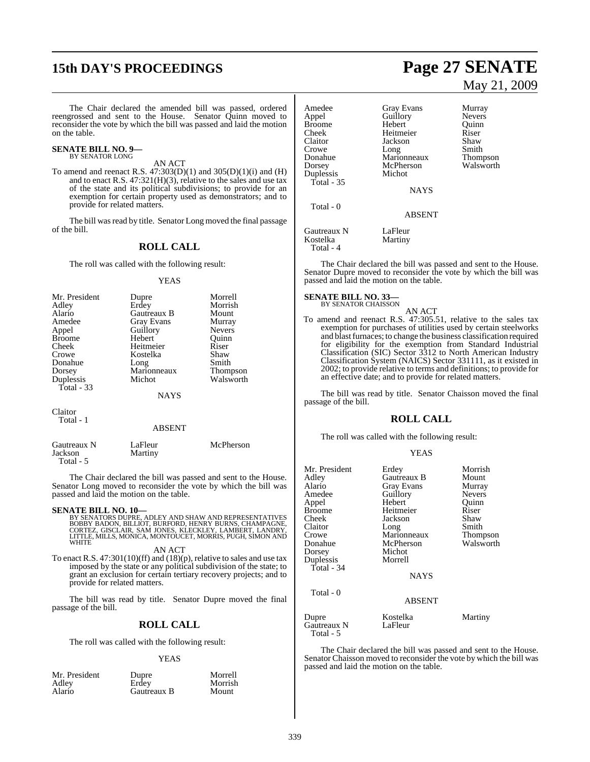# **15th DAY'S PROCEEDINGS Page 27 SENATE**

The Chair declared the amended bill was passed, ordered reengrossed and sent to the House. Senator Quinn moved to reconsider the vote by which the bill was passed and laid the motion on the table.

#### **SENATE BILL NO. 9—** BY SENATOR LONG

### AN ACT

To amend and reenact R.S.  $47:303(D)(1)$  and  $305(D)(1)(i)$  and  $(H)$ and to enact R.S. 47:321(H)(3), relative to the sales and use tax of the state and its political subdivisions; to provide for an exemption for certain property used as demonstrators; and to provide for related matters.

The bill was read by title. Senator Long moved the final passage of the bill.

#### **ROLL CALL**

The roll was called with the following result:

#### YEAS

| Mr. President | Dupre       | Morrell         |
|---------------|-------------|-----------------|
| Adley         | Erdey       | Morrish         |
| Alario        | Gautreaux B | Mount           |
| Amedee        | Gray Evans  | Murray          |
| Appel         | Guillory    | <b>Nevers</b>   |
| <b>Broome</b> | Hebert      | Ouinn           |
| Cheek         | Heitmeier   | Riser           |
| Crowe         | Kostelka    | Shaw            |
| Donahue       | Long        | Smith           |
| Dorsey        | Marionneaux | <b>Thompson</b> |
| Duplessis     | Michot      | Walsworth       |
| Total - 33    |             |                 |
|               | <b>NAYS</b> |                 |
|               |             |                 |
| Claitor       |             |                 |
| Total - 1     |             |                 |

#### ABSENT

| Gautreaux N<br>Jackson<br>Total - 5 | LaFleur<br>Martiny | McPherson |
|-------------------------------------|--------------------|-----------|
|                                     |                    |           |

The Chair declared the bill was passed and sent to the House. Senator Long moved to reconsider the vote by which the bill was passed and laid the motion on the table.

**SENATE BILL NO. 10—**<br>BY SENATORS DUPRE, ADLEY AND SHAW AND REPRESENTATIVES<br>BOBBY BADON, BILLIOT, BURFORD, HENRY BURNS, CHAMPAGNE,<br>CORTEZ, GISCLAIR, SAM JONES, KLECKLEY, LAMBERT, LANDRY,<br>LITTLE, MILLS, MONICA, MONTOUCET, M

#### AN ACT

To enact R.S. 47:301(10)(ff) and (18)(p), relative to sales and use tax imposed by the state or any political subdivision of the state; to grant an exclusion for certain tertiary recovery projects; and to provide for related matters.

The bill was read by title. Senator Dupre moved the final passage of the bill.

### **ROLL CALL**

The roll was called with the following result:

#### YEAS

| Mr. President<br>Adley<br>Alario | Dupre<br>Erdev<br>Gautreaux B | Morrell<br>Morrish<br>Mount |
|----------------------------------|-------------------------------|-----------------------------|
|----------------------------------|-------------------------------|-----------------------------|

# May 21, 2009

Murray Nevers Quinn<br>Riser

Smith Thompson Walsworth

| Amedee<br>Appel<br><b>Broome</b><br>Cheek<br>Claitor<br>Crowe<br>Donahue<br>Dorsey<br>Duplessis<br>Total - $35$<br>Total - 0 | <b>Gray Evans</b><br>Guillory<br>Hebert<br>Heitmeier<br>Jackson<br>Long<br>Marionneaux<br>McPherson<br>Michot<br><b>NAYS</b><br><b>ABSENT</b> | Murra<br>Never<br>Ouini<br>Riser<br>Shaw<br>Smith<br>Thom<br>Walsy |
|------------------------------------------------------------------------------------------------------------------------------|-----------------------------------------------------------------------------------------------------------------------------------------------|--------------------------------------------------------------------|
| Gautreaux N<br>Kostelka<br>Total - 4                                                                                         | LaFleur<br>Martiny                                                                                                                            |                                                                    |

The Chair declared the bill was passed and sent to the House. Senator Dupre moved to reconsider the vote by which the bill was passed and laid the motion on the table.

### **SENATE BILL NO. 33—**<br>BY SENATOR CHAISSON

AN ACT

To amend and reenact R.S. 47:305.51, relative to the sales tax exemption for purchases of utilities used by certain steelworks and blast furnaces; to change the business classification required for eligibility for the exemption from Standard Industrial Classification (SIC) Sector 3312 to North American Industry Classification System (NAICS) Sector 331111, as it existed in 2002; to provide relative to terms and definitions; to provide for an effective date; and to provide for related matters.

The bill was read by title. Senator Chaisson moved the final passage of the bill.

#### **ROLL CALL**

The roll was called with the following result:

#### YEAS

| Mr. President<br>Adley<br>Alario<br>Amedee<br>Appel<br><b>Broome</b><br>Cheek<br>Claitor<br>Crowe<br>Donahue<br>Dorsey<br>Duplessis<br>Total - $34$<br>Total - 0 | Erdey<br>Gautreaux B<br><b>Gray Evans</b><br>Guillory<br>Hebert<br>Heitmeier<br>Jackson<br>Long<br>Marionneaux<br>McPherson<br>Michot<br>Morrell<br><b>NAYS</b> | Morrish<br>Mount<br>Murray<br><b>Nevers</b><br>Quinn<br>Riser<br>Shaw<br>Smith<br>Thompson<br>Walsworth |
|------------------------------------------------------------------------------------------------------------------------------------------------------------------|-----------------------------------------------------------------------------------------------------------------------------------------------------------------|---------------------------------------------------------------------------------------------------------|
|                                                                                                                                                                  | <b>ABSENT</b>                                                                                                                                                   |                                                                                                         |
| Dupre<br>Gautreaux N<br>Total - 5                                                                                                                                | Kostelka<br>LaFleur                                                                                                                                             | Martiny                                                                                                 |

The Chair declared the bill was passed and sent to the House. Senator Chaisson moved to reconsider the vote by which the bill was passed and laid the motion on the table.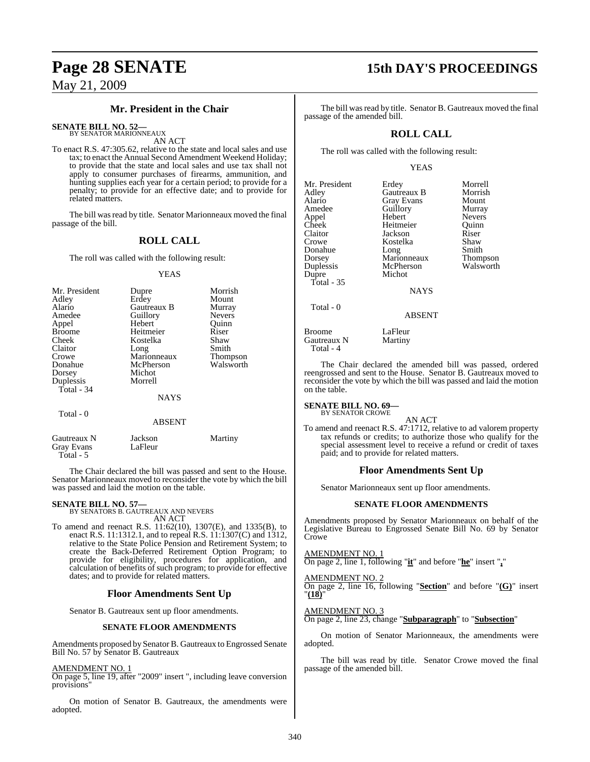### **Mr. President in the Chair**

**SENATE BILL NO. 52—** BY SENATOR MARIONNEAUX

AN ACT

To enact R.S. 47:305.62, relative to the state and local sales and use tax; to enact the Annual Second Amendment Weekend Holiday; to provide that the state and local sales and use tax shall not apply to consumer purchases of firearms, ammunition, and hunting supplies each year for a certain period; to provide for a penalty; to provide for an effective date; and to provide for related matters.

The bill was read by title. Senator Marionneaux moved the final passage of the bill.

### **ROLL CALL**

The roll was called with the following result:

#### YEAS

| Mr. President | Dupre         | Morrish       |
|---------------|---------------|---------------|
| Adley         | Erdey         | Mount         |
| Alario        | Gautreaux B   | Murray        |
| Amedee        | Guillory      | <b>Nevers</b> |
| Appel         | Hebert        | Ouinn         |
| <b>Broome</b> | Heitmeier     | Riser         |
| Cheek         | Kostelka      | Shaw          |
| Claitor       | Long          | Smith         |
| Crowe         | Marionneaux   | Thompson      |
| Donahue       | McPherson     | Walsworth     |
| Dorsey        | Michot        |               |
| Duplessis     | Morrell       |               |
| Total - $34$  |               |               |
|               | <b>NAYS</b>   |               |
| Total - 0     |               |               |
|               | <b>ABSENT</b> |               |

| Gautreaux N             | Jackson<br>LaFleur | Martiny |
|-------------------------|--------------------|---------|
| Gray Evans<br>Total - 5 |                    |         |

The Chair declared the bill was passed and sent to the House. Senator Marionneaux moved to reconsider the vote by which the bill was passed and laid the motion on the table.

**SENATE BILL NO. 57—** BY SENATORS B. GAUTREAUX AND NEVERS AN ACT

To amend and reenact R.S. 11:62(10), 1307(E), and 1335(B), to enact R.S. 11:1312.1, and to repeal R.S. 11:1307(C) and 1312, relative to the State Police Pension and Retirement System; to create the Back-Deferred Retirement Option Program; to provide for eligibility, procedures for application, and calculation of benefits of such program; to provide for effective dates; and to provide for related matters.

### **Floor Amendments Sent Up**

Senator B. Gautreaux sent up floor amendments.

#### **SENATE FLOOR AMENDMENTS**

Amendments proposed by Senator B. Gautreaux to Engrossed Senate Bill No. 57 by Senator B. Gautreaux

#### AMENDMENT NO. 1

On page 5, line 19, after "2009" insert ", including leave conversion provisions"

On motion of Senator B. Gautreaux, the amendments were adopted.

## **Page 28 SENATE 15th DAY'S PROCEEDINGS**

The bill was read by title. Senator B. Gautreaux moved the final passage of the amended bill.

### **ROLL CALL**

The roll was called with the following result:

#### YEAS

|             | Morrell                                                       |
|-------------|---------------------------------------------------------------|
| Gautreaux B | Morrish                                                       |
|             | Mount                                                         |
|             | Murray                                                        |
| Hebert      | <b>Nevers</b>                                                 |
| Heitmeier   | Ouinn                                                         |
| Jackson     | Riser                                                         |
| Kostelka    | Shaw                                                          |
|             | Smith                                                         |
|             | <b>Thompson</b>                                               |
| McPherson   | Walsworth                                                     |
| Michot      |                                                               |
|             |                                                               |
| <b>NAYS</b> |                                                               |
|             |                                                               |
|             | Erdey<br><b>Gray Evans</b><br>Guillory<br>Long<br>Marionneaux |

ABSENT

Broome LaFleur<br>Gautreaux N Martiny Gautreaux N Total - 4

The Chair declared the amended bill was passed, ordered reengrossed and sent to the House. Senator B. Gautreaux moved to reconsider the vote by which the bill was passed and laid the motion on the table.

#### **SENATE BILL NO. 69—** BY SENATOR CROWE

AN ACT

To amend and reenact R.S. 47:1712, relative to ad valorem property tax refunds or credits; to authorize those who qualify for the special assessment level to receive a refund or credit of taxes paid; and to provide for related matters.

### **Floor Amendments Sent Up**

Senator Marionneaux sent up floor amendments.

#### **SENATE FLOOR AMENDMENTS**

Amendments proposed by Senator Marionneaux on behalf of the Legislative Bureau to Engrossed Senate Bill No. 69 by Senator Crowe

AMENDMENT NO. 1

On page 2, line 1, following "**it**" and before "**he**" insert "**,**"

#### AMENDMENT NO. 2

On page 2, line 16, following "**Section**" and before "**(G)**" insert "**(18)**"

AMENDMENT NO. 3

On page 2, line 23, change "**Subparagraph**" to "**Subsection**"

On motion of Senator Marionneaux, the amendments were adopted.

The bill was read by title. Senator Crowe moved the final passage of the amended bill.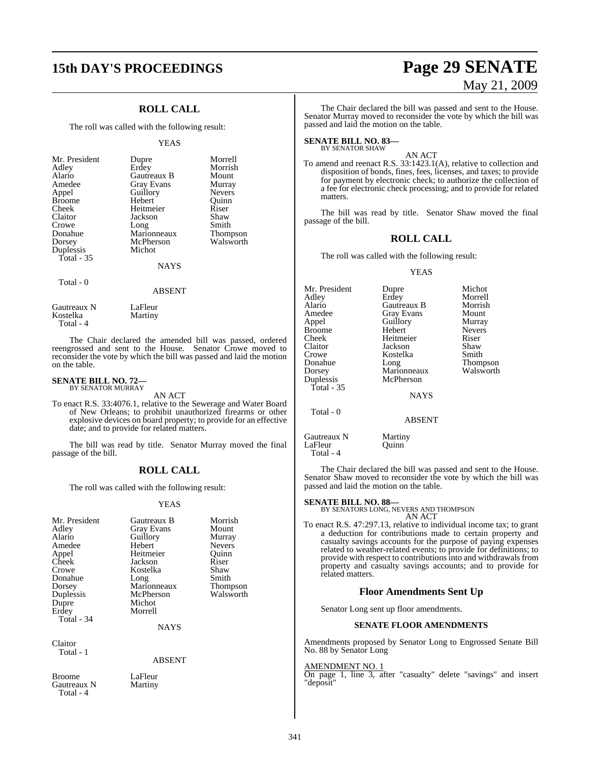# **15th DAY'S PROCEEDINGS Page 29 SENATE**

### **ROLL CALL**

The roll was called with the following result:

#### YEAS

| Mr. President<br>Adley<br>Alario<br>Amedee<br>Appel<br><b>Broome</b><br>Cheek<br>Claitor<br>Crowe<br>Donahue<br>Dorsey<br>Duplessis<br>Total - 35 | Dupre<br>Erdey<br>Gautreaux B<br><b>Gray Evans</b><br>Guillory<br>Hebert<br>Heitmeier<br>Jackson<br>Long<br>Marionneaux<br>McPherson<br>Michot | Morrell<br>Morrish<br>Mount<br>Murray<br><b>Nevers</b><br>Quinn<br>Riser<br>Shaw<br>Smith<br><b>Thompson</b><br>Walsworth |
|---------------------------------------------------------------------------------------------------------------------------------------------------|------------------------------------------------------------------------------------------------------------------------------------------------|---------------------------------------------------------------------------------------------------------------------------|
|                                                                                                                                                   | <b>NAYS</b>                                                                                                                                    |                                                                                                                           |
| Total - 0                                                                                                                                         |                                                                                                                                                |                                                                                                                           |

#### ABSENT

Gautreaux N LaFleur<br>Kostelka Martiny Kostelka Total - 4

on the table.

The Chair declared the amended bill was passed, ordered reengrossed and sent to the House. Senator Crowe moved to reconsider the vote by which the bill was passed and laid the motion

### **SENATE BILL NO. 72—** BY SENATOR MURRAY

Gautreaux N Martiny

Total - 4

AN ACT

To enact R.S. 33:4076.1, relative to the Sewerage and Water Board of New Orleans; to prohibit unauthorized firearms or other explosive devices on board property; to provide for an effective date; and to provide for related matters.

The bill was read by title. Senator Murray moved the final passage of the bill.

### **ROLL CALL**

The roll was called with the following result:

#### YEAS

| Mr. President<br>Adley<br>Alario<br>Amedee<br>Appel<br>Cheek<br>Crowe<br>Donahue<br>Dorsey<br>Duplessis<br>Dupre<br>Erdey<br>Total - 34 | Gautreaux B<br>Gray Evans<br>Guillory<br>Hebert<br>Heitmeier<br>Jackson<br>Kostelka<br>Long<br>Marionneaux<br>McPherson<br>Michot<br>Morrell<br>NAYS | Morrish<br>Mount<br>Murray<br><b>Nevers</b><br>Ouinn<br>Riser<br>Shaw<br>Smith<br>Thompson<br>Walsworth |
|-----------------------------------------------------------------------------------------------------------------------------------------|------------------------------------------------------------------------------------------------------------------------------------------------------|---------------------------------------------------------------------------------------------------------|
| Claitor<br>Total - 1                                                                                                                    | ABSENT                                                                                                                                               |                                                                                                         |
| Broome                                                                                                                                  | LaFleur                                                                                                                                              |                                                                                                         |

# May 21, 2009

The Chair declared the bill was passed and sent to the House. Senator Murray moved to reconsider the vote by which the bill was passed and laid the motion on the table.

### **SENATE BILL NO. 83—** BY SENATOR SHAW

#### AN ACT

To amend and reenact R.S. 33:1423.1(A), relative to collection and disposition of bonds, fines, fees, licenses, and taxes; to provide for payment by electronic check; to authorize the collection of a fee for electronic check processing; and to provide for related matters.

The bill was read by title. Senator Shaw moved the final passage of the bill.

#### **ROLL CALL**

The roll was called with the following result:

#### YEAS

| Dupre         | Michot        |
|---------------|---------------|
| Erdey         | Morrell       |
| Gautreaux B   | Morrish       |
| Gray Evans    | Mount         |
| Guillory      | Murray        |
| Hebert        | <b>Nevers</b> |
| Heitmeier     | Riser         |
| Jackson       | Shaw          |
| Kostelka      | Smith         |
| Long          | Thompson      |
| Marionneaux   | Walsworth     |
| McPherson     |               |
|               |               |
| <b>NAYS</b>   |               |
|               |               |
| <b>ABSENT</b> |               |
| Martiny       |               |
|               |               |

The Chair declared the bill was passed and sent to the House. Senator Shaw moved to reconsider the vote by which the bill was passed and laid the motion on the table.

LaFleur Quinn

Total - 4

**SENATE BILL NO. 88—**<br>BY SENATORS LONG, NEVERS AND THOMPSON AN ACT

To enact R.S. 47:297.13, relative to individual income tax; to grant a deduction for contributions made to certain property and casualty savings accounts for the purpose of paying expenses related to weather-related events; to provide for definitions; to provide with respect to contributions into and withdrawals from property and casualty savings accounts; and to provide for related matters.

#### **Floor Amendments Sent Up**

Senator Long sent up floor amendments.

#### **SENATE FLOOR AMENDMENTS**

Amendments proposed by Senator Long to Engrossed Senate Bill No. 88 by Senator Long

#### AMENDMENT NO. 1

On page 1, line 3, after "casualty" delete "savings" and insert "deposit"

341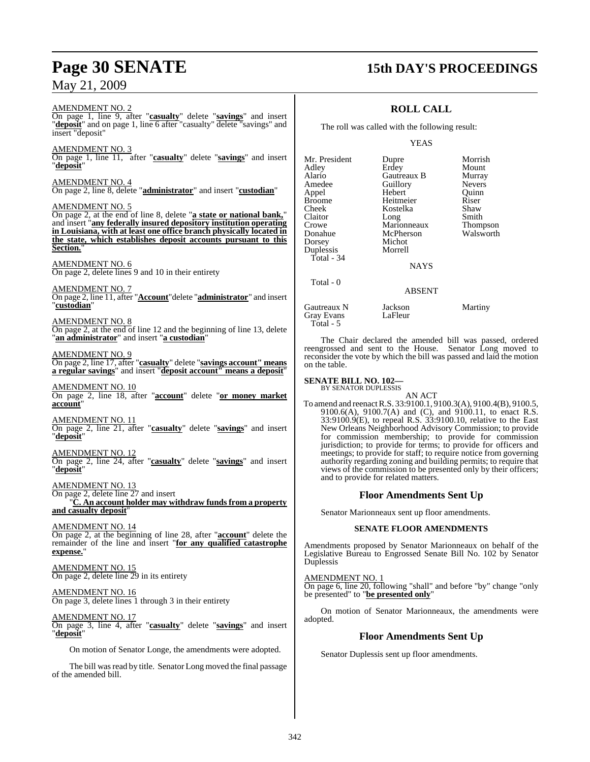#### AMENDMENT NO. 2

On page 1, line 9, after "**casualty**" delete "**savings**" and insert "**deposit**" and on page 1, line 6 after "casualty" delete "savings" and insert "deposit"

#### AMENDMENT NO. 3

On page 1, line 11, after "**casualty**" delete "**savings**" and insert "**deposit**"

#### AMENDMENT NO. 4

On page 2, line 8, delete "**administrator**" and insert "**custodian**"

#### AMENDMENT NO. 5

On page 2, at the end of line 8, delete "**a state or national bank,**" and insert "**any federally insured depository institution operating in Louisiana, with at least one office branch physically located in the state, which establishes deposit accounts pursuant to this Section.**"

#### AMENDMENT NO. 6

On page 2, delete lines 9 and 10 in their entirety

AMENDMENT NO. 7

On page 2, line 11, after "**Account**"delete "**administrator**" and insert "**custodian**"

#### AMENDMENT NO. 8

On page 2, at the end of line 12 and the beginning of line 13, delete "**an administrator**" and insert "**a custodian**"

#### AMENDMENT NO. 9

On page 2, line 17, after "**casualty**" delete "**savings account" means a regular savings**" and insert "**deposit account" means a deposit**"

#### AMENDMENT NO. 10 On page 2, line 18, after "**account**" delete "**or money market account**"

AMENDMENT NO. 11 On page 2, line 21, after "**casualty**" delete "**savings**" and insert "**deposit**"

#### AMENDMENT NO. 12 On page 2, line 24, after "**casualty**" delete "**savings**" and insert "**deposit**"

AMENDMENT NO. 13 On page 2, delete line 27 and insert

"**C. An account holder may withdraw funds from a property** and casualty deposit

### AMENDMENT NO. 14

On page 2, at the beginning of line 28, after "**account**" delete the remainder of the line and insert "**for any qualified catastrophe expense.**"

#### AMENDMENT NO. 15 On page 2, delete line 29 in its entirety

#### AMENDMENT NO. 16

On page 3, delete lines 1 through 3 in their entirety

#### AMENDMENT NO. 17

On page 3, line 4, after "**casualty**" delete "**savings**" and insert "**deposit**"

On motion of Senator Longe, the amendments were adopted.

The bill was read by title. Senator Long moved the final passage of the amended bill.

### **Page 30 SENATE 15th DAY'S PROCEEDINGS**

### **ROLL CALL**

The roll was called with the following result:

#### YEAS

| Mr. President | Dupre         | Morrish         |
|---------------|---------------|-----------------|
| Adley         | Erdey         | Mount           |
| Alario        | Gautreaux B   | Murray          |
| Amedee        | Guillory      | <b>Nevers</b>   |
| Appel         | Hebert        | Ouinn           |
| <b>Broome</b> | Heitmeier     | Riser           |
| Cheek         | Kostelka      | Shaw            |
| Claitor       | Long          | Smith           |
| Crowe         | Marionneaux   | <b>Thompson</b> |
| Donahue       | McPherson     | Walsworth       |
| Dorsey        | Michot        |                 |
| Duplessis     | Morrell       |                 |
| Total - 34    |               |                 |
|               | <b>NAYS</b>   |                 |
| Total - 0     | <b>ABSENT</b> |                 |

Gautreaux N Jackson Martiny<br>Gray Evans LaFleur

The Chair declared the amended bill was passed, ordered reengrossed and sent to the House. Senator Long moved to reconsider the vote by which the bill was passed and laid the motion on the table.

#### **SENATE BILL NO. 102—**

Gray Evans Total - 5

> BY SENATOR DUPLESSIS AN ACT

To amend and reenact R.S. 33:9100.1, 9100.3(A), 9100.4(B), 9100.5, 9100.6(A), 9100.7(A) and (C), and 9100.11, to enact R.S. 33:9100.9(E), to repeal R.S. 33:9100.10, relative to the East New Orleans Neighborhood Advisory Commission; to provide for commission membership; to provide for commission jurisdiction; to provide for terms; to provide for officers and meetings; to provide for staff; to require notice from governing authority regarding zoning and building permits; to require that views of the commission to be presented only by their officers; and to provide for related matters.

#### **Floor Amendments Sent Up**

Senator Marionneaux sent up floor amendments.

#### **SENATE FLOOR AMENDMENTS**

Amendments proposed by Senator Marionneaux on behalf of the Legislative Bureau to Engrossed Senate Bill No. 102 by Senator Duplessis

#### AMENDMENT NO. 1

On page 6, line 20, following "shall" and before "by" change "only be presented" to "**be presented only**"

On motion of Senator Marionneaux, the amendments were adopted.

### **Floor Amendments Sent Up**

Senator Duplessis sent up floor amendments.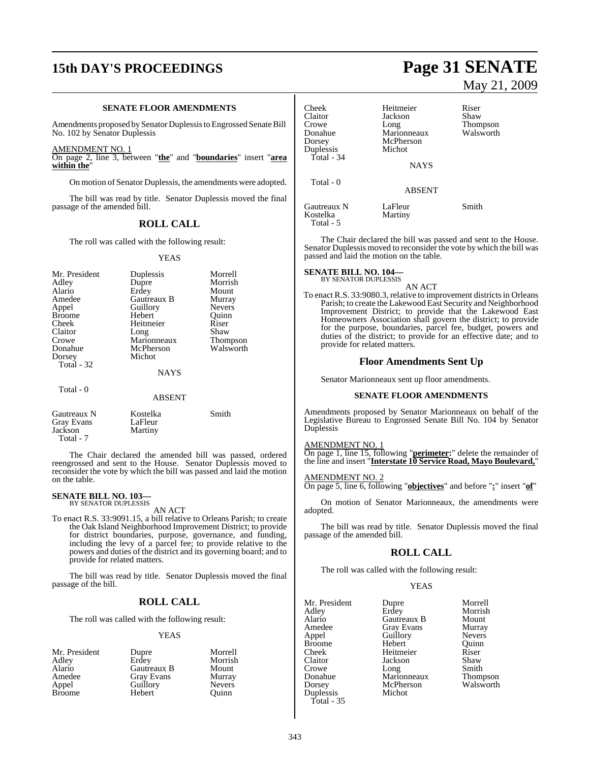## **15th DAY'S PROCEEDINGS Page 31 SENATE**

#### **SENATE FLOOR AMENDMENTS**

Amendments proposed by Senator Duplessis to Engrossed Senate Bill No. 102 by Senator Duplessis

AMENDMENT NO. 1

On page 2, line 3, between "**the**" and "**boundaries**" insert "**area within the**"

On motion of Senator Duplessis, the amendments were adopted.

The bill was read by title. Senator Duplessis moved the final passage of the amended bill.

#### **ROLL CALL**

The roll was called with the following result:

#### YEAS

| Mr. President<br>Adley<br>Alario<br>Amedee<br>Appel<br><b>Broome</b><br>Cheek<br>Claitor<br>Crowe<br>Donahue<br>Dorsey<br>Total $-32$ | Duplessis<br>Dupre<br>Erdey<br>Gautreaux B<br>Guillory<br>Hebert<br>Heitmeier<br>Long<br>Marionneaux<br>McPherson<br>Michot | Morrell<br>Morrish<br>Mount<br>Murray<br><b>Nevers</b><br>Ouinn<br>Riser<br>Shaw<br><b>Thompson</b><br>Walsworth |
|---------------------------------------------------------------------------------------------------------------------------------------|-----------------------------------------------------------------------------------------------------------------------------|------------------------------------------------------------------------------------------------------------------|
|                                                                                                                                       | <b>NAYS</b>                                                                                                                 |                                                                                                                  |
| Total - 0                                                                                                                             | ABSENT                                                                                                                      |                                                                                                                  |

| Gautreaux N       | Kostelka | Smith |
|-------------------|----------|-------|
| <b>Gray Evans</b> | LaFleur  |       |
| Jackson           | Martiny  |       |
| Total - 7         |          |       |

The Chair declared the amended bill was passed, ordered reengrossed and sent to the House. Senator Duplessis moved to reconsider the vote by which the bill was passed and laid the motion on the table.

### **SENATE BILL NO. 103—** BY SENATOR DUPLESSIS

AN ACT

To enact R.S. 33:9091.15, a bill relative to Orleans Parish; to create the Oak Island Neighborhood Improvement District; to provide for district boundaries, purpose, governance, and funding, including the levy of a parcel fee; to provide relative to the powers and duties of the district and its governing board; and to provide for related matters.

The bill was read by title. Senator Duplessis moved the final passage of the bill.

#### **ROLL CALL**

The roll was called with the following result:

#### YEAS

| Mr. President | Dupre       | Morrell       |
|---------------|-------------|---------------|
| Adley         | Erdey       | Morrish       |
| Alario        | Gautreaux B | Mount         |
| Amedee        | Gray Evans  | Murray        |
| Appel         | Guillory    | <b>Nevers</b> |
| <b>Broome</b> | Hebert      | Ouinn         |

# May 21, 2009

| Cheek<br>Claitor<br>Crowe<br>Donahue<br>Dorsey<br>Duplessis<br>Total - 34 | Heitmeier<br>Jackson<br>Long<br>Marionneaux<br>McPherson<br>Michot | Riser<br>Shaw<br><b>Thompson</b><br>Walsworth |
|---------------------------------------------------------------------------|--------------------------------------------------------------------|-----------------------------------------------|
|                                                                           | <b>NAYS</b>                                                        |                                               |
| Total - 0                                                                 | <b>ABSENT</b>                                                      |                                               |
| Gautreaux N<br>Kostelka                                                   | LaFleur<br>Martiny                                                 | Smith                                         |

The Chair declared the bill was passed and sent to the House. Senator Duplessis moved to reconsider the vote by which the bill was passed and laid the motion on the table.

# **SENATE BILL NO. 104—**<br>BY SENATOR DUPLESSIS

Total - 5

AN ACT To enact R.S. 33:9080.3, relative to improvement districts in Orleans Parish; to create the Lakewood East Security and Neighborhood Improvement District; to provide that the Lakewood East Homeowners Association shall govern the district; to provide for the purpose, boundaries, parcel fee, budget, powers and duties of the district; to provide for an effective date; and to provide for related matters.

#### **Floor Amendments Sent Up**

Senator Marionneaux sent up floor amendments.

#### **SENATE FLOOR AMENDMENTS**

Amendments proposed by Senator Marionneaux on behalf of the Legislative Bureau to Engrossed Senate Bill No. 104 by Senator Duplessis

#### AMENDMENT NO. 1

On page 1, line 15, following "**perimeter:**" delete the remainder of the line and insert "**Interstate 10 Service Road, Mayo Boulevard,**"

#### AMENDMENT NO. 2

On page 5, line 6, following "**objectives**" and before "**:**" insert "**of**"

On motion of Senator Marionneaux, the amendments were adopted.

The bill was read by title. Senator Duplessis moved the final passage of the amended bill.

#### **ROLL CALL**

The roll was called with the following result:

#### YEAS

| Mr. President | Dupre               | Morrell         |
|---------------|---------------------|-----------------|
| Adley         | Erdey               | Morrish         |
| Alario        | Gautreaux B         | Mount           |
| Amedee        | Gray Evans          | Murray          |
| Appel         | Guillory            | <b>Nevers</b>   |
| Broome        | Hebert              | Ouinn           |
| Cheek         | Heitmeier           | Riser           |
| Claitor       | Jackson             | Shaw            |
| Crowe         |                     | Smith           |
| Donahue       | Long<br>Marionneaux | <b>Thompson</b> |
| Dorsey        | McPherson           | Walsworth       |
| Duplessis     | Michot              |                 |
| Total - 35    |                     |                 |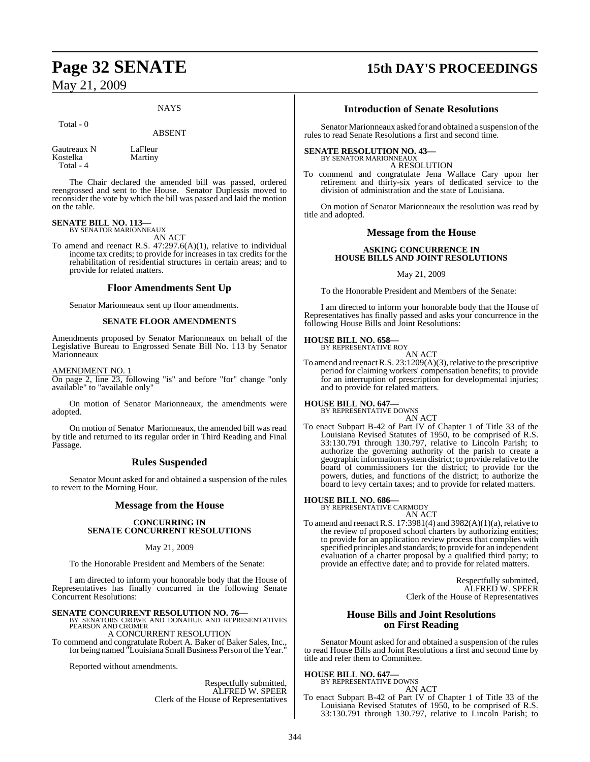#### **NAYS**

#### Total - 0

#### ABSENT

Gautreaux N LaFleur<br>Kostelka Martiny Kostelka Total - 4

The Chair declared the amended bill was passed, ordered reengrossed and sent to the House. Senator Duplessis moved to reconsider the vote by which the bill was passed and laid the motion on the table.

#### **SENATE BILL NO. 113—** BY SENATOR MARIONNEAUX

AN ACT To amend and reenact R.S. 47:297.6(A)(1), relative to individual income tax credits; to provide for increases in tax credits for the rehabilitation of residential structures in certain areas; and to provide for related matters.

#### **Floor Amendments Sent Up**

Senator Marionneaux sent up floor amendments.

#### **SENATE FLOOR AMENDMENTS**

Amendments proposed by Senator Marionneaux on behalf of the Legislative Bureau to Engrossed Senate Bill No. 113 by Senator Marionneaux

AMENDMENT NO. 1

On page 2, line 23, following "is" and before "for" change "only available" to "available only"

On motion of Senator Marionneaux, the amendments were adopted.

On motion of Senator Marionneaux, the amended bill was read by title and returned to its regular order in Third Reading and Final Passage.

### **Rules Suspended**

Senator Mount asked for and obtained a suspension of the rules to revert to the Morning Hour.

### **Message from the House**

#### **CONCURRING IN SENATE CONCURRENT RESOLUTIONS**

#### May 21, 2009

To the Honorable President and Members of the Senate:

I am directed to inform your honorable body that the House of Representatives has finally concurred in the following Senate Concurrent Resolutions:

**SENATE CONCURRENT RESOLUTION NO. 76—<br>BY SENATORS CROWE AND DONAHUE AND REPRESENTATIVES<br>PEARSON AND CROMER** 

### A CONCURRENT RESOLUTION

To commend and congratulate Robert A. Baker of Baker Sales, Inc., for being named "Louisiana Small Business Person of the Year."

Reported without amendments.

Respectfully submitted, ALFRED W. SPEER Clerk of the House of Representatives

## **Page 32 SENATE 15th DAY'S PROCEEDINGS**

#### **Introduction of Senate Resolutions**

Senator Marionneaux asked for and obtained a suspension of the rules to read Senate Resolutions a first and second time.

#### **SENATE RESOLUTION NO. 43—**

BY SENATOR MARIONNEAUX A RESOLUTION

To commend and congratulate Jena Wallace Cary upon her retirement and thirty-six years of dedicated service to the division of administration and the state of Louisiana.

On motion of Senator Marionneaux the resolution was read by title and adopted.

#### **Message from the House**

#### **ASKING CONCURRENCE IN HOUSE BILLS AND JOINT RESOLUTIONS**

May 21, 2009

To the Honorable President and Members of the Senate:

I am directed to inform your honorable body that the House of Representatives has finally passed and asks your concurrence in the following House Bills and Joint Resolutions:

### **HOUSE BILL NO. 658—** BY REPRESENTATIVE ROY

AN ACT

To amend and reenact R.S.  $23:1209(A)(3)$ , relative to the prescriptive period for claiming workers' compensation benefits; to provide for an interruption of prescription for developmental injuries; and to provide for related matters.

#### **HOUSE BILL NO. 647—** BY REPRESENTATIVE DOWNS

AN ACT

To enact Subpart B-42 of Part IV of Chapter 1 of Title 33 of the Louisiana Revised Statutes of 1950, to be comprised of R.S. 33:130.791 through 130.797, relative to Lincoln Parish; to authorize the governing authority of the parish to create a geographic information systemdistrict; to provide relative to the board of commissioners for the district; to provide for the powers, duties, and functions of the district; to authorize the board to levy certain taxes; and to provide for related matters.

#### **HOUSE BILL NO. 686—**

BY REPRESENTATIVE CARMODY

AN ACT To amend and reenact R.S. 17:3981(4) and 3982(A)(1)(a), relative to the review of proposed school charters by authorizing entities; to provide for an application review process that complies with specified principles and standards; to provide for an independent evaluation of a charter proposal by a qualified third party; to provide an effective date; and to provide for related matters.

> Respectfully submitted, ALFRED W. SPEER Clerk of the House of Representatives

### **House Bills and Joint Resolutions on First Reading**

Senator Mount asked for and obtained a suspension of the rules to read House Bills and Joint Resolutions a first and second time by title and refer them to Committee.

### **HOUSE BILL NO. 647—** BY REPRESENTATIVE DOWNS

AN ACT

To enact Subpart B-42 of Part IV of Chapter 1 of Title 33 of the Louisiana Revised Statutes of 1950, to be comprised of R.S. 33:130.791 through 130.797, relative to Lincoln Parish; to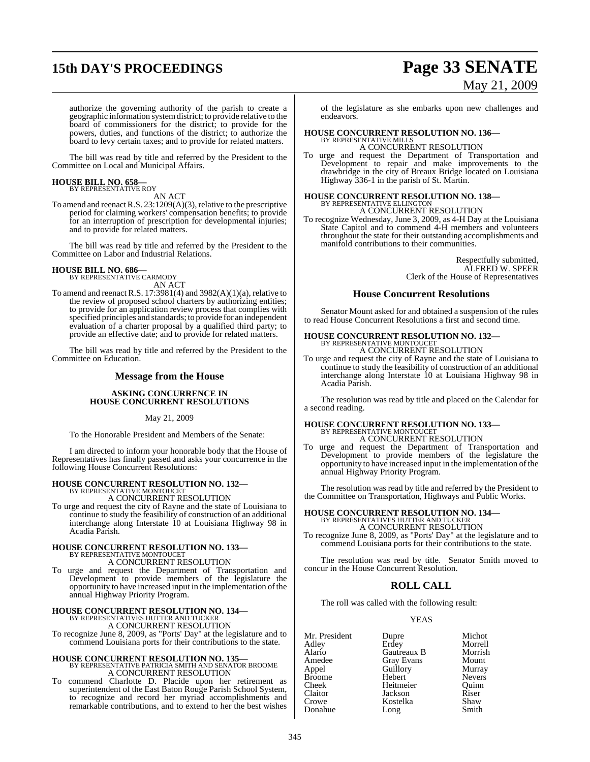# **15th DAY'S PROCEEDINGS Page 33 SENATE** May 21, 2009

authorize the governing authority of the parish to create a geographic information systemdistrict; to provide relative to the board of commissioners for the district; to provide for the powers, duties, and functions of the district; to authorize the board to levy certain taxes; and to provide for related matters.

The bill was read by title and referred by the President to the Committee on Local and Municipal Affairs.

# **HOUSE BILL NO. 658—** BY REPRESENTATIVE ROY

AN ACT

To amend and reenact R.S. 23:1209(A)(3), relative to the prescriptive period for claiming workers' compensation benefits; to provide for an interruption of prescription for developmental injuries; and to provide for related matters.

The bill was read by title and referred by the President to the Committee on Labor and Industrial Relations.

# **HOUSE BILL NO. 686—** BY REPRESENTATIVE CARMODY

AN ACT

To amend and reenact R.S. 17:3981(4) and 3982(A)(1)(a), relative to the review of proposed school charters by authorizing entities; to provide for an application review process that complies with specified principles and standards; to provide for an independent evaluation of a charter proposal by a qualified third party; to provide an effective date; and to provide for related matters.

The bill was read by title and referred by the President to the Committee on Education.

### **Message from the House**

#### **ASKING CONCURRENCE IN HOUSE CONCURRENT RESOLUTIONS**

May 21, 2009

To the Honorable President and Members of the Senate:

I am directed to inform your honorable body that the House of Representatives has finally passed and asks your concurrence in the following House Concurrent Resolutions:

### **HOUSE CONCURRENT RESOLUTION NO. 132—** BY REPRESENTATIVE MONTOUCET

A CONCURRENT RESOLUTION

To urge and request the city of Rayne and the state of Louisiana to continue to study the feasibility of construction of an additional interchange along Interstate 10 at Louisiana Highway 98 in Acadia Parish.

# **HOUSE CONCURRENT RESOLUTION NO. 133—** BY REPRESENTATIVE MONTOUCET A CONCURRENT RESOLUTION

To urge and request the Department of Transportation and Development to provide members of the legislature the opportunity to have increased input in the implementation ofthe annual Highway Priority Program.

### **HOUSE CONCURRENT RESOLUTION NO. 134—** BY REPRESENTATIVES HUTTER AND TUCKER

A CONCURRENT RESOLUTION

To recognize June 8, 2009, as "Ports' Day" at the legislature and to commend Louisiana ports for their contributions to the state.

**HOUSE CONCURRENT RESOLUTION NO. 135—** BY REPRESENTATIVE PATRICIA SMITH AND SENATOR BROOME A CONCURRENT RESOLUTION

To commend Charlotte D. Placide upon her retirement as superintendent of the East Baton Rouge Parish School System, to recognize and record her myriad accomplishments and remarkable contributions, and to extend to her the best wishes

of the legislature as she embarks upon new challenges and endeavors.

### **HOUSE CONCURRENT RESOLUTION NO. 136—** BY REPRESENTATIVE MILLS

A CONCURRENT RESOLUTION

To urge and request the Department of Transportation and Development to repair and make improvements to the drawbridge in the city of Breaux Bridge located on Louisiana Highway 336-1 in the parish of St. Martin.

# **HOUSE CONCURRENT RESOLUTION NO. 138—** BY REPRESENTATIVE ELLINGTON

A CONCURRENT RESOLUTION

To recognize Wednesday, June 3, 2009, as 4-H Day at the Louisiana State Capitol and to commend 4-H members and volunteers throughout the state for their outstanding accomplishments and manifold contributions to their communities.

> Respectfully submitted, ALFRED W. SPEER Clerk of the House of Representatives

### **House Concurrent Resolutions**

Senator Mount asked for and obtained a suspension of the rules to read House Concurrent Resolutions a first and second time.

# **HOUSE CONCURRENT RESOLUTION NO. 132—** BY REPRESENTATIVE MONTOUCET

A CONCURRENT RESOLUTION

To urge and request the city of Rayne and the state of Louisiana to continue to study the feasibility of construction of an additional interchange along Interstate 10 at Louisiana Highway 98 in Acadia Parish.

The resolution was read by title and placed on the Calendar for a second reading.

# **HOUSE CONCURRENT RESOLUTION NO. 133—** BY REPRESENTATIVE MONTOUCET A CONCURRENT RESOLUTION

To urge and request the Department of Transportation and Development to provide members of the legislature the opportunity to have increased input in the implementation of the annual Highway Priority Program.

The resolution was read by title and referred by the President to the Committee on Transportation, Highways and Public Works.

#### **HOUSE CONCURRENT RESOLUTION NO. 134—** BY REPRESENTATIVES HUTTER AND TUCKER A CONCURRENT RESOLUTION

To recognize June 8, 2009, as "Ports' Day" at the legislature and to commend Louisiana ports for their contributions to the state.

The resolution was read by title. Senator Smith moved to concur in the House Concurrent Resolution.

### **ROLL CALL**

The roll was called with the following result:

#### YEAS

Mr. President Dupre Michot<br>Adley Erdey Morrell Adley Erdey Morrell Alario Gautreaux B Morrish Amedee Gray Evans Mount<br>
Appel Guillory Murray Broome Hebert Nevers<br>
Cheek Heitmeier Quinn Cheek Heitmeier Quinn Claitor Jackson Riser Kostelka Donahue Long Smith

Guillory Murray<br>
Hebert Nevers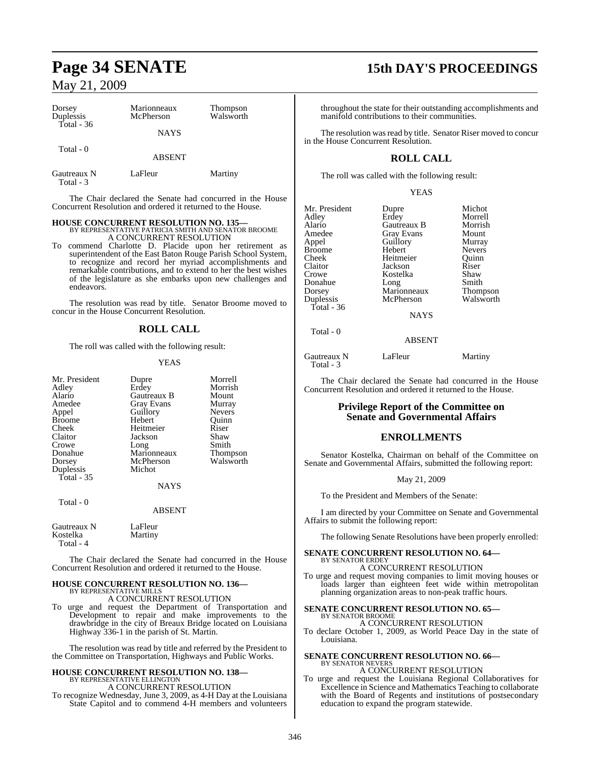| Dorsey<br>Duplessis      | Marionneaux<br>McPherson | Thompson<br>Walsworth |
|--------------------------|--------------------------|-----------------------|
| $Total - 36$             | <b>NAYS</b>              |                       |
| Total - 0                | <b>ABSENT</b>            |                       |
| Gautreaux N<br>Total - 3 | LaFleur                  | Martiny               |

The Chair declared the Senate had concurred in the House Concurrent Resolution and ordered it returned to the House.

#### **HOUSE CONCURRENT RESOLUTION NO. 135—**

BY REPRESENTATIVE PATRICIA SMITH AND SENATOR BROOME A CONCURRENT RESOLUTION

To commend Charlotte D. Placide upon her retirement as superintendent of the East Baton Rouge Parish School System, to recognize and record her myriad accomplishments and remarkable contributions, and to extend to her the best wishes of the legislature as she embarks upon new challenges and endeavors.

The resolution was read by title. Senator Broome moved to concur in the House Concurrent Resolution.

### **ROLL CALL**

The roll was called with the following result:

#### YEAS

| Mr. President<br>Adley<br>Alario<br>Amedee<br>Appel<br><b>Broome</b><br>Cheek<br>Claitor<br>Crowe<br>Donahue<br>Dorsey<br>Duplessis<br><b>Total - 35</b> | Dupre<br>Erdey<br>Gautreaux B<br><b>Gray Evans</b><br>Guillory<br>Hebert<br>Heitmeier<br>Jackson<br>Long<br>Marionneaux<br>McPherson<br>Michot<br><b>NAYS</b> | Morrell<br>Morrish<br>Mount<br>Murray<br><b>Nevers</b><br>Quinn<br>Riser<br>Shaw<br>Smith<br>Thompson<br>Walsworth |
|----------------------------------------------------------------------------------------------------------------------------------------------------------|---------------------------------------------------------------------------------------------------------------------------------------------------------------|--------------------------------------------------------------------------------------------------------------------|
| Total - 0                                                                                                                                                | <b>ABSENT</b>                                                                                                                                                 |                                                                                                                    |
| Gautreaux N<br>Kostelka<br>Total - 4                                                                                                                     | LaFleur<br>Martiny                                                                                                                                            |                                                                                                                    |

The Chair declared the Senate had concurred in the House Concurrent Resolution and ordered it returned to the House.

#### **HOUSE CONCURRENT RESOLUTION NO. 136—** BY REPRESENTATIVE MILLS

A CONCURRENT RESOLUTION

To urge and request the Department of Transportation and Development to repair and make improvements to the drawbridge in the city of Breaux Bridge located on Louisiana Highway 336-1 in the parish of St. Martin.

The resolution was read by title and referred by the President to the Committee on Transportation, Highways and Public Works.

# **HOUSE CONCURRENT RESOLUTION NO. 138—** BY REPRESENTATIVE ELLINGTON

A CONCURRENT RESOLUTION To recognize Wednesday, June 3, 2009, as 4-H Day at the Louisiana State Capitol and to commend 4-H members and volunteers

### **Page 34 SENATE 15th DAY'S PROCEEDINGS**

throughout the state for their outstanding accomplishments and manifold contributions to their communities.

The resolution was read by title. Senator Riser moved to concur in the House Concurrent Resolution.

### **ROLL CALL**

The roll was called with the following result:

YEAS

| Mr. President | Dupre       | Michot          |
|---------------|-------------|-----------------|
| Adley         | Erdey       | Morrell         |
| Alario        | Gautreaux B | Morrish         |
| Amedee        | Gray Evans  | Mount           |
| Appel         | Guillory    | Murray          |
| <b>Broome</b> | Hebert      | <b>Nevers</b>   |
| Cheek         | Heitmeier   | Ouinn           |
| Claitor       | Jackson     | Riser           |
| Crowe         | Kostelka    | Shaw            |
| Donahue       | Long        | Smith           |
| Dorsey        | Marionneaux | <b>Thompson</b> |
| Duplessis     | McPherson   | Walsworth       |
| Total - $36$  |             |                 |
|               | NAVS        |                 |

Total - 0

NAYS

#### ABSENT

| Gautreaux N | LaFleur | Martiny |
|-------------|---------|---------|
| Total - 3   |         |         |

The Chair declared the Senate had concurred in the House Concurrent Resolution and ordered it returned to the House.

#### **Privilege Report of the Committee on Senate and Governmental Affairs**

#### **ENROLLMENTS**

Senator Kostelka, Chairman on behalf of the Committee on Senate and Governmental Affairs, submitted the following report:

May 21, 2009

To the President and Members of the Senate:

I am directed by your Committee on Senate and Governmental Affairs to submit the following report:

The following Senate Resolutions have been properly enrolled:

#### **SENATE CONCURRENT RESOLUTION NO. 64—** BY SENATOR ERDEY

A CONCURRENT RESOLUTION

To urge and request moving companies to limit moving houses or loads larger than eighteen feet wide within metropolitan planning organization areas to non-peak traffic hours.

#### **SENATE CONCURRENT RESOLUTION NO. 65—** BY SENATOR BROOME

A CONCURRENT RESOLUTION To declare October 1, 2009, as World Peace Day in the state of Louisiana.

#### **SENATE CONCURRENT RESOLUTION NO. 66—** BY SENATOR NEVERS A CONCURRENT RESOLUTION

To urge and request the Louisiana Regional Collaboratives for Excellence in Science and Mathematics Teaching to collaborate with the Board of Regents and institutions of postsecondary education to expand the program statewide.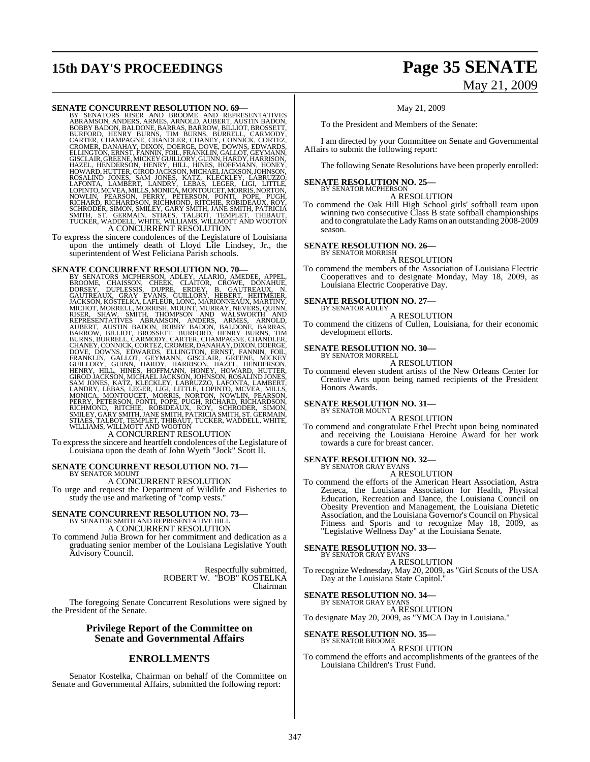# **15th DAY'S PROCEEDINGS Page 35 SENATE**

# May 21, 2009

#### **SENATE CONCURRENT RESOLUTION NO. 69—**

BY SENATORS RISER AND BROOME AND REPRESENTATIVES ABRAMSON, ANDERS, ARMES, ARNOLD, AUBERT, AUSTIN BADON, BOBBY BADON, BALDONE, BARRAS, BARROW, BILLIOT, BROSSETT,<br>BURFORD, HENRY BURNS, TIM BURNS, BURRELL, CARMODY,<br>CARTER, CHANPAGNE, CHANDLER, CHANEY, CONNICK, CORTEZ,<br>CRONER, DANAHAY, DIXON, DOERGE, DOVE, DOWNS, EDWARDS,<br>ELLING A CONCURRENT RESOLUTION

To express the sincere condolences of the Legislature of Louisiana upon the untimely death of Lloyd Lile Lindsey, Jr., the superintendent of West Feliciana Parish schools.

SENATE CONCURRENT RESOLUTION NO. 70—BY SENATORS MCHERESON, ADLEY, ALARIQ, AMEDEE, APPEL, BROOME, CHAISSON, CHEEK, CATIOR, CROWE, DONAHUE, CACITREAUX, N. GAULORY, B. GAUTREAUX, N. GROUNTREAUX, N. GAUNING, MARIONNEAUX, NARTI

To expressthe sincere and heartfelt condolences of the Legislature of Louisiana upon the death of John Wyeth "Jock" Scott II.

### **SENATE CONCURRENT RESOLUTION NO. 71—** BY SENATOR MOUNT A CONCURRENT RESOLUTION

To urge and request the Department of Wildlife and Fisheries to study the use and marketing of "comp vests."

### **SENATE CONCURRENT RESOLUTION NO. 73—** BY SENATOR SMITH AND REPRESENTATIVE HILL A CONCURRENT RESOLUTION

To commend Julia Brown for her commitment and dedication as a graduating senior member of the Louisiana Legislative Youth Advisory Council.

> Respectfully submitted, ROBERT W. "BOB" KOSTELKA Chairman

The foregoing Senate Concurrent Resolutions were signed by the President of the Senate.

### **Privilege Report of the Committee on Senate and Governmental Affairs**

### **ENROLLMENTS**

Senator Kostelka, Chairman on behalf of the Committee on Senate and Governmental Affairs, submitted the following report:

#### May 21, 2009

To the President and Members of the Senate:

I am directed by your Committee on Senate and Governmental Affairs to submit the following report:

The following Senate Resolutions have been properly enrolled:

#### **SENATE RESOLUTION NO. 25—** BY SENATOR MCPHERSON

A RESOLUTION

To commend the Oak Hill High School girls' softball team upon winning two consecutive Class B state softball championships and to congratulate theLadyRams on an outstanding 2008-2009 season.

#### **SENATE RESOLUTION NO. 26—** BY SENATOR MORRISH

A RESOLUTION

To commend the members of the Association of Louisiana Electric Cooperatives and to designate Monday, May 18, 2009, as Louisiana Electric Cooperative Day.

**SENATE RESOLUTION NO. 27—** BY SENATOR ADLEY

#### A RESOLUTION

To commend the citizens of Cullen, Louisiana, for their economic development efforts.

### **SENATE RESOLUTION NO. 30—** BY SENATOR MORRELL

A RESOLUTION

To commend eleven student artists of the New Orleans Center for Creative Arts upon being named recipients of the President Honors Awards.

#### **SENATE RESOLUTION NO. 31—** BY SENATOR MOUNT

A RESOLUTION

To commend and congratulate Ethel Precht upon being nominated and receiving the Louisiana Heroine Award for her work towards a cure for breast cancer.

#### **SENATE RESOLUTION NO. 32—**

BY SENATOR GRAY EVANS A RESOLUTION

To commend the efforts of the American Heart Association, Astra Zeneca, the Louisiana Association for Health, Physical Education, Recreation and Dance, the Louisiana Council on Obesity Prevention and Management, the Louisiana Dietetic Association, and the Louisiana Governor's Council on Physical Fitness and Sports and to recognize May 18, 2009, as "Legislative Wellness Day" at the Louisiana Senate.

#### **SENATE RESOLUTION NO. 33—**

BY SENATOR GRAY EVANS A RESOLUTION

To recognize Wednesday, May 20, 2009, as "Girl Scouts of the USA Day at the Louisiana State Capitol."

### **SENATE RESOLUTION NO. 34—** BY SENATOR GRAY EVANS

A RESOLUTION

To designate May 20, 2009, as "YMCA Day in Louisiana."

#### **SENATE RESOLUTION NO. 35—** BY SENATOR BROOME

A RESOLUTION

To commend the efforts and accomplishments of the grantees of the Louisiana Children's Trust Fund.